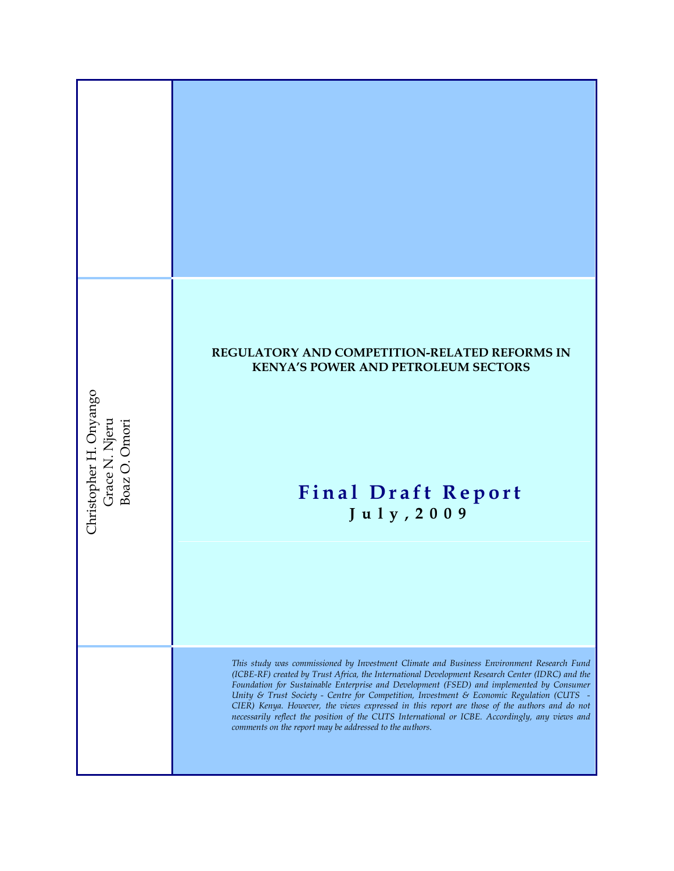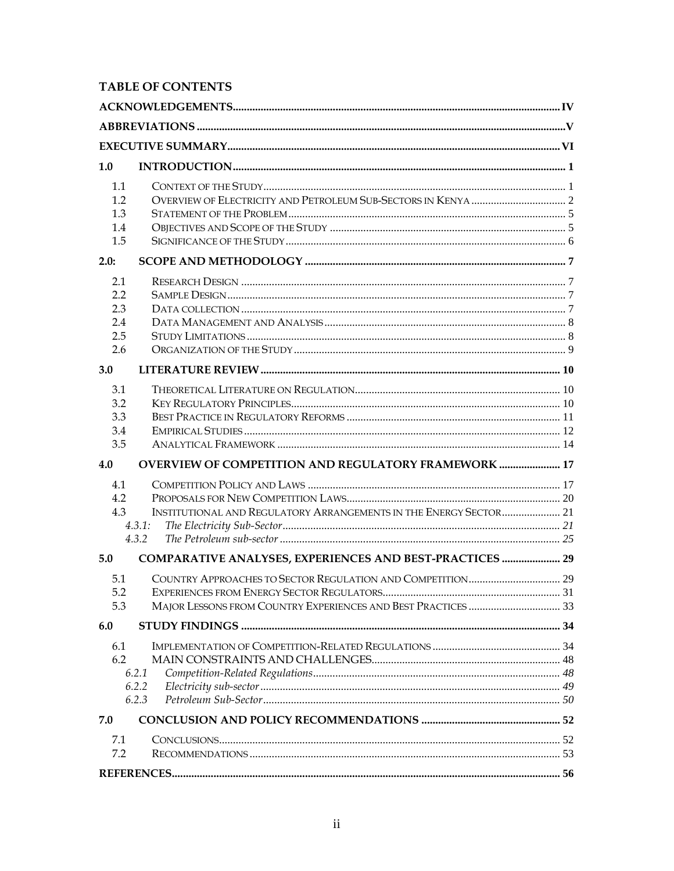## **TABLE OF CONTENTS**

| 1.0                                    |                                                                                      |  |
|----------------------------------------|--------------------------------------------------------------------------------------|--|
| 1.1<br>1.2<br>1.3<br>1.4<br>1.5        |                                                                                      |  |
| 2.0:                                   |                                                                                      |  |
| 2.1<br>2.2<br>2.3<br>2.4<br>2.5<br>2.6 |                                                                                      |  |
| 3.0                                    |                                                                                      |  |
| 3.1<br>3.2<br>3.3<br>3.4<br>3.5        |                                                                                      |  |
| 4.0                                    | OVERVIEW OF COMPETITION AND REGULATORY FRAMEWORK  17                                 |  |
| 4.1<br>4.2<br>4.3                      | INSTITUTIONAL AND REGULATORY ARRANGEMENTS IN THE ENERGY SECTOR 21<br>4.3.1:<br>4.3.2 |  |
| 5.0                                    | COMPARATIVE ANALYSES, EXPERIENCES AND BEST-PRACTICES  29                             |  |
| 5.1<br>5.2<br>5.3                      |                                                                                      |  |
| 6.0                                    |                                                                                      |  |
| 6.1<br>6.2                             | 6.2.1<br>6.2.2<br>6.2.3                                                              |  |
| 7.0                                    |                                                                                      |  |
| 7.1<br>7.2                             |                                                                                      |  |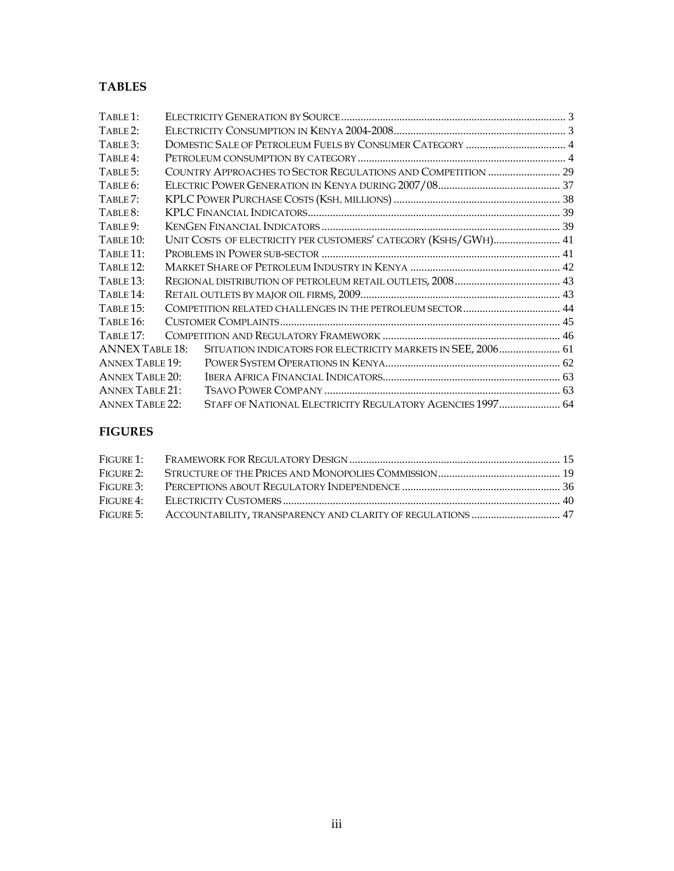## **TABLES**

| TABLE 1:               |                                                                 |  |
|------------------------|-----------------------------------------------------------------|--|
| TABLE 2:               |                                                                 |  |
| TABLE 3:               |                                                                 |  |
| TABLE 4:               |                                                                 |  |
| TABLE 5:               |                                                                 |  |
| TABLE <sub>6</sub> :   |                                                                 |  |
| TABLE 7:               |                                                                 |  |
| TABLE 8:               |                                                                 |  |
| TABLE 9:               |                                                                 |  |
| TABLE 10:              | UNIT COSTS OF ELECTRICITY PER CUSTOMERS' CATEGORY (KSHS/GWH) 41 |  |
| TABLE <sub>11</sub> :  |                                                                 |  |
| <b>TABLE 12:</b>       |                                                                 |  |
| <b>TABLE 13:</b>       |                                                                 |  |
| <b>TABLE 14:</b>       |                                                                 |  |
| <b>TABLE 15:</b>       |                                                                 |  |
| <b>TABLE 16:</b>       |                                                                 |  |
| TABLE 17:              |                                                                 |  |
| <b>ANNEX TABLE 18:</b> | SITUATION INDICATORS FOR ELECTRICITY MARKETS IN SEE, 2006 61    |  |
| <b>ANNEX TABLE 19:</b> |                                                                 |  |
| <b>ANNEX TABLE 20:</b> |                                                                 |  |
| <b>ANNEX TABLE 21:</b> |                                                                 |  |
| <b>ANNEX TABLE 22:</b> | STAFF OF NATIONAL ELECTRICITY REGULATORY AGENCIES 1997 64       |  |

## **FIGURES**

| FIGURE 5: ACCOUNTABILITY, TRANSPARENCY AND CLARITY OF REGULATIONS  47 |  |
|-----------------------------------------------------------------------|--|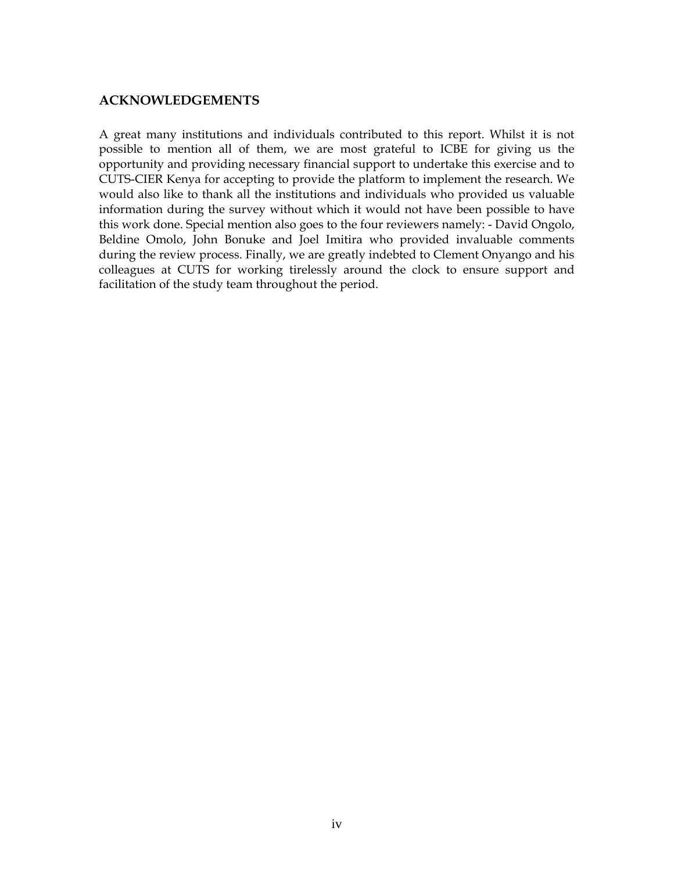### **ACKNOWLEDGEMENTS**

A great many institutions and individuals contributed to this report. Whilst it is not possible to mention all of them, we are most grateful to ICBE for giving us the opportunity and providing necessary financial support to undertake this exercise and to CUTS-CIER Kenya for accepting to provide the platform to implement the research. We would also like to thank all the institutions and individuals who provided us valuable information during the survey without which it would not have been possible to have this work done. Special mention also goes to the four reviewers namely: - David Ongolo, Beldine Omolo, John Bonuke and Joel Imitira who provided invaluable comments during the review process. Finally, we are greatly indebted to Clement Onyango and his colleagues at CUTS for working tirelessly around the clock to ensure support and facilitation of the study team throughout the period.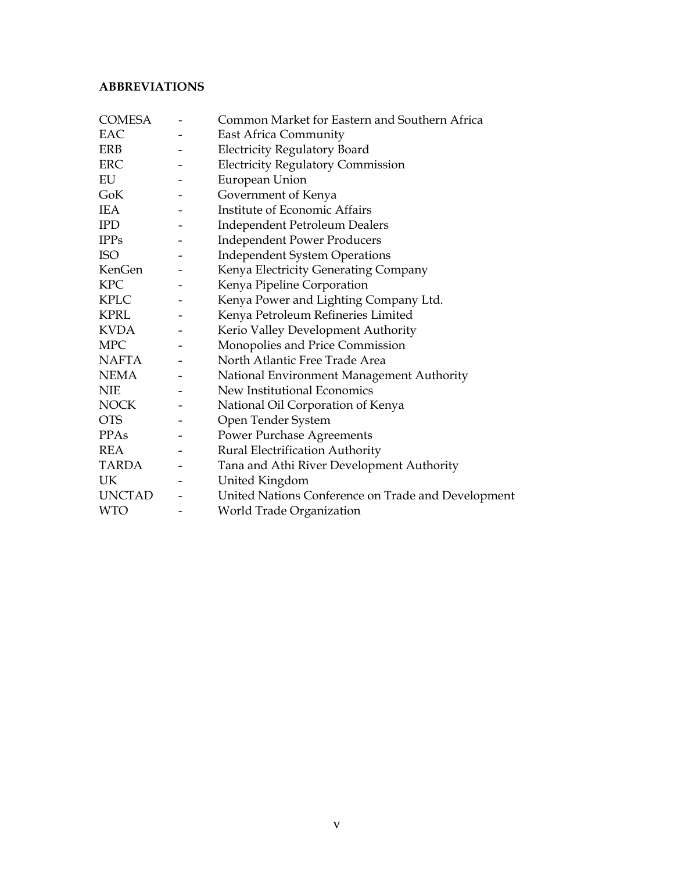## **ABBREVIATIONS**

| <b>COMESA</b> | Common Market for Eastern and Southern Africa      |
|---------------|----------------------------------------------------|
| EAC           | <b>East Africa Community</b>                       |
| ERB           | <b>Electricity Regulatory Board</b>                |
| ERC           | <b>Electricity Regulatory Commission</b>           |
| EU            | European Union                                     |
| GoK           | Government of Kenya                                |
| <b>IEA</b>    | Institute of Economic Affairs                      |
| <b>IPD</b>    | <b>Independent Petroleum Dealers</b>               |
| <b>IPPs</b>   | <b>Independent Power Producers</b>                 |
| <b>ISO</b>    | <b>Independent System Operations</b>               |
| KenGen        | Kenya Electricity Generating Company               |
| <b>KPC</b>    | Kenya Pipeline Corporation                         |
| <b>KPLC</b>   | Kenya Power and Lighting Company Ltd.              |
| <b>KPRL</b>   | Kenya Petroleum Refineries Limited                 |
| <b>KVDA</b>   | Kerio Valley Development Authority                 |
| <b>MPC</b>    | Monopolies and Price Commission                    |
| <b>NAFTA</b>  | North Atlantic Free Trade Area                     |
| <b>NEMA</b>   | National Environment Management Authority          |
| <b>NIE</b>    | New Institutional Economics                        |
| <b>NOCK</b>   | National Oil Corporation of Kenya                  |
| <b>OTS</b>    | Open Tender System                                 |
| <b>PPAs</b>   | <b>Power Purchase Agreements</b>                   |
| <b>REA</b>    | Rural Electrification Authority                    |
| TARDA         | Tana and Athi River Development Authority          |
| UK.           | United Kingdom                                     |
| <b>UNCTAD</b> | United Nations Conference on Trade and Development |
| <b>WTO</b>    | World Trade Organization                           |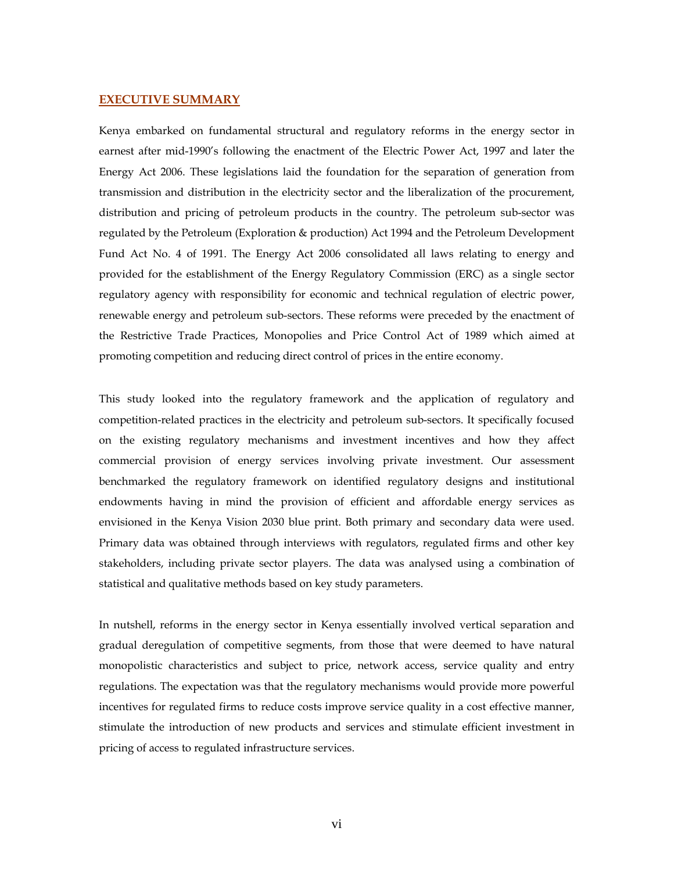#### **EXECUTIVE SUMMARY**

Kenya embarked on fundamental structural and regulatory reforms in the energy sector in earnest after mid-1990's following the enactment of the Electric Power Act, 1997 and later the Energy Act 2006. These legislations laid the foundation for the separation of generation from transmission and distribution in the electricity sector and the liberalization of the procurement, distribution and pricing of petroleum products in the country. The petroleum sub-sector was regulated by the Petroleum (Exploration & production) Act 1994 and the Petroleum Development Fund Act No. 4 of 1991. The Energy Act 2006 consolidated all laws relating to energy and provided for the establishment of the Energy Regulatory Commission (ERC) as a single sector regulatory agency with responsibility for economic and technical regulation of electric power, renewable energy and petroleum sub-sectors. These reforms were preceded by the enactment of the Restrictive Trade Practices, Monopolies and Price Control Act of 1989 which aimed at promoting competition and reducing direct control of prices in the entire economy.

This study looked into the regulatory framework and the application of regulatory and competition-related practices in the electricity and petroleum sub-sectors. It specifically focused on the existing regulatory mechanisms and investment incentives and how they affect commercial provision of energy services involving private investment. Our assessment benchmarked the regulatory framework on identified regulatory designs and institutional endowments having in mind the provision of efficient and affordable energy services as envisioned in the Kenya Vision 2030 blue print. Both primary and secondary data were used. Primary data was obtained through interviews with regulators, regulated firms and other key stakeholders, including private sector players. The data was analysed using a combination of statistical and qualitative methods based on key study parameters.

In nutshell, reforms in the energy sector in Kenya essentially involved vertical separation and gradual deregulation of competitive segments, from those that were deemed to have natural monopolistic characteristics and subject to price, network access, service quality and entry regulations. The expectation was that the regulatory mechanisms would provide more powerful incentives for regulated firms to reduce costs improve service quality in a cost effective manner, stimulate the introduction of new products and services and stimulate efficient investment in pricing of access to regulated infrastructure services.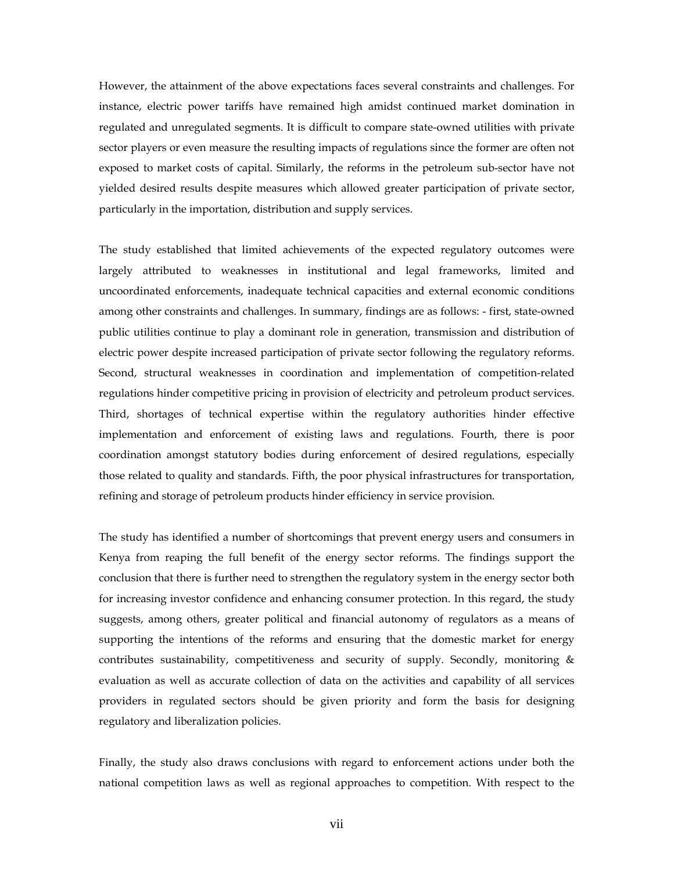However, the attainment of the above expectations faces several constraints and challenges. For instance, electric power tariffs have remained high amidst continued market domination in regulated and unregulated segments. It is difficult to compare state-owned utilities with private sector players or even measure the resulting impacts of regulations since the former are often not exposed to market costs of capital. Similarly, the reforms in the petroleum sub-sector have not yielded desired results despite measures which allowed greater participation of private sector, particularly in the importation, distribution and supply services.

The study established that limited achievements of the expected regulatory outcomes were largely attributed to weaknesses in institutional and legal frameworks, limited and uncoordinated enforcements, inadequate technical capacities and external economic conditions among other constraints and challenges. In summary, findings are as follows: - first, state-owned public utilities continue to play a dominant role in generation, transmission and distribution of electric power despite increased participation of private sector following the regulatory reforms. Second, structural weaknesses in coordination and implementation of competition-related regulations hinder competitive pricing in provision of electricity and petroleum product services. Third, shortages of technical expertise within the regulatory authorities hinder effective implementation and enforcement of existing laws and regulations. Fourth, there is poor coordination amongst statutory bodies during enforcement of desired regulations, especially those related to quality and standards. Fifth, the poor physical infrastructures for transportation, refining and storage of petroleum products hinder efficiency in service provision.

The study has identified a number of shortcomings that prevent energy users and consumers in Kenya from reaping the full benefit of the energy sector reforms. The findings support the conclusion that there is further need to strengthen the regulatory system in the energy sector both for increasing investor confidence and enhancing consumer protection. In this regard, the study suggests, among others, greater political and financial autonomy of regulators as a means of supporting the intentions of the reforms and ensuring that the domestic market for energy contributes sustainability, competitiveness and security of supply. Secondly, monitoring  $\&$ evaluation as well as accurate collection of data on the activities and capability of all services providers in regulated sectors should be given priority and form the basis for designing regulatory and liberalization policies.

Finally, the study also draws conclusions with regard to enforcement actions under both the national competition laws as well as regional approaches to competition. With respect to the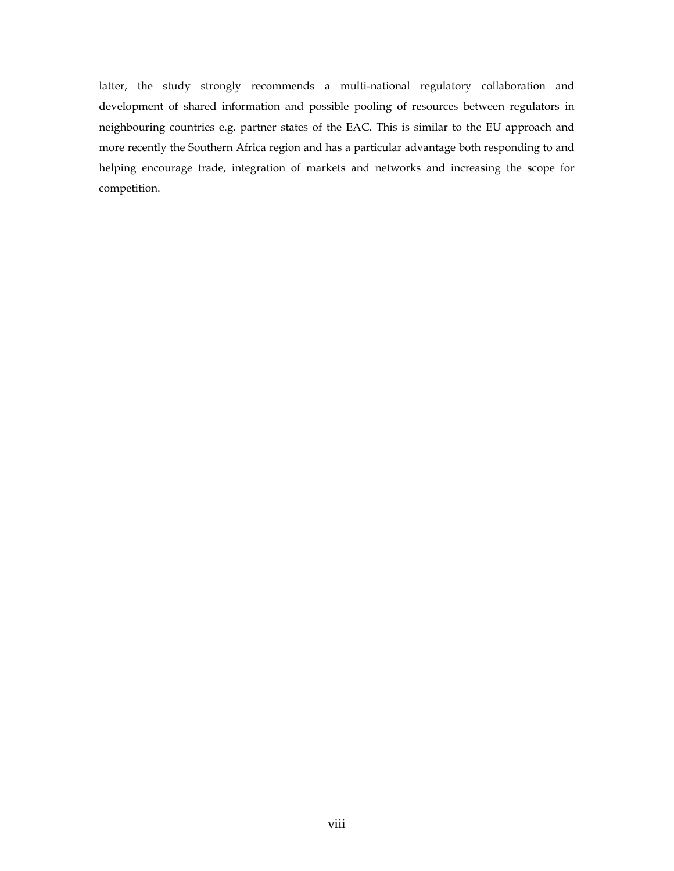latter, the study strongly recommends a multi-national regulatory collaboration and development of shared information and possible pooling of resources between regulators in neighbouring countries e.g. partner states of the EAC. This is similar to the EU approach and more recently the Southern Africa region and has a particular advantage both responding to and helping encourage trade, integration of markets and networks and increasing the scope for competition.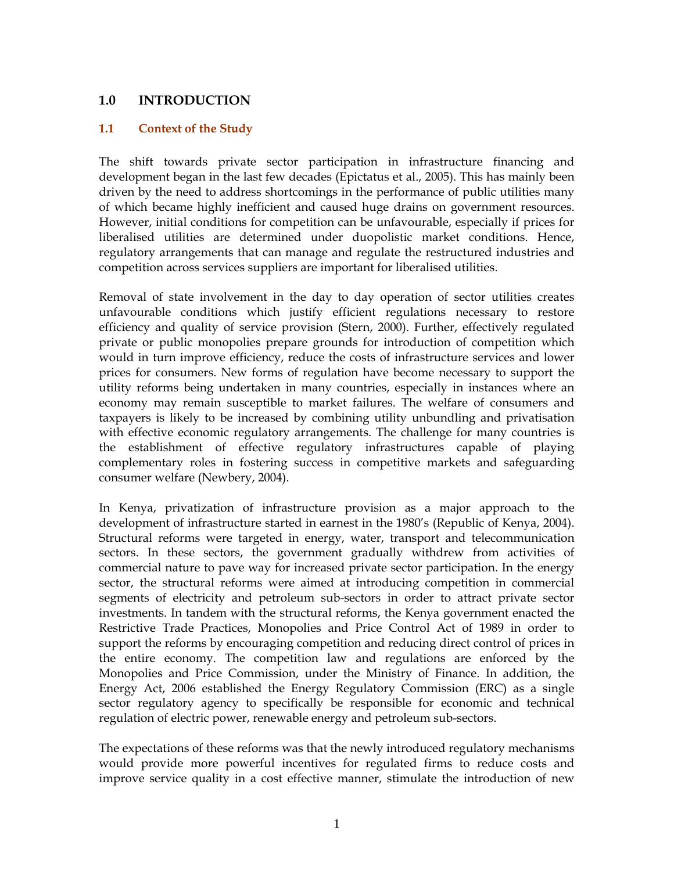## **1.0 INTRODUCTION**

#### **1.1 Context of the Study**

The shift towards private sector participation in infrastructure financing and development began in the last few decades (Epictatus et al., 2005). This has mainly been driven by the need to address shortcomings in the performance of public utilities many of which became highly inefficient and caused huge drains on government resources. However, initial conditions for competition can be unfavourable, especially if prices for liberalised utilities are determined under duopolistic market conditions. Hence, regulatory arrangements that can manage and regulate the restructured industries and competition across services suppliers are important for liberalised utilities.

Removal of state involvement in the day to day operation of sector utilities creates unfavourable conditions which justify efficient regulations necessary to restore efficiency and quality of service provision (Stern, 2000). Further, effectively regulated private or public monopolies prepare grounds for introduction of competition which would in turn improve efficiency, reduce the costs of infrastructure services and lower prices for consumers. New forms of regulation have become necessary to support the utility reforms being undertaken in many countries, especially in instances where an economy may remain susceptible to market failures. The welfare of consumers and taxpayers is likely to be increased by combining utility unbundling and privatisation with effective economic regulatory arrangements. The challenge for many countries is the establishment of effective regulatory infrastructures capable of playing complementary roles in fostering success in competitive markets and safeguarding consumer welfare (Newbery, 2004).

In Kenya, privatization of infrastructure provision as a major approach to the development of infrastructure started in earnest in the 1980's (Republic of Kenya, 2004). Structural reforms were targeted in energy, water, transport and telecommunication sectors. In these sectors, the government gradually withdrew from activities of commercial nature to pave way for increased private sector participation. In the energy sector, the structural reforms were aimed at introducing competition in commercial segments of electricity and petroleum sub-sectors in order to attract private sector investments. In tandem with the structural reforms, the Kenya government enacted the Restrictive Trade Practices, Monopolies and Price Control Act of 1989 in order to support the reforms by encouraging competition and reducing direct control of prices in the entire economy. The competition law and regulations are enforced by the Monopolies and Price Commission, under the Ministry of Finance. In addition, the Energy Act, 2006 established the Energy Regulatory Commission (ERC) as a single sector regulatory agency to specifically be responsible for economic and technical regulation of electric power, renewable energy and petroleum sub-sectors.

The expectations of these reforms was that the newly introduced regulatory mechanisms would provide more powerful incentives for regulated firms to reduce costs and improve service quality in a cost effective manner, stimulate the introduction of new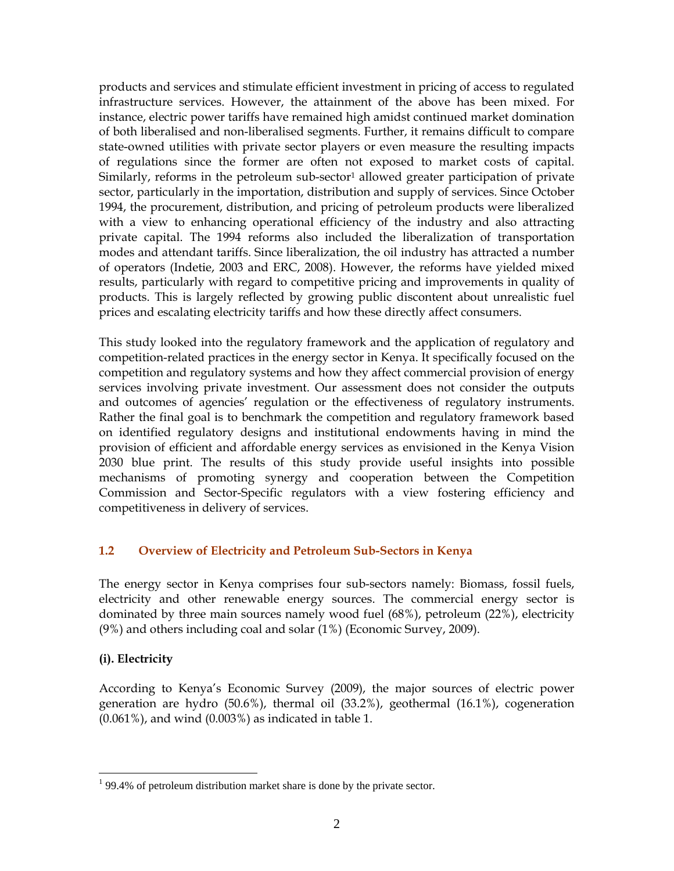products and services and stimulate efficient investment in pricing of access to regulated infrastructure services. However, the attainment of the above has been mixed. For instance, electric power tariffs have remained high amidst continued market domination of both liberalised and non-liberalised segments. Further, it remains difficult to compare state-owned utilities with private sector players or even measure the resulting impacts of regulations since the former are often not exposed to market costs of capital. Similarly, reforms in the petroleum sub-sector<sup>1</sup> allowed greater participation of private sector, particularly in the importation, distribution and supply of services. Since October 1994, the procurement, distribution, and pricing of petroleum products were liberalized with a view to enhancing operational efficiency of the industry and also attracting private capital. The 1994 reforms also included the liberalization of transportation modes and attendant tariffs. Since liberalization, the oil industry has attracted a number of operators (Indetie, 2003 and ERC, 2008). However, the reforms have yielded mixed results, particularly with regard to competitive pricing and improvements in quality of products. This is largely reflected by growing public discontent about unrealistic fuel prices and escalating electricity tariffs and how these directly affect consumers.

This study looked into the regulatory framework and the application of regulatory and competition-related practices in the energy sector in Kenya. It specifically focused on the competition and regulatory systems and how they affect commercial provision of energy services involving private investment. Our assessment does not consider the outputs and outcomes of agencies' regulation or the effectiveness of regulatory instruments. Rather the final goal is to benchmark the competition and regulatory framework based on identified regulatory designs and institutional endowments having in mind the provision of efficient and affordable energy services as envisioned in the Kenya Vision 2030 blue print. The results of this study provide useful insights into possible mechanisms of promoting synergy and cooperation between the Competition Commission and Sector-Specific regulators with a view fostering efficiency and competitiveness in delivery of services.

## **1.2 Overview of Electricity and Petroleum Sub-Sectors in Kenya**

The energy sector in Kenya comprises four sub-sectors namely: Biomass, fossil fuels, electricity and other renewable energy sources. The commercial energy sector is dominated by three main sources namely wood fuel (68%), petroleum (22%), electricity (9%) and others including coal and solar (1%) (Economic Survey, 2009).

### **(i). Electricity**

 $\overline{a}$ 

According to Kenya's Economic Survey (2009), the major sources of electric power generation are hydro (50.6%), thermal oil (33.2%), geothermal (16.1%), cogeneration (0.061%), and wind (0.003%) as indicated in table 1.

 $199.4\%$  of petroleum distribution market share is done by the private sector.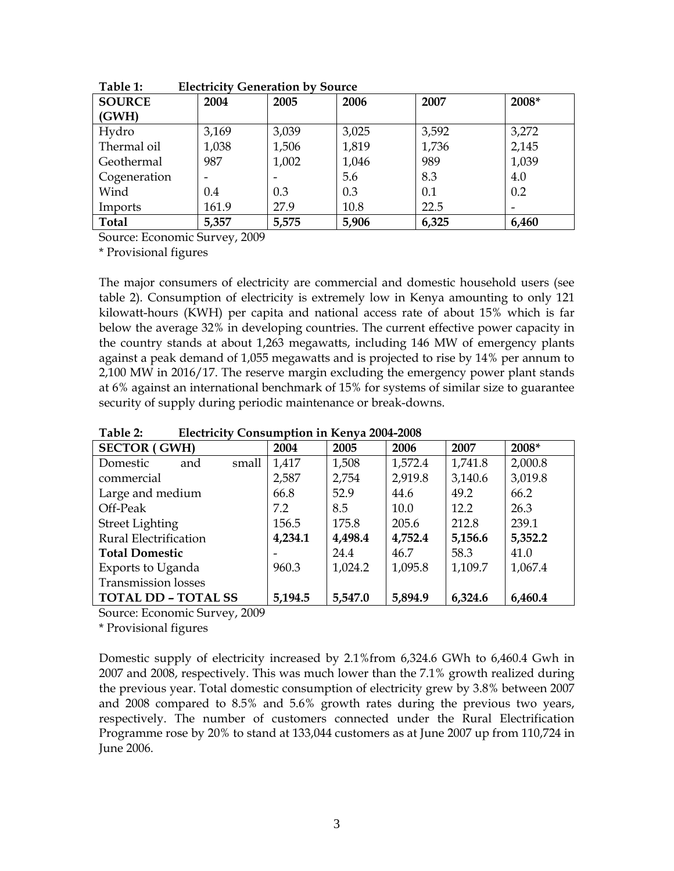| <b>SOURCE</b> | <br>2004 | 2005                     | 2006  | 2007  | 2008* |
|---------------|----------|--------------------------|-------|-------|-------|
| (GWH)         |          |                          |       |       |       |
| Hydro         | 3,169    | 3,039                    | 3,025 | 3,592 | 3,272 |
| Thermal oil   | 1,038    | 1,506                    | 1,819 | 1,736 | 2,145 |
| Geothermal    | 987      | 1,002                    | 1,046 | 989   | 1,039 |
| Cogeneration  |          | $\overline{\phantom{a}}$ | 5.6   | 8.3   | 4.0   |
| Wind          | 0.4      | 0.3                      | 0.3   | 0.1   | 0.2   |
| Imports       | 161.9    | 27.9                     | 10.8  | 22.5  |       |
| <b>Total</b>  | 5,357    | 5,575                    | 5,906 | 6,325 | 6,460 |

**Table 1: Electricity Generation by Source** 

Source: Economic Survey, 2009

\* Provisional figures

The major consumers of electricity are commercial and domestic household users (see table 2). Consumption of electricity is extremely low in Kenya amounting to only 121 kilowatt-hours (KWH) per capita and national access rate of about 15% which is far below the average 32% in developing countries. The current effective power capacity in the country stands at about 1,263 megawatts, including 146 MW of emergency plants against a peak demand of 1,055 megawatts and is projected to rise by 14% per annum to 2,100 MW in 2016/17. The reserve margin excluding the emergency power plant stands at 6% against an international benchmark of 15% for systems of similar size to guarantee security of supply during periodic maintenance or break-downs.

| Table 2:       | <b>Electricity Consumption in Kenya 2004-2008</b> |  |             |      |  |
|----------------|---------------------------------------------------|--|-------------|------|--|
| CECTOD / CLUID | nnn 1                                             |  | <b>DOOF</b> | nnnc |  |

| <b>SECTOR (GWH)</b>        | 2004    | 2005    | 2006    | 2007    | 2008*   |
|----------------------------|---------|---------|---------|---------|---------|
| small<br>Domestic<br>and   | 1,417   | 1,508   | 1,572.4 | 1,741.8 | 2,000.8 |
| commercial                 | 2,587   | 2,754   | 2,919.8 | 3,140.6 | 3,019.8 |
| Large and medium           | 66.8    | 52.9    | 44.6    | 49.2    | 66.2    |
| Off-Peak                   | 7.2     | 8.5     | 10.0    | 12.2    | 26.3    |
| <b>Street Lighting</b>     | 156.5   | 175.8   | 205.6   | 212.8   | 239.1   |
| Rural Electrification      | 4,234.1 | 4,498.4 | 4,752.4 | 5,156.6 | 5,352.2 |
| <b>Total Domestic</b>      |         | 24.4    | 46.7    | 58.3    | 41.0    |
| Exports to Uganda          | 960.3   | 1,024.2 | 1,095.8 | 1,109.7 | 1,067.4 |
| <b>Transmission losses</b> |         |         |         |         |         |
| <b>TOTAL DD - TOTAL SS</b> | 5,194.5 | 5,547.0 | 5,894.9 | 6,324.6 | 6,460.4 |

Source: Economic Survey, 2009

\* Provisional figures

Domestic supply of electricity increased by 2.1%from 6,324.6 GWh to 6,460.4 Gwh in 2007 and 2008, respectively. This was much lower than the 7.1% growth realized during the previous year. Total domestic consumption of electricity grew by 3.8% between 2007 and 2008 compared to 8.5% and 5.6% growth rates during the previous two years, respectively. The number of customers connected under the Rural Electrification Programme rose by 20% to stand at 133,044 customers as at June 2007 up from 110,724 in June 2006.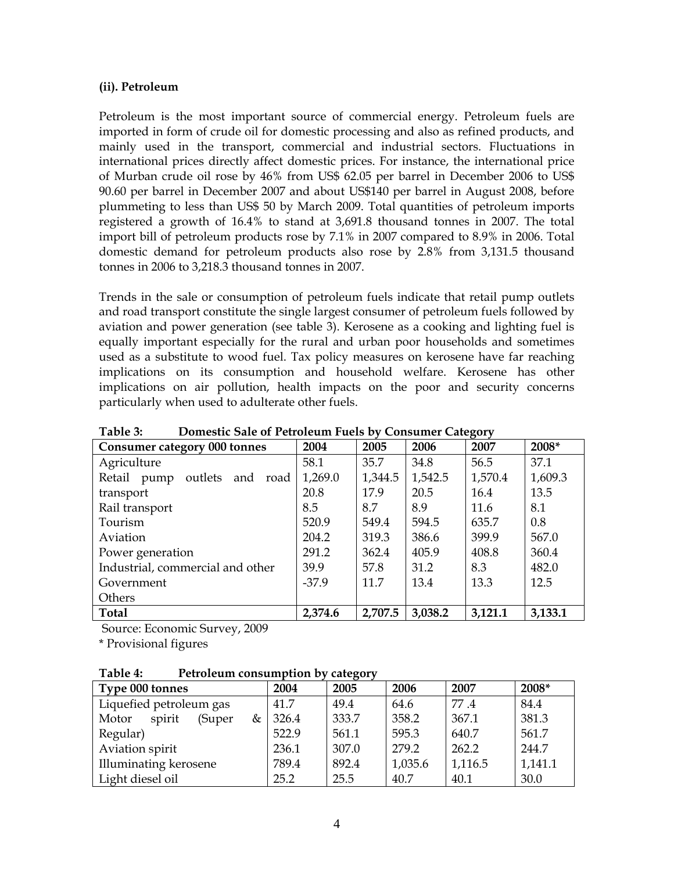#### **(ii). Petroleum**

Petroleum is the most important source of commercial energy. Petroleum fuels are imported in form of crude oil for domestic processing and also as refined products, and mainly used in the transport, commercial and industrial sectors. Fluctuations in international prices directly affect domestic prices. For instance, the international price of Murban crude oil rose by 46% from US\$ 62.05 per barrel in December 2006 to US\$ 90.60 per barrel in December 2007 and about US\$140 per barrel in August 2008, before plummeting to less than US\$ 50 by March 2009. Total quantities of petroleum imports registered a growth of 16.4% to stand at 3,691.8 thousand tonnes in 2007. The total import bill of petroleum products rose by 7.1% in 2007 compared to 8.9% in 2006. Total domestic demand for petroleum products also rose by 2.8% from 3,131.5 thousand tonnes in 2006 to 3,218.3 thousand tonnes in 2007.

Trends in the sale or consumption of petroleum fuels indicate that retail pump outlets and road transport constitute the single largest consumer of petroleum fuels followed by aviation and power generation (see table 3). Kerosene as a cooking and lighting fuel is equally important especially for the rural and urban poor households and sometimes used as a substitute to wood fuel. Tax policy measures on kerosene have far reaching implications on its consumption and household welfare. Kerosene has other implications on air pollution, health impacts on the poor and security concerns particularly when used to adulterate other fuels.

| <b>Consumer category 000 tonnes</b> | 2004    | 2005    | 2006    | 2007    | 2008*   |
|-------------------------------------|---------|---------|---------|---------|---------|
| Agriculture                         | 58.1    | 35.7    | 34.8    | 56.5    | 37.1    |
| Retail pump outlets and<br>road     | 1,269.0 | 1,344.5 | 1,542.5 | 1,570.4 | 1,609.3 |
| transport                           | 20.8    | 17.9    | 20.5    | 16.4    | 13.5    |
| Rail transport                      | 8.5     | 8.7     | 8.9     | 11.6    | 8.1     |
| Tourism                             | 520.9   | 549.4   | 594.5   | 635.7   | 0.8     |
| Aviation                            | 204.2   | 319.3   | 386.6   | 399.9   | 567.0   |
| Power generation                    | 291.2   | 362.4   | 405.9   | 408.8   | 360.4   |
| Industrial, commercial and other    | 39.9    | 57.8    | 31.2    | 8.3     | 482.0   |
| Government                          | $-37.9$ | 11.7    | 13.4    | 13.3    | 12.5    |
| Others                              |         |         |         |         |         |
| <b>Total</b>                        | 2,374.6 | 2,707.5 | 3,038.2 | 3,121.1 | 3,133.1 |

**Table 3: Domestic Sale of Petroleum Fuels by Consumer Category** 

Source: Economic Survey, 2009

\* Provisional figures

**Table 4: Petroleum consumption by category** 

| Type 000 tonnes                | 2004  | 2005  | 2006    | 2007    | 2008*   |
|--------------------------------|-------|-------|---------|---------|---------|
| Liquefied petroleum gas        | 41.7  | 49.4  | 64.6    | 77.4    | 84.4    |
| spirit<br>Motor<br>(Super<br>& | 326.4 | 333.7 | 358.2   | 367.1   | 381.3   |
| Regular)                       | 522.9 | 561.1 | 595.3   | 640.7   | 561.7   |
| Aviation spirit                | 236.1 | 307.0 | 279.2   | 262.2   | 244.7   |
| <b>Illuminating kerosene</b>   | 789.4 | 892.4 | 1,035.6 | 1,116.5 | 1,141.1 |
| Light diesel oil               | 25.2  | 25.5  | 40.7    | 40.1    | 30.0    |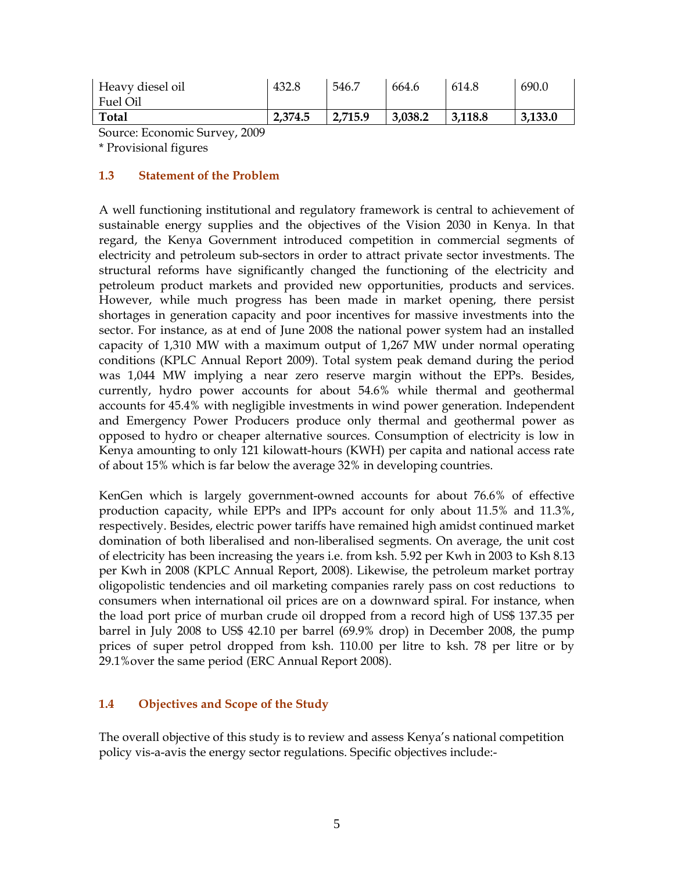| Heavy diesel oil | 432.8   | 546.7   | 664.6   | 614.8   | 690.0   |
|------------------|---------|---------|---------|---------|---------|
| Fuel Oil         |         |         |         |         |         |
| Total            | 2,374.5 | 2,715.9 | 3,038.2 | 3,118.8 | 3,133.0 |

Source: Economic Survey, 2009

\* Provisional figures

#### **1.3 Statement of the Problem**

A well functioning institutional and regulatory framework is central to achievement of sustainable energy supplies and the objectives of the Vision 2030 in Kenya. In that regard, the Kenya Government introduced competition in commercial segments of electricity and petroleum sub-sectors in order to attract private sector investments. The structural reforms have significantly changed the functioning of the electricity and petroleum product markets and provided new opportunities, products and services. However, while much progress has been made in market opening, there persist shortages in generation capacity and poor incentives for massive investments into the sector. For instance, as at end of June 2008 the national power system had an installed capacity of 1,310 MW with a maximum output of 1,267 MW under normal operating conditions (KPLC Annual Report 2009). Total system peak demand during the period was 1,044 MW implying a near zero reserve margin without the EPPs. Besides, currently, hydro power accounts for about 54.6% while thermal and geothermal accounts for 45.4% with negligible investments in wind power generation. Independent and Emergency Power Producers produce only thermal and geothermal power as opposed to hydro or cheaper alternative sources. Consumption of electricity is low in Kenya amounting to only 121 kilowatt-hours (KWH) per capita and national access rate of about 15% which is far below the average 32% in developing countries.

KenGen which is largely government-owned accounts for about 76.6% of effective production capacity, while EPPs and IPPs account for only about 11.5% and 11.3%, respectively. Besides, electric power tariffs have remained high amidst continued market domination of both liberalised and non-liberalised segments. On average, the unit cost of electricity has been increasing the years i.e. from ksh. 5.92 per Kwh in 2003 to Ksh 8.13 per Kwh in 2008 (KPLC Annual Report, 2008). Likewise, the petroleum market portray oligopolistic tendencies and oil marketing companies rarely pass on cost reductions to consumers when international oil prices are on a downward spiral. For instance, when the load port price of murban crude oil dropped from a record high of US\$ 137.35 per barrel in July 2008 to US\$ 42.10 per barrel (69.9% drop) in December 2008, the pump prices of super petrol dropped from ksh. 110.00 per litre to ksh. 78 per litre or by 29.1%over the same period (ERC Annual Report 2008).

### **1.4 Objectives and Scope of the Study**

The overall objective of this study is to review and assess Kenya's national competition policy vis-a-avis the energy sector regulations. Specific objectives include:-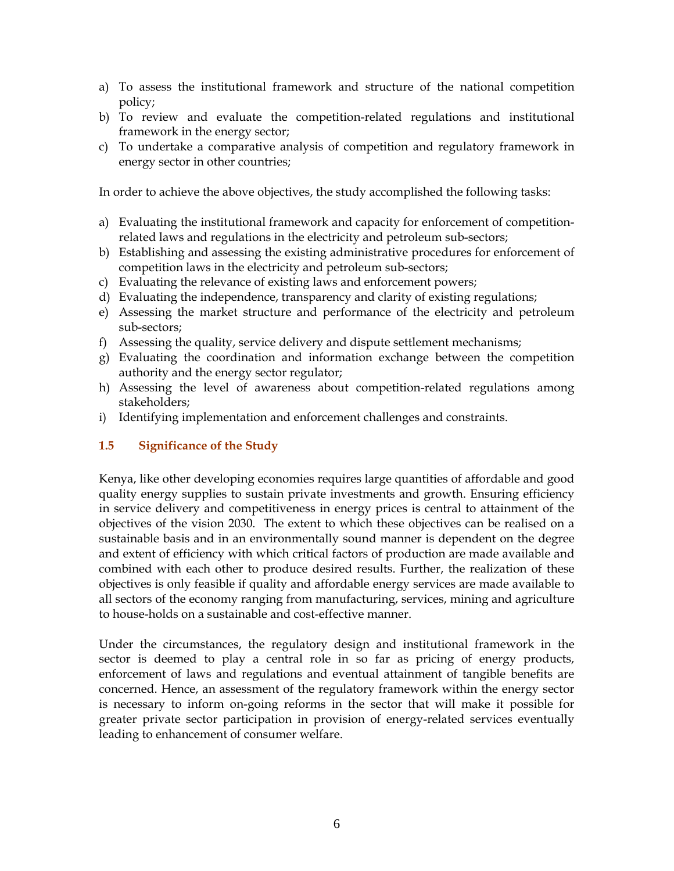- a) To assess the institutional framework and structure of the national competition policy;
- b) To review and evaluate the competition-related regulations and institutional framework in the energy sector;
- c) To undertake a comparative analysis of competition and regulatory framework in energy sector in other countries;

In order to achieve the above objectives, the study accomplished the following tasks:

- a) Evaluating the institutional framework and capacity for enforcement of competitionrelated laws and regulations in the electricity and petroleum sub-sectors;
- b) Establishing and assessing the existing administrative procedures for enforcement of competition laws in the electricity and petroleum sub-sectors;
- c) Evaluating the relevance of existing laws and enforcement powers;
- d) Evaluating the independence, transparency and clarity of existing regulations;
- e) Assessing the market structure and performance of the electricity and petroleum sub-sectors;
- f) Assessing the quality, service delivery and dispute settlement mechanisms;
- g) Evaluating the coordination and information exchange between the competition authority and the energy sector regulator;
- h) Assessing the level of awareness about competition-related regulations among stakeholders;
- i) Identifying implementation and enforcement challenges and constraints.

## **1.5 Significance of the Study**

Kenya, like other developing economies requires large quantities of affordable and good quality energy supplies to sustain private investments and growth. Ensuring efficiency in service delivery and competitiveness in energy prices is central to attainment of the objectives of the vision 2030. The extent to which these objectives can be realised on a sustainable basis and in an environmentally sound manner is dependent on the degree and extent of efficiency with which critical factors of production are made available and combined with each other to produce desired results. Further, the realization of these objectives is only feasible if quality and affordable energy services are made available to all sectors of the economy ranging from manufacturing, services, mining and agriculture to house-holds on a sustainable and cost-effective manner.

Under the circumstances, the regulatory design and institutional framework in the sector is deemed to play a central role in so far as pricing of energy products, enforcement of laws and regulations and eventual attainment of tangible benefits are concerned. Hence, an assessment of the regulatory framework within the energy sector is necessary to inform on-going reforms in the sector that will make it possible for greater private sector participation in provision of energy-related services eventually leading to enhancement of consumer welfare.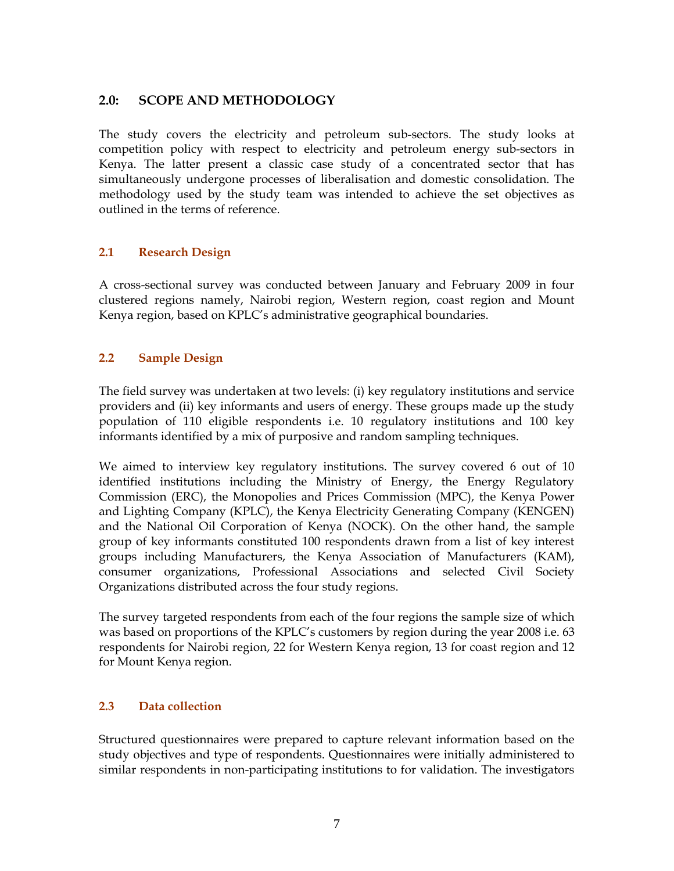## **2.0: SCOPE AND METHODOLOGY**

The study covers the electricity and petroleum sub-sectors. The study looks at competition policy with respect to electricity and petroleum energy sub-sectors in Kenya. The latter present a classic case study of a concentrated sector that has simultaneously undergone processes of liberalisation and domestic consolidation. The methodology used by the study team was intended to achieve the set objectives as outlined in the terms of reference.

### **2.1 Research Design**

A cross-sectional survey was conducted between January and February 2009 in four clustered regions namely, Nairobi region, Western region, coast region and Mount Kenya region, based on KPLC's administrative geographical boundaries.

### **2.2 Sample Design**

The field survey was undertaken at two levels: (i) key regulatory institutions and service providers and (ii) key informants and users of energy. These groups made up the study population of 110 eligible respondents i.e. 10 regulatory institutions and 100 key informants identified by a mix of purposive and random sampling techniques.

We aimed to interview key regulatory institutions. The survey covered 6 out of 10 identified institutions including the Ministry of Energy, the Energy Regulatory Commission (ERC), the Monopolies and Prices Commission (MPC), the Kenya Power and Lighting Company (KPLC), the Kenya Electricity Generating Company (KENGEN) and the National Oil Corporation of Kenya (NOCK). On the other hand, the sample group of key informants constituted 100 respondents drawn from a list of key interest groups including Manufacturers, the Kenya Association of Manufacturers (KAM), consumer organizations, Professional Associations and selected Civil Society Organizations distributed across the four study regions.

The survey targeted respondents from each of the four regions the sample size of which was based on proportions of the KPLC's customers by region during the year 2008 i.e. 63 respondents for Nairobi region, 22 for Western Kenya region, 13 for coast region and 12 for Mount Kenya region.

### **2.3 Data collection**

Structured questionnaires were prepared to capture relevant information based on the study objectives and type of respondents. Questionnaires were initially administered to similar respondents in non-participating institutions to for validation. The investigators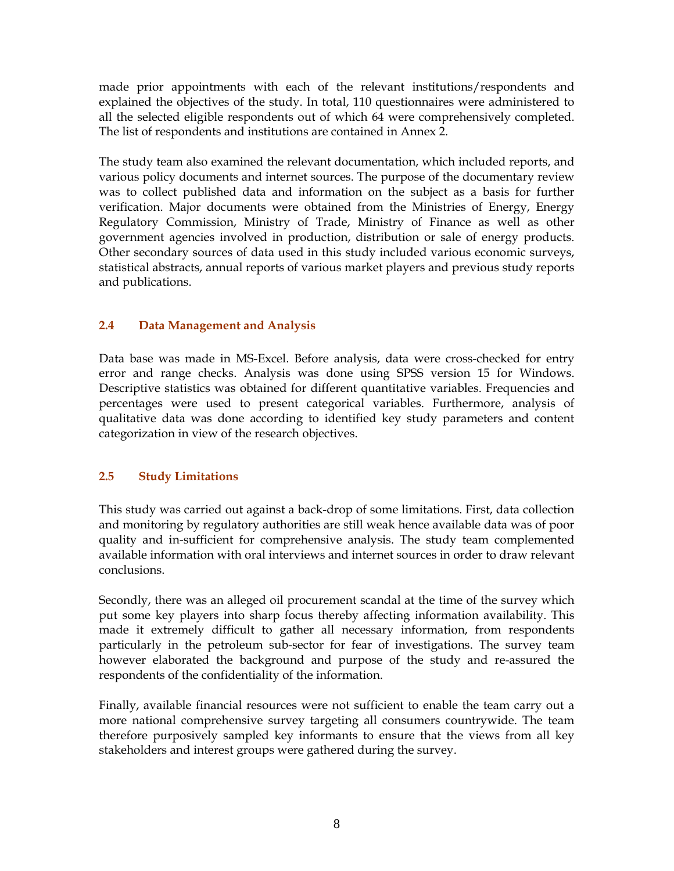made prior appointments with each of the relevant institutions/respondents and explained the objectives of the study. In total, 110 questionnaires were administered to all the selected eligible respondents out of which 64 were comprehensively completed. The list of respondents and institutions are contained in Annex 2.

The study team also examined the relevant documentation, which included reports, and various policy documents and internet sources. The purpose of the documentary review was to collect published data and information on the subject as a basis for further verification. Major documents were obtained from the Ministries of Energy, Energy Regulatory Commission, Ministry of Trade, Ministry of Finance as well as other government agencies involved in production, distribution or sale of energy products. Other secondary sources of data used in this study included various economic surveys, statistical abstracts, annual reports of various market players and previous study reports and publications.

## **2.4 Data Management and Analysis**

Data base was made in MS-Excel. Before analysis, data were cross-checked for entry error and range checks. Analysis was done using SPSS version 15 for Windows. Descriptive statistics was obtained for different quantitative variables. Frequencies and percentages were used to present categorical variables. Furthermore, analysis of qualitative data was done according to identified key study parameters and content categorization in view of the research objectives.

## **2.5 Study Limitations**

This study was carried out against a back-drop of some limitations. First, data collection and monitoring by regulatory authorities are still weak hence available data was of poor quality and in-sufficient for comprehensive analysis. The study team complemented available information with oral interviews and internet sources in order to draw relevant conclusions.

Secondly, there was an alleged oil procurement scandal at the time of the survey which put some key players into sharp focus thereby affecting information availability. This made it extremely difficult to gather all necessary information, from respondents particularly in the petroleum sub-sector for fear of investigations. The survey team however elaborated the background and purpose of the study and re-assured the respondents of the confidentiality of the information.

Finally, available financial resources were not sufficient to enable the team carry out a more national comprehensive survey targeting all consumers countrywide. The team therefore purposively sampled key informants to ensure that the views from all key stakeholders and interest groups were gathered during the survey.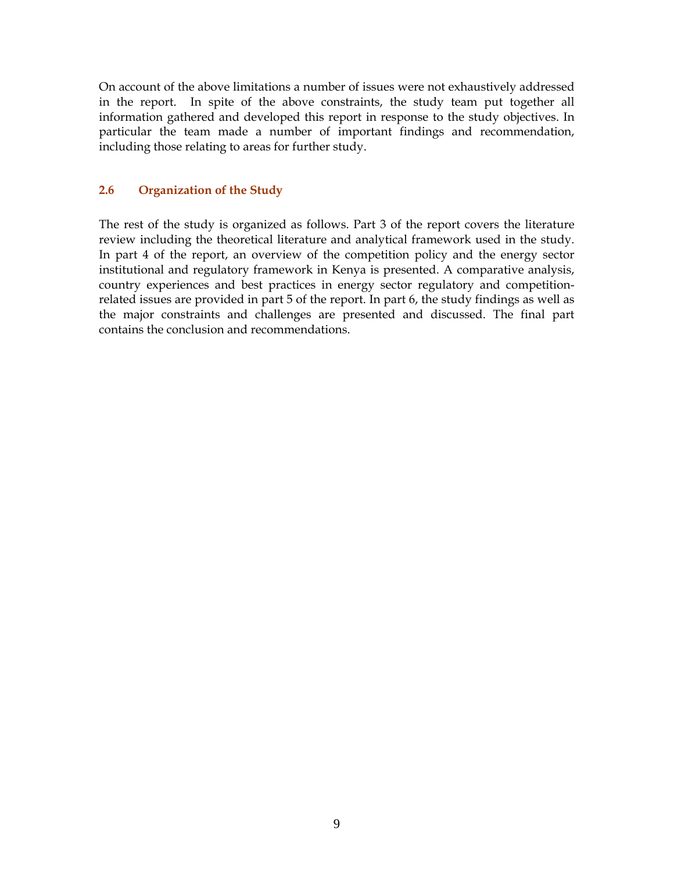On account of the above limitations a number of issues were not exhaustively addressed in the report. In spite of the above constraints, the study team put together all information gathered and developed this report in response to the study objectives. In particular the team made a number of important findings and recommendation, including those relating to areas for further study.

### **2.6 Organization of the Study**

The rest of the study is organized as follows. Part 3 of the report covers the literature review including the theoretical literature and analytical framework used in the study. In part 4 of the report, an overview of the competition policy and the energy sector institutional and regulatory framework in Kenya is presented. A comparative analysis, country experiences and best practices in energy sector regulatory and competitionrelated issues are provided in part 5 of the report. In part 6, the study findings as well as the major constraints and challenges are presented and discussed. The final part contains the conclusion and recommendations.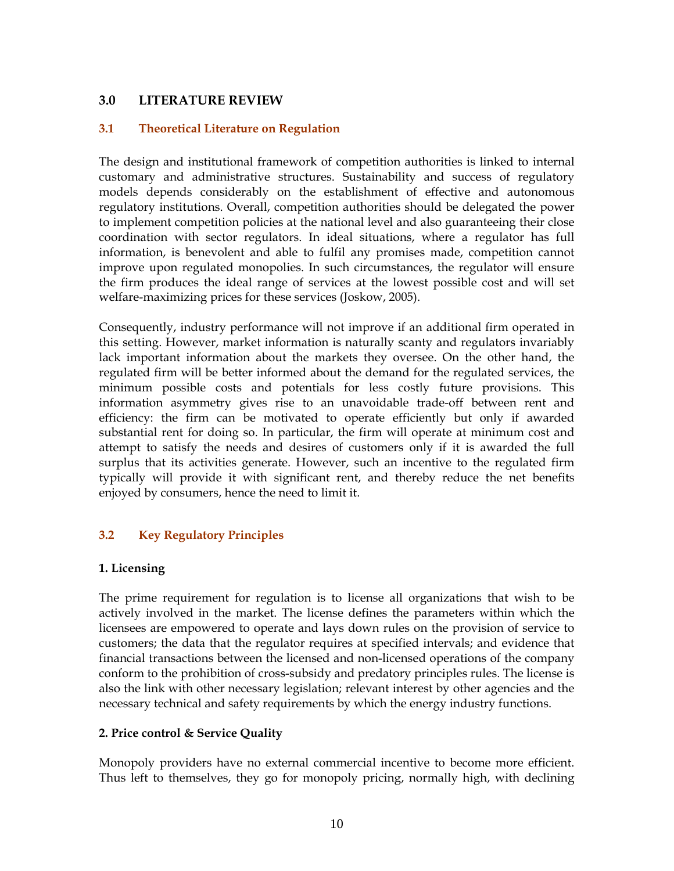## **3.0 LITERATURE REVIEW**

### **3.1 Theoretical Literature on Regulation**

The design and institutional framework of competition authorities is linked to internal customary and administrative structures. Sustainability and success of regulatory models depends considerably on the establishment of effective and autonomous regulatory institutions. Overall, competition authorities should be delegated the power to implement competition policies at the national level and also guaranteeing their close coordination with sector regulators. In ideal situations, where a regulator has full information, is benevolent and able to fulfil any promises made, competition cannot improve upon regulated monopolies. In such circumstances, the regulator will ensure the firm produces the ideal range of services at the lowest possible cost and will set welfare-maximizing prices for these services (Joskow, 2005).

Consequently, industry performance will not improve if an additional firm operated in this setting. However, market information is naturally scanty and regulators invariably lack important information about the markets they oversee. On the other hand, the regulated firm will be better informed about the demand for the regulated services, the minimum possible costs and potentials for less costly future provisions. This information asymmetry gives rise to an unavoidable trade-off between rent and efficiency: the firm can be motivated to operate efficiently but only if awarded substantial rent for doing so. In particular, the firm will operate at minimum cost and attempt to satisfy the needs and desires of customers only if it is awarded the full surplus that its activities generate. However, such an incentive to the regulated firm typically will provide it with significant rent, and thereby reduce the net benefits enjoyed by consumers, hence the need to limit it.

### **3.2 Key Regulatory Principles**

### **1. Licensing**

The prime requirement for regulation is to license all organizations that wish to be actively involved in the market. The license defines the parameters within which the licensees are empowered to operate and lays down rules on the provision of service to customers; the data that the regulator requires at specified intervals; and evidence that financial transactions between the licensed and non-licensed operations of the company conform to the prohibition of cross-subsidy and predatory principles rules. The license is also the link with other necessary legislation; relevant interest by other agencies and the necessary technical and safety requirements by which the energy industry functions.

### **2. Price control & Service Quality**

Monopoly providers have no external commercial incentive to become more efficient. Thus left to themselves, they go for monopoly pricing, normally high, with declining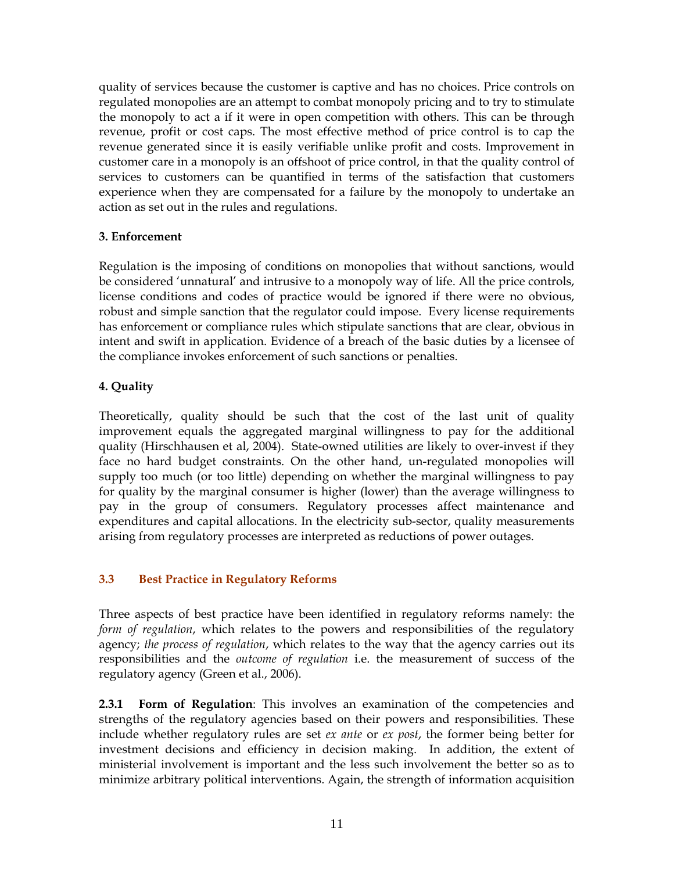quality of services because the customer is captive and has no choices. Price controls on regulated monopolies are an attempt to combat monopoly pricing and to try to stimulate the monopoly to act a if it were in open competition with others. This can be through revenue, profit or cost caps. The most effective method of price control is to cap the revenue generated since it is easily verifiable unlike profit and costs. Improvement in customer care in a monopoly is an offshoot of price control, in that the quality control of services to customers can be quantified in terms of the satisfaction that customers experience when they are compensated for a failure by the monopoly to undertake an action as set out in the rules and regulations.

### **3. Enforcement**

Regulation is the imposing of conditions on monopolies that without sanctions, would be considered 'unnatural' and intrusive to a monopoly way of life. All the price controls, license conditions and codes of practice would be ignored if there were no obvious, robust and simple sanction that the regulator could impose. Every license requirements has enforcement or compliance rules which stipulate sanctions that are clear, obvious in intent and swift in application. Evidence of a breach of the basic duties by a licensee of the compliance invokes enforcement of such sanctions or penalties.

### **4. Quality**

Theoretically, quality should be such that the cost of the last unit of quality improvement equals the aggregated marginal willingness to pay for the additional quality (Hirschhausen et al, 2004). State-owned utilities are likely to over-invest if they face no hard budget constraints. On the other hand, un-regulated monopolies will supply too much (or too little) depending on whether the marginal willingness to pay for quality by the marginal consumer is higher (lower) than the average willingness to pay in the group of consumers. Regulatory processes affect maintenance and expenditures and capital allocations. In the electricity sub-sector, quality measurements arising from regulatory processes are interpreted as reductions of power outages.

### **3.3 Best Practice in Regulatory Reforms**

Three aspects of best practice have been identified in regulatory reforms namely: the *form of regulation*, which relates to the powers and responsibilities of the regulatory agency; *the process of regulation*, which relates to the way that the agency carries out its responsibilities and the *outcome of regulation* i.e. the measurement of success of the regulatory agency (Green et al., 2006).

**2.3.1 Form of Regulation**: This involves an examination of the competencies and strengths of the regulatory agencies based on their powers and responsibilities. These include whether regulatory rules are set *ex ante* or *ex post*, the former being better for investment decisions and efficiency in decision making. In addition, the extent of ministerial involvement is important and the less such involvement the better so as to minimize arbitrary political interventions. Again, the strength of information acquisition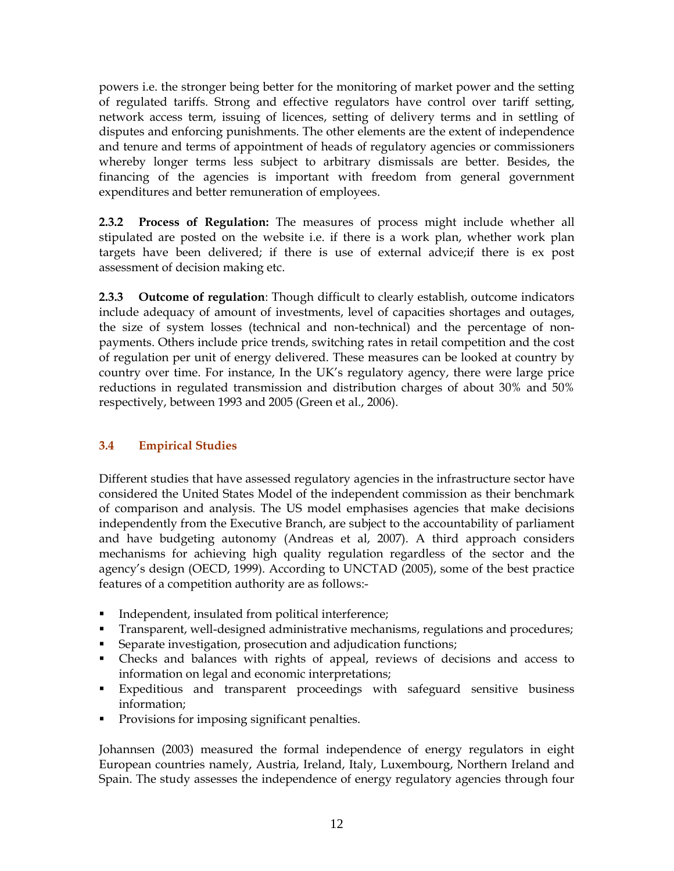powers i.e. the stronger being better for the monitoring of market power and the setting of regulated tariffs. Strong and effective regulators have control over tariff setting, network access term, issuing of licences, setting of delivery terms and in settling of disputes and enforcing punishments. The other elements are the extent of independence and tenure and terms of appointment of heads of regulatory agencies or commissioners whereby longer terms less subject to arbitrary dismissals are better. Besides, the financing of the agencies is important with freedom from general government expenditures and better remuneration of employees.

**2.3.2 Process of Regulation:** The measures of process might include whether all stipulated are posted on the website i.e. if there is a work plan, whether work plan targets have been delivered; if there is use of external advice;if there is ex post assessment of decision making etc.

**2.3.3 Outcome of regulation**: Though difficult to clearly establish, outcome indicators include adequacy of amount of investments, level of capacities shortages and outages, the size of system losses (technical and non-technical) and the percentage of nonpayments. Others include price trends, switching rates in retail competition and the cost of regulation per unit of energy delivered. These measures can be looked at country by country over time. For instance, In the UK's regulatory agency, there were large price reductions in regulated transmission and distribution charges of about 30% and 50% respectively, between 1993 and 2005 (Green et al., 2006).

## **3.4 Empirical Studies**

Different studies that have assessed regulatory agencies in the infrastructure sector have considered the United States Model of the independent commission as their benchmark of comparison and analysis. The US model emphasises agencies that make decisions independently from the Executive Branch, are subject to the accountability of parliament and have budgeting autonomy (Andreas et al, 2007). A third approach considers mechanisms for achieving high quality regulation regardless of the sector and the agency's design (OECD, 1999). According to UNCTAD (2005), some of the best practice features of a competition authority are as follows:-

- Independent, insulated from political interference;
- Transparent, well-designed administrative mechanisms, regulations and procedures;
- Separate investigation, prosecution and adjudication functions;
- Checks and balances with rights of appeal, reviews of decisions and access to information on legal and economic interpretations;
- Expeditious and transparent proceedings with safeguard sensitive business information;
- Provisions for imposing significant penalties.

Johannsen (2003) measured the formal independence of energy regulators in eight European countries namely, Austria, Ireland, Italy, Luxembourg, Northern Ireland and Spain. The study assesses the independence of energy regulatory agencies through four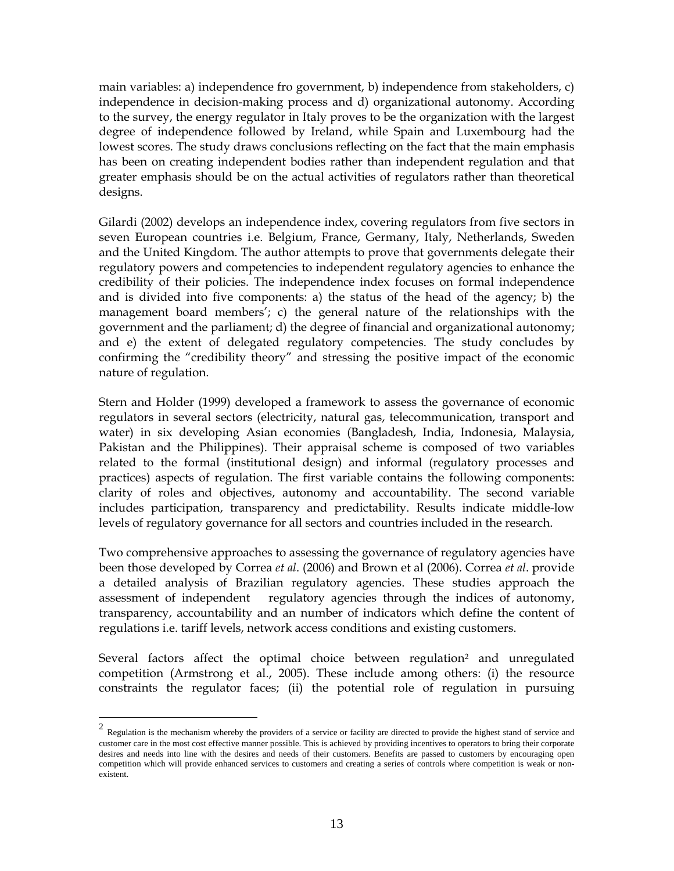main variables: a) independence fro government, b) independence from stakeholders, c) independence in decision-making process and d) organizational autonomy. According to the survey, the energy regulator in Italy proves to be the organization with the largest degree of independence followed by Ireland, while Spain and Luxembourg had the lowest scores. The study draws conclusions reflecting on the fact that the main emphasis has been on creating independent bodies rather than independent regulation and that greater emphasis should be on the actual activities of regulators rather than theoretical designs.

Gilardi (2002) develops an independence index, covering regulators from five sectors in seven European countries i.e. Belgium, France, Germany, Italy, Netherlands, Sweden and the United Kingdom. The author attempts to prove that governments delegate their regulatory powers and competencies to independent regulatory agencies to enhance the credibility of their policies. The independence index focuses on formal independence and is divided into five components: a) the status of the head of the agency; b) the management board members'; c) the general nature of the relationships with the government and the parliament; d) the degree of financial and organizational autonomy; and e) the extent of delegated regulatory competencies. The study concludes by confirming the "credibility theory" and stressing the positive impact of the economic nature of regulation.

Stern and Holder (1999) developed a framework to assess the governance of economic regulators in several sectors (electricity, natural gas, telecommunication, transport and water) in six developing Asian economies (Bangladesh, India, Indonesia, Malaysia, Pakistan and the Philippines). Their appraisal scheme is composed of two variables related to the formal (institutional design) and informal (regulatory processes and practices) aspects of regulation. The first variable contains the following components: clarity of roles and objectives, autonomy and accountability. The second variable includes participation, transparency and predictability. Results indicate middle-low levels of regulatory governance for all sectors and countries included in the research.

Two comprehensive approaches to assessing the governance of regulatory agencies have been those developed by Correa *et al*. (2006) and Brown et al (2006). Correa *et al*. provide a detailed analysis of Brazilian regulatory agencies. These studies approach the assessment of independent regulatory agencies through the indices of autonomy, transparency, accountability and an number of indicators which define the content of regulations i.e. tariff levels, network access conditions and existing customers.

Several factors affect the optimal choice between regulation<sup>2</sup> and unregulated competition (Armstrong et al., 2005). These include among others: (i) the resource constraints the regulator faces; (ii) the potential role of regulation in pursuing

 $\overline{a}$ 

<sup>&</sup>lt;sup>2</sup> Regulation is the mechanism whereby the providers of a service or facility are directed to provide the highest stand of service and customer care in the most cost effective manner possible. This is achieved by providing incentives to operators to bring their corporate desires and needs into line with the desires and needs of their customers. Benefits are passed to customers by encouraging open competition which will provide enhanced services to customers and creating a series of controls where competition is weak or nonexistent.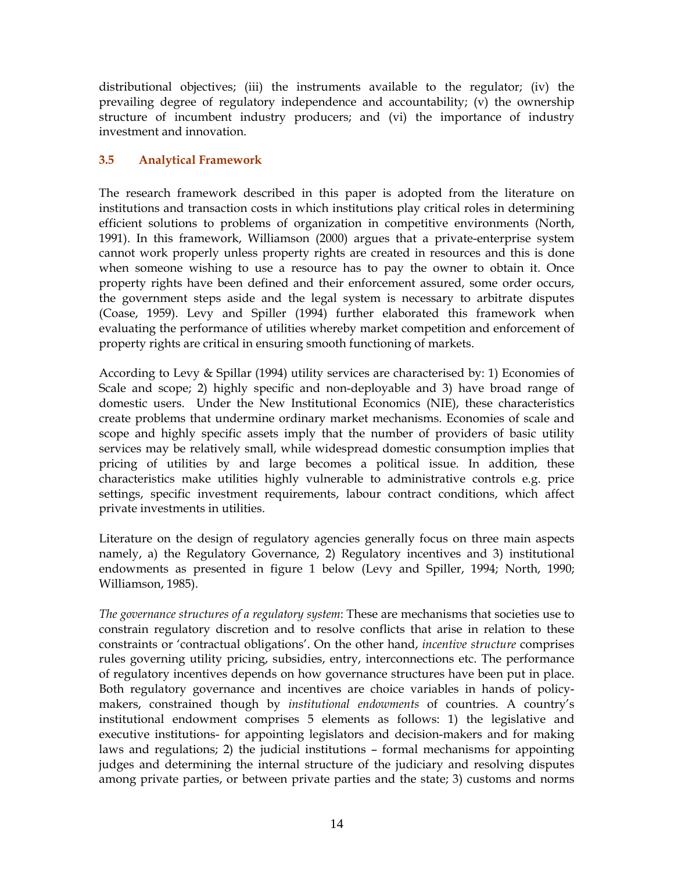distributional objectives; (iii) the instruments available to the regulator; (iv) the prevailing degree of regulatory independence and accountability; (v) the ownership structure of incumbent industry producers; and (vi) the importance of industry investment and innovation.

## **3.5 Analytical Framework**

The research framework described in this paper is adopted from the literature on institutions and transaction costs in which institutions play critical roles in determining efficient solutions to problems of organization in competitive environments (North, 1991). In this framework, Williamson (2000) argues that a private-enterprise system cannot work properly unless property rights are created in resources and this is done when someone wishing to use a resource has to pay the owner to obtain it. Once property rights have been defined and their enforcement assured, some order occurs, the government steps aside and the legal system is necessary to arbitrate disputes (Coase, 1959). Levy and Spiller (1994) further elaborated this framework when evaluating the performance of utilities whereby market competition and enforcement of property rights are critical in ensuring smooth functioning of markets.

According to Levy & Spillar (1994) utility services are characterised by: 1) Economies of Scale and scope; 2) highly specific and non-deployable and 3) have broad range of domestic users. Under the New Institutional Economics (NIE), these characteristics create problems that undermine ordinary market mechanisms. Economies of scale and scope and highly specific assets imply that the number of providers of basic utility services may be relatively small, while widespread domestic consumption implies that pricing of utilities by and large becomes a political issue. In addition, these characteristics make utilities highly vulnerable to administrative controls e.g. price settings, specific investment requirements, labour contract conditions, which affect private investments in utilities.

Literature on the design of regulatory agencies generally focus on three main aspects namely, a) the Regulatory Governance, 2) Regulatory incentives and 3) institutional endowments as presented in figure 1 below (Levy and Spiller, 1994; North, 1990; Williamson, 1985).

*The governance structures of a regulatory system*: These are mechanisms that societies use to constrain regulatory discretion and to resolve conflicts that arise in relation to these constraints or 'contractual obligations'. On the other hand, *incentive structure* comprises rules governing utility pricing, subsidies, entry, interconnections etc. The performance of regulatory incentives depends on how governance structures have been put in place. Both regulatory governance and incentives are choice variables in hands of policymakers, constrained though by *institutional endowments* of countries. A country's institutional endowment comprises 5 elements as follows: 1) the legislative and executive institutions- for appointing legislators and decision-makers and for making laws and regulations; 2) the judicial institutions – formal mechanisms for appointing judges and determining the internal structure of the judiciary and resolving disputes among private parties, or between private parties and the state; 3) customs and norms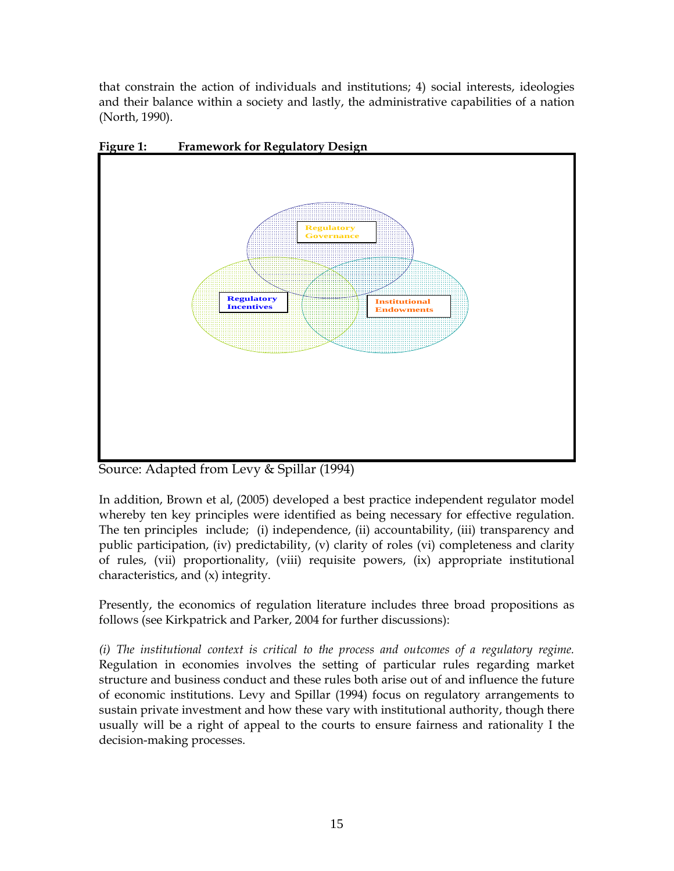that constrain the action of individuals and institutions; 4) social interests, ideologies and their balance within a society and lastly, the administrative capabilities of a nation (North, 1990).



**Figure 1: Framework for Regulatory Design**

Source: Adapted from Levy & Spillar (1994)

In addition, Brown et al, (2005) developed a best practice independent regulator model whereby ten key principles were identified as being necessary for effective regulation. The ten principles include; (i) independence, (ii) accountability, (iii) transparency and public participation, (iv) predictability, (v) clarity of roles (vi) completeness and clarity of rules, (vii) proportionality, (viii) requisite powers, (ix) appropriate institutional characteristics, and (x) integrity.

Presently, the economics of regulation literature includes three broad propositions as follows (see Kirkpatrick and Parker, 2004 for further discussions):

*(i) The institutional context is critical to the process and outcomes of a regulatory regime.*  Regulation in economies involves the setting of particular rules regarding market structure and business conduct and these rules both arise out of and influence the future of economic institutions. Levy and Spillar (1994) focus on regulatory arrangements to sustain private investment and how these vary with institutional authority, though there usually will be a right of appeal to the courts to ensure fairness and rationality I the decision-making processes.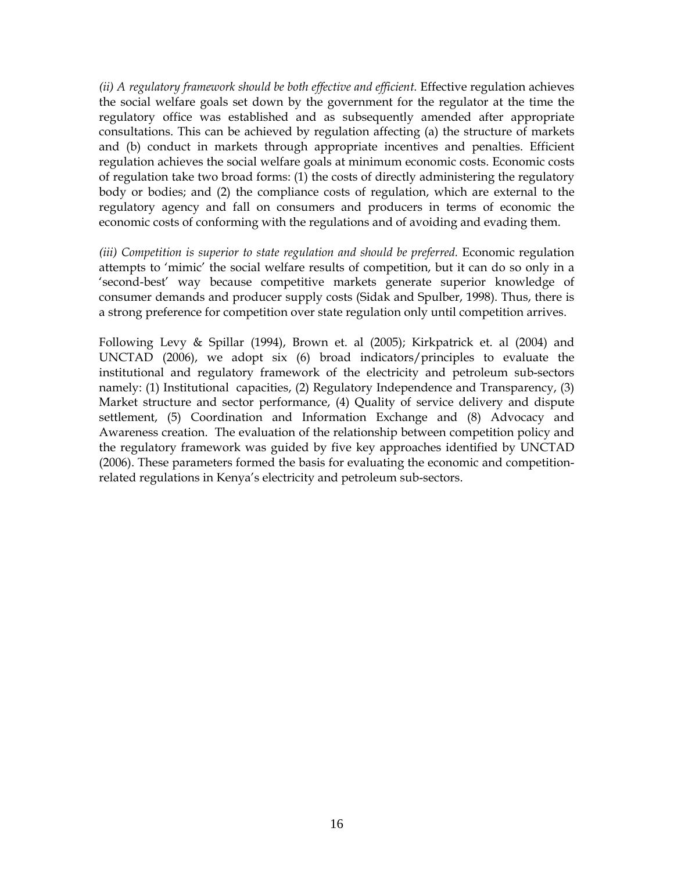(ii) A regulatory framework should be both effective and efficient. Effective regulation achieves the social welfare goals set down by the government for the regulator at the time the regulatory office was established and as subsequently amended after appropriate consultations. This can be achieved by regulation affecting (a) the structure of markets and (b) conduct in markets through appropriate incentives and penalties. Efficient regulation achieves the social welfare goals at minimum economic costs. Economic costs of regulation take two broad forms: (1) the costs of directly administering the regulatory body or bodies; and (2) the compliance costs of regulation, which are external to the regulatory agency and fall on consumers and producers in terms of economic the economic costs of conforming with the regulations and of avoiding and evading them.

*(iii)* Competition is superior to state regulation and should be preferred. Economic regulation attempts to 'mimic' the social welfare results of competition, but it can do so only in a 'second-best' way because competitive markets generate superior knowledge of consumer demands and producer supply costs (Sidak and Spulber, 1998). Thus, there is a strong preference for competition over state regulation only until competition arrives.

Following Levy & Spillar (1994), Brown et. al (2005); Kirkpatrick et. al (2004) and UNCTAD (2006), we adopt six (6) broad indicators/principles to evaluate the institutional and regulatory framework of the electricity and petroleum sub-sectors namely: (1) Institutional capacities, (2) Regulatory Independence and Transparency, (3) Market structure and sector performance, (4) Quality of service delivery and dispute settlement, (5) Coordination and Information Exchange and (8) Advocacy and Awareness creation. The evaluation of the relationship between competition policy and the regulatory framework was guided by five key approaches identified by UNCTAD (2006). These parameters formed the basis for evaluating the economic and competitionrelated regulations in Kenya's electricity and petroleum sub-sectors.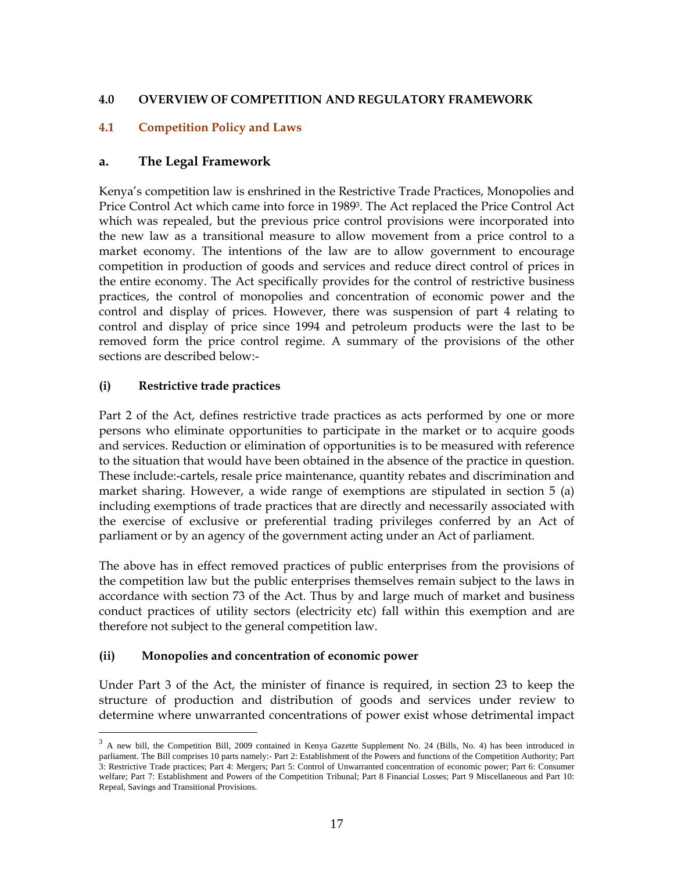## **4.0 OVERVIEW OF COMPETITION AND REGULATORY FRAMEWORK**

### **4.1 Competition Policy and Laws**

## **a. The Legal Framework**

Kenya's competition law is enshrined in the Restrictive Trade Practices, Monopolies and Price Control Act which came into force in 19893. The Act replaced the Price Control Act which was repealed, but the previous price control provisions were incorporated into the new law as a transitional measure to allow movement from a price control to a market economy. The intentions of the law are to allow government to encourage competition in production of goods and services and reduce direct control of prices in the entire economy. The Act specifically provides for the control of restrictive business practices, the control of monopolies and concentration of economic power and the control and display of prices. However, there was suspension of part 4 relating to control and display of price since 1994 and petroleum products were the last to be removed form the price control regime. A summary of the provisions of the other sections are described below:-

### **(i) Restrictive trade practices**

 $\overline{a}$ 

Part 2 of the Act, defines restrictive trade practices as acts performed by one or more persons who eliminate opportunities to participate in the market or to acquire goods and services. Reduction or elimination of opportunities is to be measured with reference to the situation that would have been obtained in the absence of the practice in question. These include:-cartels, resale price maintenance, quantity rebates and discrimination and market sharing. However, a wide range of exemptions are stipulated in section 5 (a) including exemptions of trade practices that are directly and necessarily associated with the exercise of exclusive or preferential trading privileges conferred by an Act of parliament or by an agency of the government acting under an Act of parliament.

The above has in effect removed practices of public enterprises from the provisions of the competition law but the public enterprises themselves remain subject to the laws in accordance with section 73 of the Act. Thus by and large much of market and business conduct practices of utility sectors (electricity etc) fall within this exemption and are therefore not subject to the general competition law.

### **(ii) Monopolies and concentration of economic power**

Under Part 3 of the Act, the minister of finance is required, in section 23 to keep the structure of production and distribution of goods and services under review to determine where unwarranted concentrations of power exist whose detrimental impact

<sup>&</sup>lt;sup>3</sup> A new bill, the Competition Bill, 2009 contained in Kenya Gazette Supplement No. 24 (Bills, No. 4) has been introduced in parliament. The Bill comprises 10 parts namely:- Part 2: Establishment of the Powers and functions of the Competition Authority; Part 3: Restrictive Trade practices; Part 4: Mergers; Part 5: Control of Unwarranted concentration of economic power; Part 6: Consumer welfare; Part 7: Establishment and Powers of the Competition Tribunal; Part 8 Financial Losses; Part 9 Miscellaneous and Part 10: Repeal, Savings and Transitional Provisions.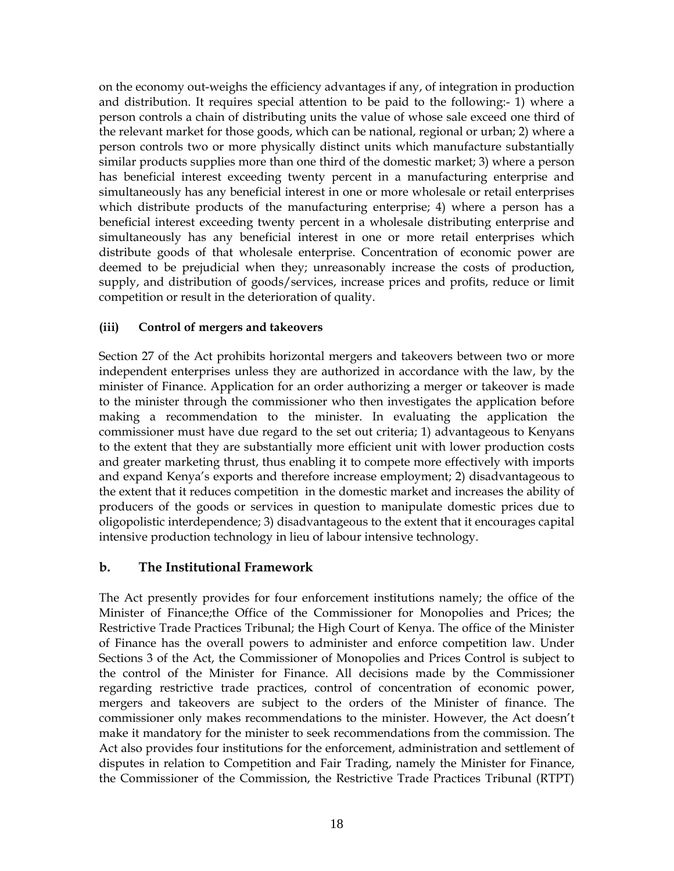on the economy out-weighs the efficiency advantages if any, of integration in production and distribution. It requires special attention to be paid to the following:- 1) where a person controls a chain of distributing units the value of whose sale exceed one third of the relevant market for those goods, which can be national, regional or urban; 2) where a person controls two or more physically distinct units which manufacture substantially similar products supplies more than one third of the domestic market; 3) where a person has beneficial interest exceeding twenty percent in a manufacturing enterprise and simultaneously has any beneficial interest in one or more wholesale or retail enterprises which distribute products of the manufacturing enterprise; 4) where a person has a beneficial interest exceeding twenty percent in a wholesale distributing enterprise and simultaneously has any beneficial interest in one or more retail enterprises which distribute goods of that wholesale enterprise. Concentration of economic power are deemed to be prejudicial when they; unreasonably increase the costs of production, supply, and distribution of goods/services, increase prices and profits, reduce or limit competition or result in the deterioration of quality.

### **(iii) Control of mergers and takeovers**

Section 27 of the Act prohibits horizontal mergers and takeovers between two or more independent enterprises unless they are authorized in accordance with the law, by the minister of Finance. Application for an order authorizing a merger or takeover is made to the minister through the commissioner who then investigates the application before making a recommendation to the minister. In evaluating the application the commissioner must have due regard to the set out criteria; 1) advantageous to Kenyans to the extent that they are substantially more efficient unit with lower production costs and greater marketing thrust, thus enabling it to compete more effectively with imports and expand Kenya's exports and therefore increase employment; 2) disadvantageous to the extent that it reduces competition in the domestic market and increases the ability of producers of the goods or services in question to manipulate domestic prices due to oligopolistic interdependence; 3) disadvantageous to the extent that it encourages capital intensive production technology in lieu of labour intensive technology.

## **b. The Institutional Framework**

The Act presently provides for four enforcement institutions namely; the office of the Minister of Finance;the Office of the Commissioner for Monopolies and Prices; the Restrictive Trade Practices Tribunal; the High Court of Kenya. The office of the Minister of Finance has the overall powers to administer and enforce competition law. Under Sections 3 of the Act, the Commissioner of Monopolies and Prices Control is subject to the control of the Minister for Finance. All decisions made by the Commissioner regarding restrictive trade practices, control of concentration of economic power, mergers and takeovers are subject to the orders of the Minister of finance. The commissioner only makes recommendations to the minister. However, the Act doesn't make it mandatory for the minister to seek recommendations from the commission. The Act also provides four institutions for the enforcement, administration and settlement of disputes in relation to Competition and Fair Trading, namely the Minister for Finance, the Commissioner of the Commission, the Restrictive Trade Practices Tribunal (RTPT)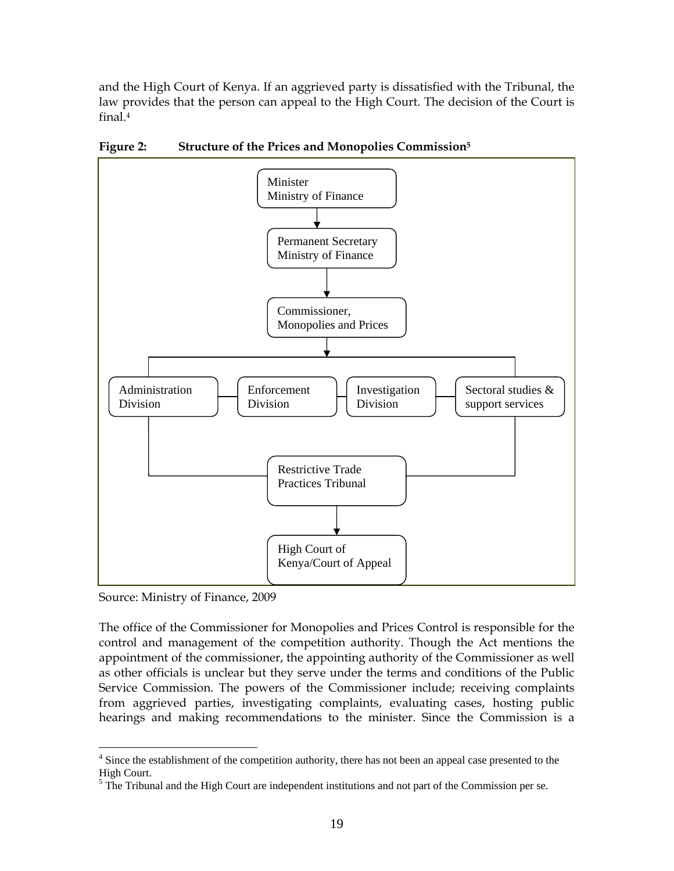and the High Court of Kenya. If an aggrieved party is dissatisfied with the Tribunal, the law provides that the person can appeal to the High Court. The decision of the Court is final.4



**Figure 2: Structure of the Prices and Monopolies Commission5**

Source: Ministry of Finance, 2009

 $\overline{a}$ 

The office of the Commissioner for Monopolies and Prices Control is responsible for the control and management of the competition authority. Though the Act mentions the appointment of the commissioner, the appointing authority of the Commissioner as well as other officials is unclear but they serve under the terms and conditions of the Public Service Commission. The powers of the Commissioner include; receiving complaints from aggrieved parties, investigating complaints, evaluating cases, hosting public hearings and making recommendations to the minister. Since the Commission is a

<sup>&</sup>lt;sup>4</sup> Since the establishment of the competition authority, there has not been an appeal case presented to the High Court.

 $<sup>5</sup>$  The Tribunal and the High Court are independent institutions and not part of the Commission per se.</sup>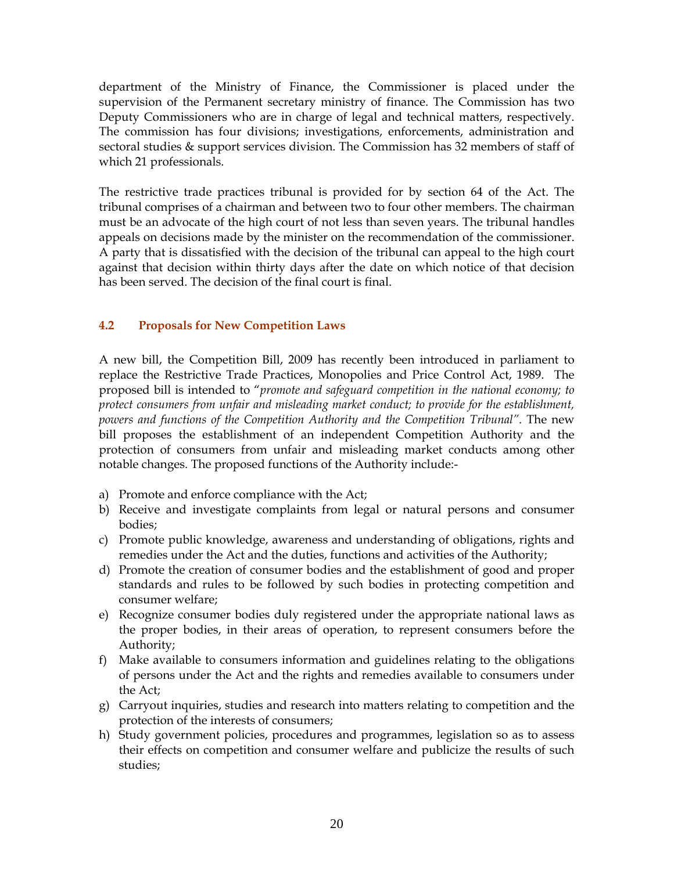department of the Ministry of Finance, the Commissioner is placed under the supervision of the Permanent secretary ministry of finance. The Commission has two Deputy Commissioners who are in charge of legal and technical matters, respectively. The commission has four divisions; investigations, enforcements, administration and sectoral studies & support services division. The Commission has 32 members of staff of which 21 professionals.

The restrictive trade practices tribunal is provided for by section 64 of the Act. The tribunal comprises of a chairman and between two to four other members. The chairman must be an advocate of the high court of not less than seven years. The tribunal handles appeals on decisions made by the minister on the recommendation of the commissioner. A party that is dissatisfied with the decision of the tribunal can appeal to the high court against that decision within thirty days after the date on which notice of that decision has been served. The decision of the final court is final.

### **4.2 Proposals for New Competition Laws**

A new bill, the Competition Bill, 2009 has recently been introduced in parliament to replace the Restrictive Trade Practices, Monopolies and Price Control Act, 1989. The proposed bill is intended to "*promote and safeguard competition in the national economy; to protect consumers from unfair and misleading market conduct; to provide for the establishment, powers and functions of the Competition Authority and the Competition Tribunal".* The new bill proposes the establishment of an independent Competition Authority and the protection of consumers from unfair and misleading market conducts among other notable changes. The proposed functions of the Authority include:-

- a) Promote and enforce compliance with the Act;
- b) Receive and investigate complaints from legal or natural persons and consumer bodies;
- c) Promote public knowledge, awareness and understanding of obligations, rights and remedies under the Act and the duties, functions and activities of the Authority;
- d) Promote the creation of consumer bodies and the establishment of good and proper standards and rules to be followed by such bodies in protecting competition and consumer welfare;
- e) Recognize consumer bodies duly registered under the appropriate national laws as the proper bodies, in their areas of operation, to represent consumers before the Authority;
- f) Make available to consumers information and guidelines relating to the obligations of persons under the Act and the rights and remedies available to consumers under the Act;
- g) Carryout inquiries, studies and research into matters relating to competition and the protection of the interests of consumers;
- h) Study government policies, procedures and programmes, legislation so as to assess their effects on competition and consumer welfare and publicize the results of such studies;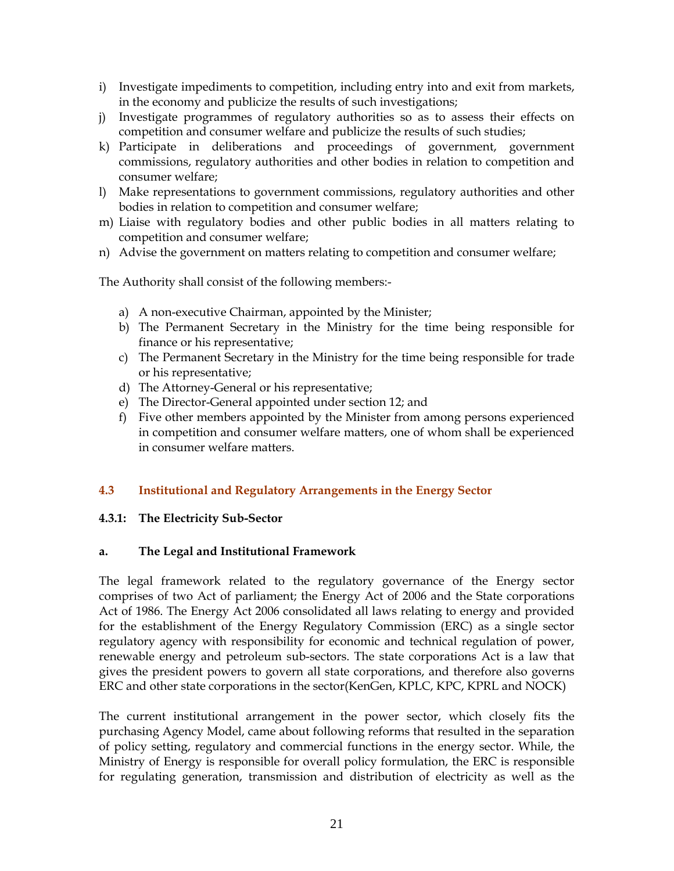- i) Investigate impediments to competition, including entry into and exit from markets, in the economy and publicize the results of such investigations;
- j) Investigate programmes of regulatory authorities so as to assess their effects on competition and consumer welfare and publicize the results of such studies;
- k) Participate in deliberations and proceedings of government, government commissions, regulatory authorities and other bodies in relation to competition and consumer welfare;
- l) Make representations to government commissions, regulatory authorities and other bodies in relation to competition and consumer welfare;
- m) Liaise with regulatory bodies and other public bodies in all matters relating to competition and consumer welfare;
- n) Advise the government on matters relating to competition and consumer welfare;

The Authority shall consist of the following members:-

- a) A non-executive Chairman, appointed by the Minister;
- b) The Permanent Secretary in the Ministry for the time being responsible for finance or his representative;
- c) The Permanent Secretary in the Ministry for the time being responsible for trade or his representative;
- d) The Attorney-General or his representative;
- e) The Director-General appointed under section 12; and
- f) Five other members appointed by the Minister from among persons experienced in competition and consumer welfare matters, one of whom shall be experienced in consumer welfare matters.

## **4.3 Institutional and Regulatory Arrangements in the Energy Sector**

### **4.3.1: The Electricity Sub-Sector**

## **a. The Legal and Institutional Framework**

The legal framework related to the regulatory governance of the Energy sector comprises of two Act of parliament; the Energy Act of 2006 and the State corporations Act of 1986. The Energy Act 2006 consolidated all laws relating to energy and provided for the establishment of the Energy Regulatory Commission (ERC) as a single sector regulatory agency with responsibility for economic and technical regulation of power, renewable energy and petroleum sub-sectors. The state corporations Act is a law that gives the president powers to govern all state corporations, and therefore also governs ERC and other state corporations in the sector(KenGen, KPLC, KPC, KPRL and NOCK)

The current institutional arrangement in the power sector, which closely fits the purchasing Agency Model, came about following reforms that resulted in the separation of policy setting, regulatory and commercial functions in the energy sector. While, the Ministry of Energy is responsible for overall policy formulation, the ERC is responsible for regulating generation, transmission and distribution of electricity as well as the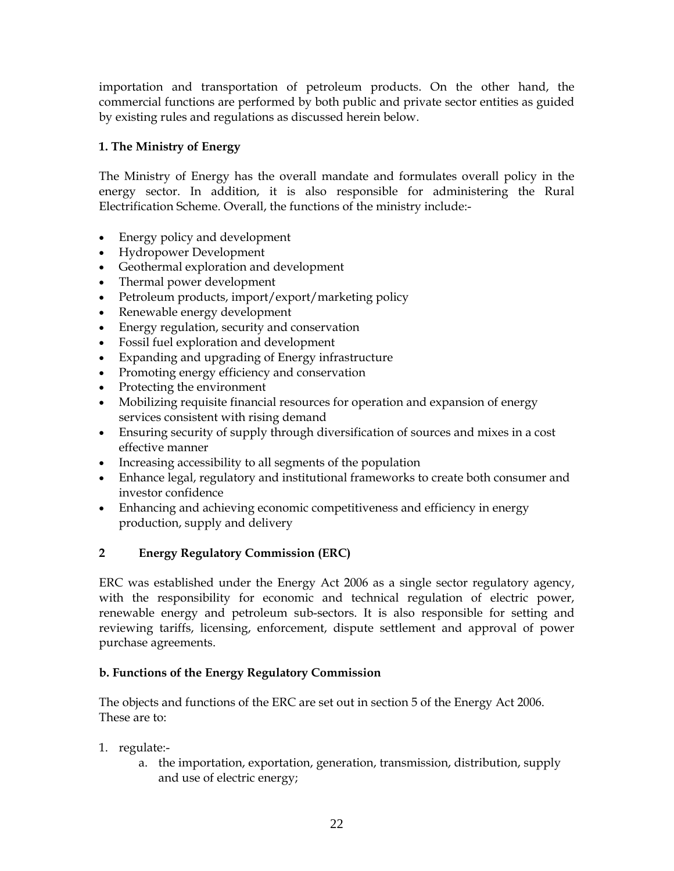importation and transportation of petroleum products. On the other hand, the commercial functions are performed by both public and private sector entities as guided by existing rules and regulations as discussed herein below.

## **1. The Ministry of Energy**

The Ministry of Energy has the overall mandate and formulates overall policy in the energy sector. In addition, it is also responsible for administering the Rural Electrification Scheme. Overall, the functions of the ministry include:-

- Energy policy and development
- Hydropower Development
- Geothermal exploration and development
- Thermal power development
- Petroleum products, import/export/marketing policy
- Renewable energy development
- Energy regulation, security and conservation
- Fossil fuel exploration and development
- Expanding and upgrading of Energy infrastructure
- Promoting energy efficiency and conservation
- Protecting the environment
- Mobilizing requisite financial resources for operation and expansion of energy services consistent with rising demand
- Ensuring security of supply through diversification of sources and mixes in a cost effective manner
- Increasing accessibility to all segments of the population
- Enhance legal, regulatory and institutional frameworks to create both consumer and investor confidence
- Enhancing and achieving economic competitiveness and efficiency in energy production, supply and delivery

## **2 Energy Regulatory Commission (ERC)**

ERC was established under the Energy Act 2006 as a single sector regulatory agency, with the responsibility for economic and technical regulation of electric power, renewable energy and petroleum sub-sectors. It is also responsible for setting and reviewing tariffs, licensing, enforcement, dispute settlement and approval of power purchase agreements.

## **b. Functions of the Energy Regulatory Commission**

The objects and functions of the ERC are set out in section 5 of the Energy Act 2006. These are to:

- 1. regulate:
	- a. the importation, exportation, generation, transmission, distribution, supply and use of electric energy;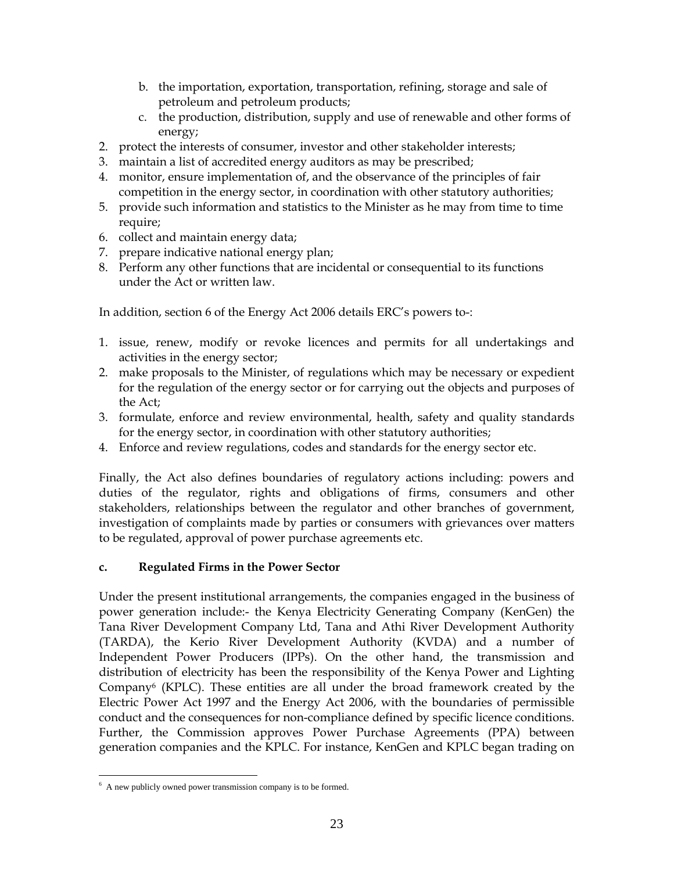- b. the importation, exportation, transportation, refining, storage and sale of petroleum and petroleum products;
- c. the production, distribution, supply and use of renewable and other forms of energy;
- 2. protect the interests of consumer, investor and other stakeholder interests;
- 3. maintain a list of accredited energy auditors as may be prescribed;
- 4. monitor, ensure implementation of, and the observance of the principles of fair competition in the energy sector, in coordination with other statutory authorities;
- 5. provide such information and statistics to the Minister as he may from time to time require;
- 6. collect and maintain energy data;
- 7. prepare indicative national energy plan;
- 8. Perform any other functions that are incidental or consequential to its functions under the Act or written law.

In addition, section 6 of the Energy Act 2006 details ERC's powers to-:

- 1. issue, renew, modify or revoke licences and permits for all undertakings and activities in the energy sector;
- 2. make proposals to the Minister, of regulations which may be necessary or expedient for the regulation of the energy sector or for carrying out the objects and purposes of the Act;
- 3. formulate, enforce and review environmental, health, safety and quality standards for the energy sector, in coordination with other statutory authorities;
- 4. Enforce and review regulations, codes and standards for the energy sector etc.

Finally, the Act also defines boundaries of regulatory actions including: powers and duties of the regulator, rights and obligations of firms, consumers and other stakeholders, relationships between the regulator and other branches of government, investigation of complaints made by parties or consumers with grievances over matters to be regulated, approval of power purchase agreements etc.

## **c. Regulated Firms in the Power Sector**

Under the present institutional arrangements, the companies engaged in the business of power generation include:- the Kenya Electricity Generating Company (KenGen) the Tana River Development Company Ltd, Tana and Athi River Development Authority (TARDA), the Kerio River Development Authority (KVDA) and a number of Independent Power Producers (IPPs). On the other hand, the transmission and distribution of electricity has been the responsibility of the Kenya Power and Lighting Company6 (KPLC). These entities are all under the broad framework created by the Electric Power Act 1997 and the Energy Act 2006, with the boundaries of permissible conduct and the consequences for non-compliance defined by specific licence conditions. Further, the Commission approves Power Purchase Agreements (PPA) between generation companies and the KPLC. For instance, KenGen and KPLC began trading on

 6 A new publicly owned power transmission company is to be formed.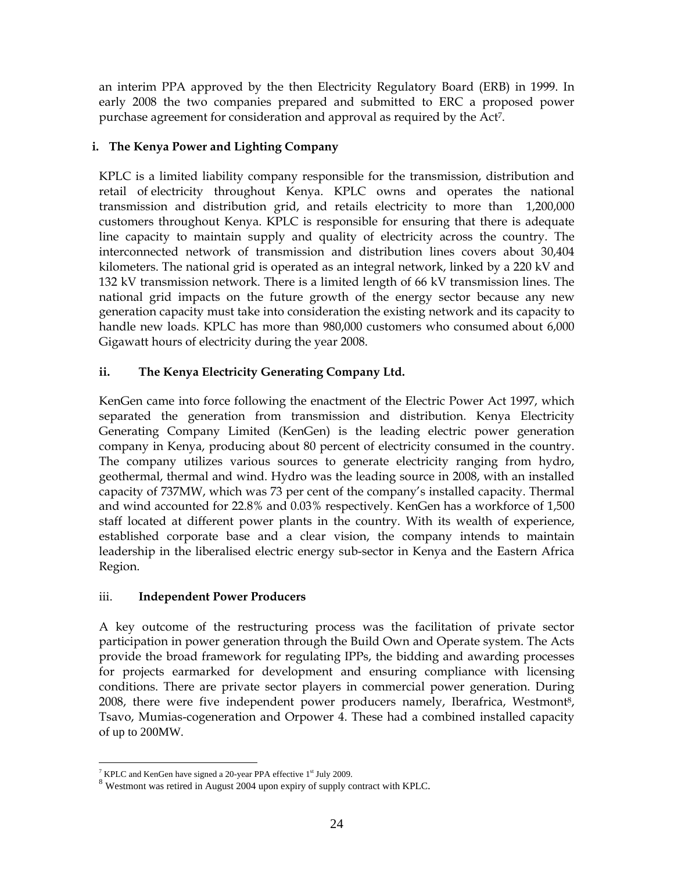an interim PPA approved by the then Electricity Regulatory Board (ERB) in 1999. In early 2008 the two companies prepared and submitted to ERC a proposed power purchase agreement for consideration and approval as required by the Act7.

## **i. The Kenya Power and Lighting Company**

KPLC is a limited liability company responsible for the transmission, distribution and retail of electricity throughout Kenya. KPLC owns and operates the national transmission and distribution grid, and retails electricity to more than 1,200,000 customers throughout Kenya. KPLC is responsible for ensuring that there is adequate line capacity to maintain supply and quality of electricity across the country. The interconnected network of transmission and distribution lines covers about 30,404 kilometers. The national grid is operated as an integral network, linked by a 220 kV and 132 kV transmission network. There is a limited length of 66 kV transmission lines. The national grid impacts on the future growth of the energy sector because any new generation capacity must take into consideration the existing network and its capacity to handle new loads. KPLC has more than 980,000 customers who consumed about 6,000 Gigawatt hours of electricity during the year 2008.

# **ii. The Kenya Electricity Generating Company Ltd.**

KenGen came into force following the enactment of the Electric Power Act 1997, which separated the generation from transmission and distribution. Kenya Electricity Generating Company Limited (KenGen) is the leading electric power generation company in Kenya, producing about 80 percent of electricity consumed in the country. The company utilizes various sources to generate electricity ranging from hydro, geothermal, thermal and wind. Hydro was the leading source in 2008, with an installed capacity of 737MW, which was 73 per cent of the company's installed capacity. Thermal and wind accounted for 22.8% and 0.03% respectively. KenGen has a workforce of 1,500 staff located at different power plants in the country. With its wealth of experience, established corporate base and a clear vision, the company intends to maintain leadership in the liberalised electric energy sub-sector in Kenya and the Eastern Africa Region.

## iii. **Independent Power Producers**

A key outcome of the restructuring process was the facilitation of private sector participation in power generation through the Build Own and Operate system. The Acts provide the broad framework for regulating IPPs, the bidding and awarding processes for projects earmarked for development and ensuring compliance with licensing conditions. There are private sector players in commercial power generation. During 2008, there were five independent power producers namely, Iberafrica, Westmont<sup>8</sup>, Tsavo, Mumias-cogeneration and Orpower 4. These had a combined installed capacity of up to 200MW.

<sup>-&</sup>lt;br>7

 $8$  Westmont was retired in August 2004 upon expiry of supply contract with KPLC.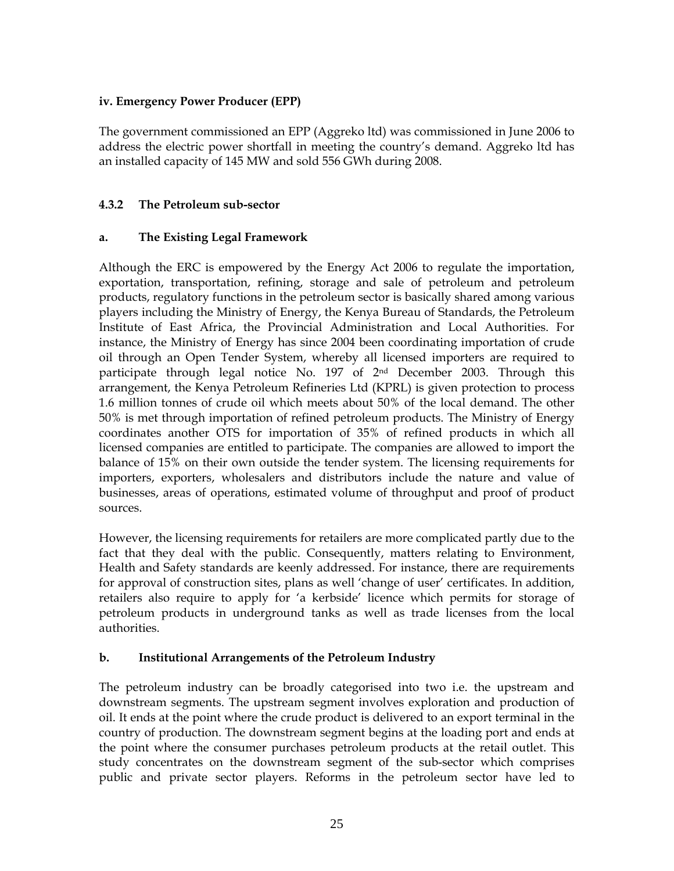### **iv. Emergency Power Producer (EPP)**

The government commissioned an EPP (Aggreko ltd) was commissioned in June 2006 to address the electric power shortfall in meeting the country's demand. Aggreko ltd has an installed capacity of 145 MW and sold 556 GWh during 2008.

### **4.3.2 The Petroleum sub-sector**

### **a. The Existing Legal Framework**

Although the ERC is empowered by the Energy Act 2006 to regulate the importation, exportation, transportation, refining, storage and sale of petroleum and petroleum products, regulatory functions in the petroleum sector is basically shared among various players including the Ministry of Energy, the Kenya Bureau of Standards, the Petroleum Institute of East Africa, the Provincial Administration and Local Authorities. For instance, the Ministry of Energy has since 2004 been coordinating importation of crude oil through an Open Tender System, whereby all licensed importers are required to participate through legal notice No. 197 of  $2<sup>nd</sup>$  December 2003. Through this arrangement, the Kenya Petroleum Refineries Ltd (KPRL) is given protection to process 1.6 million tonnes of crude oil which meets about 50% of the local demand. The other 50% is met through importation of refined petroleum products. The Ministry of Energy coordinates another OTS for importation of 35% of refined products in which all licensed companies are entitled to participate. The companies are allowed to import the balance of 15% on their own outside the tender system. The licensing requirements for importers, exporters, wholesalers and distributors include the nature and value of businesses, areas of operations, estimated volume of throughput and proof of product sources.

However, the licensing requirements for retailers are more complicated partly due to the fact that they deal with the public. Consequently, matters relating to Environment, Health and Safety standards are keenly addressed. For instance, there are requirements for approval of construction sites, plans as well 'change of user' certificates. In addition, retailers also require to apply for 'a kerbside' licence which permits for storage of petroleum products in underground tanks as well as trade licenses from the local authorities.

### **b. Institutional Arrangements of the Petroleum Industry**

The petroleum industry can be broadly categorised into two i.e. the upstream and downstream segments. The upstream segment involves exploration and production of oil. It ends at the point where the crude product is delivered to an export terminal in the country of production. The downstream segment begins at the loading port and ends at the point where the consumer purchases petroleum products at the retail outlet. This study concentrates on the downstream segment of the sub-sector which comprises public and private sector players. Reforms in the petroleum sector have led to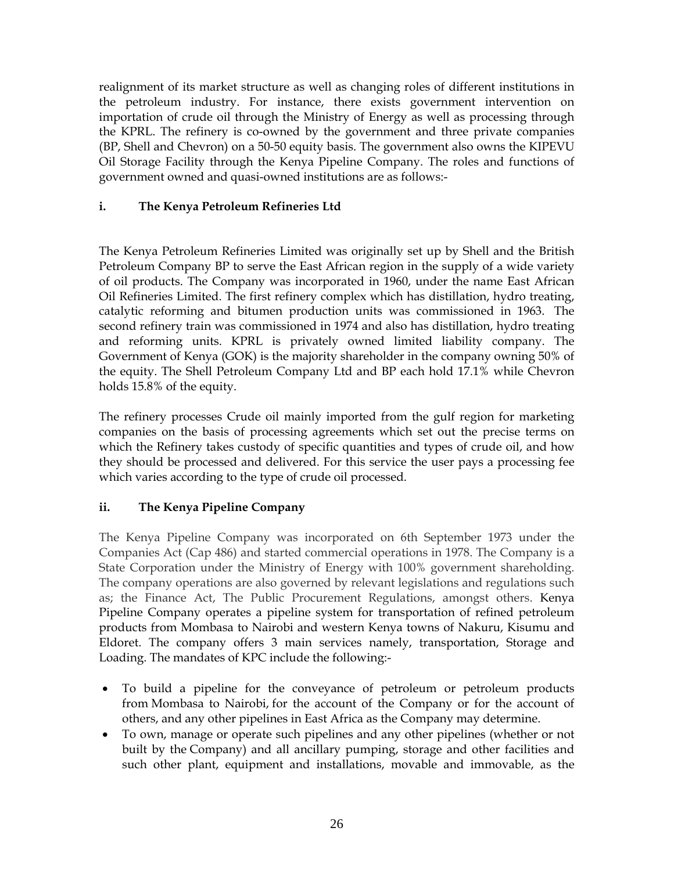realignment of its market structure as well as changing roles of different institutions in the petroleum industry. For instance, there exists government intervention on importation of crude oil through the Ministry of Energy as well as processing through the KPRL. The refinery is co-owned by the government and three private companies (BP, Shell and Chevron) on a 50-50 equity basis. The government also owns the KIPEVU Oil Storage Facility through the Kenya Pipeline Company. The roles and functions of government owned and quasi-owned institutions are as follows:-

## **i. The Kenya Petroleum Refineries Ltd**

The Kenya Petroleum Refineries Limited was originally set up by Shell and the British Petroleum Company BP to serve the East African region in the supply of a wide variety of oil products. The Company was incorporated in 1960, under the name East African Oil Refineries Limited. The first refinery complex which has distillation, hydro treating, catalytic reforming and bitumen production units was commissioned in 1963. The second refinery train was commissioned in 1974 and also has distillation, hydro treating and reforming units. KPRL is privately owned limited liability company. The Government of Kenya (GOK) is the majority shareholder in the company owning 50% of the equity. The Shell Petroleum Company Ltd and BP each hold 17.1% while Chevron holds 15.8% of the equity.

The refinery processes Crude oil mainly imported from the gulf region for marketing companies on the basis of processing agreements which set out the precise terms on which the Refinery takes custody of specific quantities and types of crude oil, and how they should be processed and delivered. For this service the user pays a processing fee which varies according to the type of crude oil processed.

# **ii. The Kenya Pipeline Company**

The Kenya Pipeline Company was incorporated on 6th September 1973 under the Companies Act (Cap 486) and started commercial operations in 1978. The Company is a State Corporation under the Ministry of Energy with 100% government shareholding. The company operations are also governed by relevant legislations and regulations such as; the Finance Act, The Public Procurement Regulations, amongst others. Kenya Pipeline Company operates a pipeline system for transportation of refined petroleum products from Mombasa to Nairobi and western Kenya towns of Nakuru, Kisumu and Eldoret. The company offers 3 main services namely, transportation, Storage and Loading. The mandates of KPC include the following:-

- To build a pipeline for the conveyance of petroleum or petroleum products from Mombasa to Nairobi, for the account of the Company or for the account of others, and any other pipelines in East Africa as the Company may determine.
- To own, manage or operate such pipelines and any other pipelines (whether or not built by the Company) and all ancillary pumping, storage and other facilities and such other plant, equipment and installations, movable and immovable, as the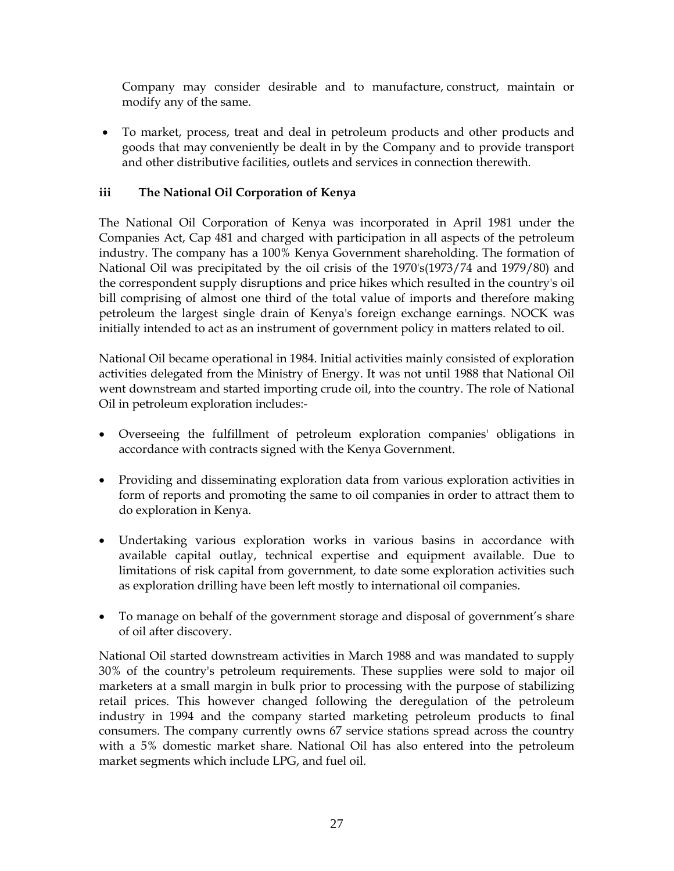Company may consider desirable and to manufacture, construct, maintain or modify any of the same.

• To market, process, treat and deal in petroleum products and other products and goods that may conveniently be dealt in by the Company and to provide transport and other distributive facilities, outlets and services in connection therewith.

## **iii The National Oil Corporation of Kenya**

The National Oil Corporation of Kenya was incorporated in April 1981 under the Companies Act, Cap 481 and charged with participation in all aspects of the petroleum industry. The company has a 100% Kenya Government shareholding. The formation of National Oil was precipitated by the oil crisis of the 1970's(1973/74 and 1979/80) and the correspondent supply disruptions and price hikes which resulted in the country's oil bill comprising of almost one third of the total value of imports and therefore making petroleum the largest single drain of Kenya's foreign exchange earnings. NOCK was initially intended to act as an instrument of government policy in matters related to oil.

National Oil became operational in 1984. Initial activities mainly consisted of exploration activities delegated from the Ministry of Energy. It was not until 1988 that National Oil went downstream and started importing crude oil, into the country. The role of National Oil in petroleum exploration includes:-

- Overseeing the fulfillment of petroleum exploration companies' obligations in accordance with contracts signed with the Kenya Government.
- Providing and disseminating exploration data from various exploration activities in form of reports and promoting the same to oil companies in order to attract them to do exploration in Kenya.
- Undertaking various exploration works in various basins in accordance with available capital outlay, technical expertise and equipment available. Due to limitations of risk capital from government, to date some exploration activities such as exploration drilling have been left mostly to international oil companies.
- To manage on behalf of the government storage and disposal of government's share of oil after discovery.

National Oil started downstream activities in March 1988 and was mandated to supply 30% of the country's petroleum requirements. These supplies were sold to major oil marketers at a small margin in bulk prior to processing with the purpose of stabilizing retail prices. This however changed following the deregulation of the petroleum industry in 1994 and the company started marketing petroleum products to final consumers. The company currently owns 67 service stations spread across the country with a 5% domestic market share. National Oil has also entered into the petroleum market segments which include LPG, and fuel oil.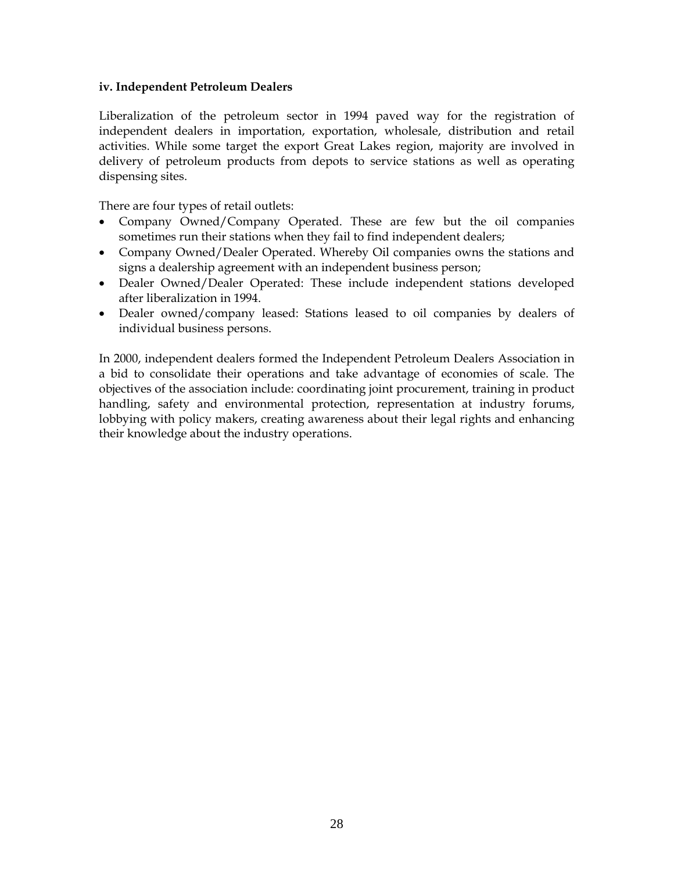#### **iv. Independent Petroleum Dealers**

Liberalization of the petroleum sector in 1994 paved way for the registration of independent dealers in importation, exportation, wholesale, distribution and retail activities. While some target the export Great Lakes region, majority are involved in delivery of petroleum products from depots to service stations as well as operating dispensing sites.

There are four types of retail outlets:

- Company Owned/Company Operated. These are few but the oil companies sometimes run their stations when they fail to find independent dealers;
- Company Owned/Dealer Operated. Whereby Oil companies owns the stations and signs a dealership agreement with an independent business person;
- Dealer Owned/Dealer Operated: These include independent stations developed after liberalization in 1994.
- Dealer owned/company leased: Stations leased to oil companies by dealers of individual business persons.

In 2000, independent dealers formed the Independent Petroleum Dealers Association in a bid to consolidate their operations and take advantage of economies of scale. The objectives of the association include: coordinating joint procurement, training in product handling, safety and environmental protection, representation at industry forums, lobbying with policy makers, creating awareness about their legal rights and enhancing their knowledge about the industry operations.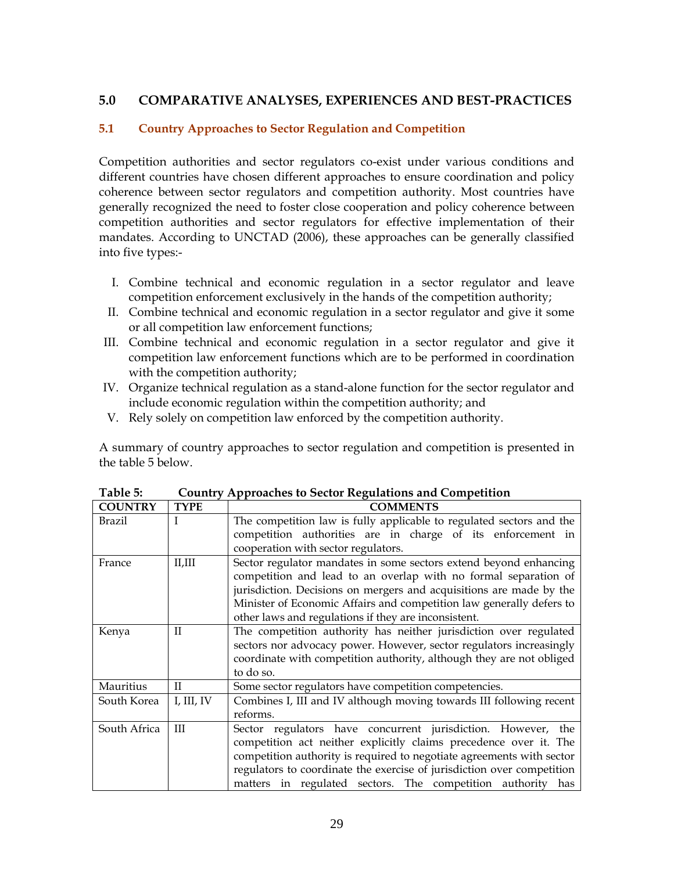### **5.0 COMPARATIVE ANALYSES, EXPERIENCES AND BEST-PRACTICES**

### **5.1 Country Approaches to Sector Regulation and Competition**

Competition authorities and sector regulators co-exist under various conditions and different countries have chosen different approaches to ensure coordination and policy coherence between sector regulators and competition authority. Most countries have generally recognized the need to foster close cooperation and policy coherence between competition authorities and sector regulators for effective implementation of their mandates. According to UNCTAD (2006), these approaches can be generally classified into five types:-

- I. Combine technical and economic regulation in a sector regulator and leave competition enforcement exclusively in the hands of the competition authority;
- II. Combine technical and economic regulation in a sector regulator and give it some or all competition law enforcement functions;
- III. Combine technical and economic regulation in a sector regulator and give it competition law enforcement functions which are to be performed in coordination with the competition authority;
- IV. Organize technical regulation as a stand-alone function for the sector regulator and include economic regulation within the competition authority; and
- V. Rely solely on competition law enforced by the competition authority.

A summary of country approaches to sector regulation and competition is presented in the table 5 below.

| <b>COUNTRY</b> | <b>TYPE</b>  | <b>COMMENTS</b>                                                        |
|----------------|--------------|------------------------------------------------------------------------|
| Brazil         | L            | The competition law is fully applicable to regulated sectors and the   |
|                |              | competition authorities are in charge of its enforcement in            |
|                |              | cooperation with sector regulators.                                    |
| France         | II, III      | Sector regulator mandates in some sectors extend beyond enhancing      |
|                |              | competition and lead to an overlap with no formal separation of        |
|                |              | jurisdiction. Decisions on mergers and acquisitions are made by the    |
|                |              | Minister of Economic Affairs and competition law generally defers to   |
|                |              | other laws and regulations if they are inconsistent.                   |
| Kenya          | $_{\rm II}$  | The competition authority has neither jurisdiction over regulated      |
|                |              | sectors nor advocacy power. However, sector regulators increasingly    |
|                |              | coordinate with competition authority, although they are not obliged   |
|                |              | to do so.                                                              |
| Mauritius      | $\mathbf{H}$ | Some sector regulators have competition competencies.                  |
| South Korea    | I, III, IV   | Combines I, III and IV although moving towards III following recent    |
|                |              | reforms.                                                               |
| South Africa   | Ш            | Sector regulators have concurrent jurisdiction. However, the           |
|                |              | competition act neither explicitly claims precedence over it. The      |
|                |              | competition authority is required to negotiate agreements with sector  |
|                |              | regulators to coordinate the exercise of jurisdiction over competition |
|                |              | matters in regulated sectors. The competition authority has            |

**Table 5: Country Approaches to Sector Regulations and Competition**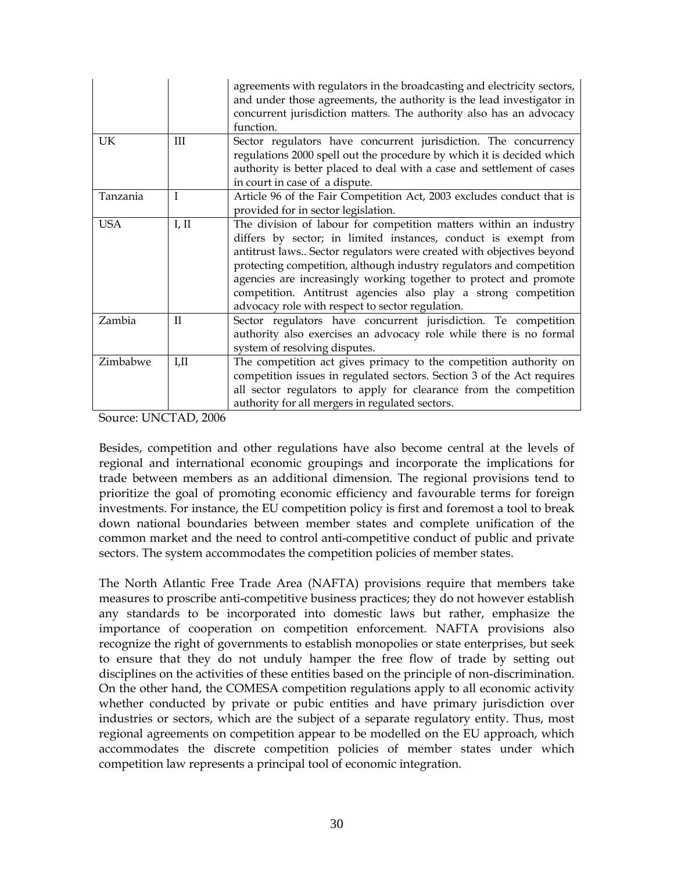|            |              | agreements with regulators in the broadcasting and electricity sectors,<br>and under those agreements, the authority is the lead investigator in<br>concurrent jurisdiction matters. The authority also has an advocacy<br>function.                                                                                                                                                                                                                                            |
|------------|--------------|---------------------------------------------------------------------------------------------------------------------------------------------------------------------------------------------------------------------------------------------------------------------------------------------------------------------------------------------------------------------------------------------------------------------------------------------------------------------------------|
| UK         | Ш            | Sector regulators have concurrent jurisdiction. The concurrency<br>regulations 2000 spell out the procedure by which it is decided which<br>authority is better placed to deal with a case and settlement of cases<br>in court in case of a dispute.                                                                                                                                                                                                                            |
| Tanzania   | I            | Article 96 of the Fair Competition Act, 2003 excludes conduct that is<br>provided for in sector legislation.                                                                                                                                                                                                                                                                                                                                                                    |
| <b>USA</b> | I, II        | The division of labour for competition matters within an industry<br>differs by sector; in limited instances, conduct is exempt from<br>antitrust laws Sector regulators were created with objectives beyond<br>protecting competition, although industry regulators and competition<br>agencies are increasingly working together to protect and promote<br>competition. Antitrust agencies also play a strong competition<br>advocacy role with respect to sector regulation. |
| Zambia     | $\mathbf{I}$ | Sector regulators have concurrent jurisdiction. Te competition<br>authority also exercises an advocacy role while there is no formal<br>system of resolving disputes.                                                                                                                                                                                                                                                                                                           |
| Zimbabwe   | LII.         | The competition act gives primacy to the competition authority on<br>competition issues in regulated sectors. Section 3 of the Act requires<br>all sector regulators to apply for clearance from the competition<br>authority for all mergers in regulated sectors.                                                                                                                                                                                                             |

Source: UNCTAD, 2006

Besides, competition and other regulations have also become central at the levels of regional and international economic groupings and incorporate the implications for trade between members as an additional dimension. The regional provisions tend to prioritize the goal of promoting economic efficiency and favourable terms for foreign investments. For instance, the EU competition policy is first and foremost a tool to break down national boundaries between member states and complete unification of the common market and the need to control anti-competitive conduct of public and private sectors. The system accommodates the competition policies of member states.

The North Atlantic Free Trade Area (NAFTA) provisions require that members take measures to proscribe anti-competitive business practices; they do not however establish any standards to be incorporated into domestic laws but rather, emphasize the importance of cooperation on competition enforcement. NAFTA provisions also recognize the right of governments to establish monopolies or state enterprises, but seek to ensure that they do not unduly hamper the free flow of trade by setting out disciplines on the activities of these entities based on the principle of non-discrimination. On the other hand, the COMESA competition regulations apply to all economic activity whether conducted by private or pubic entities and have primary jurisdiction over industries or sectors, which are the subject of a separate regulatory entity. Thus, most regional agreements on competition appear to be modelled on the EU approach, which accommodates the discrete competition policies of member states under which competition law represents a principal tool of economic integration.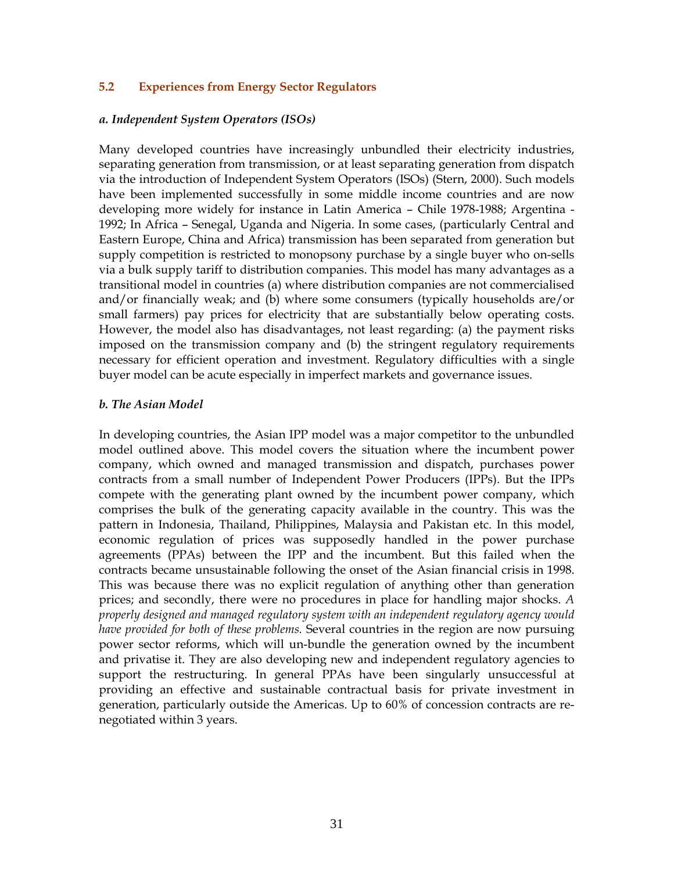#### **5.2 Experiences from Energy Sector Regulators**

#### *a. Independent System Operators (ISOs)*

Many developed countries have increasingly unbundled their electricity industries, separating generation from transmission, or at least separating generation from dispatch via the introduction of Independent System Operators (ISOs) (Stern, 2000). Such models have been implemented successfully in some middle income countries and are now developing more widely for instance in Latin America – Chile 1978-1988; Argentina - 1992; In Africa – Senegal, Uganda and Nigeria. In some cases, (particularly Central and Eastern Europe, China and Africa) transmission has been separated from generation but supply competition is restricted to monopsony purchase by a single buyer who on-sells via a bulk supply tariff to distribution companies. This model has many advantages as a transitional model in countries (a) where distribution companies are not commercialised and/or financially weak; and (b) where some consumers (typically households are/or small farmers) pay prices for electricity that are substantially below operating costs. However, the model also has disadvantages, not least regarding: (a) the payment risks imposed on the transmission company and (b) the stringent regulatory requirements necessary for efficient operation and investment. Regulatory difficulties with a single buyer model can be acute especially in imperfect markets and governance issues.

#### *b. The Asian Model*

In developing countries, the Asian IPP model was a major competitor to the unbundled model outlined above. This model covers the situation where the incumbent power company, which owned and managed transmission and dispatch, purchases power contracts from a small number of Independent Power Producers (IPPs). But the IPPs compete with the generating plant owned by the incumbent power company, which comprises the bulk of the generating capacity available in the country. This was the pattern in Indonesia, Thailand, Philippines, Malaysia and Pakistan etc. In this model, economic regulation of prices was supposedly handled in the power purchase agreements (PPAs) between the IPP and the incumbent. But this failed when the contracts became unsustainable following the onset of the Asian financial crisis in 1998. This was because there was no explicit regulation of anything other than generation prices; and secondly, there were no procedures in place for handling major shocks. *A properly designed and managed regulatory system with an independent regulatory agency would have provided for both of these problems.* Several countries in the region are now pursuing power sector reforms, which will un-bundle the generation owned by the incumbent and privatise it. They are also developing new and independent regulatory agencies to support the restructuring. In general PPAs have been singularly unsuccessful at providing an effective and sustainable contractual basis for private investment in generation, particularly outside the Americas. Up to 60% of concession contracts are renegotiated within 3 years.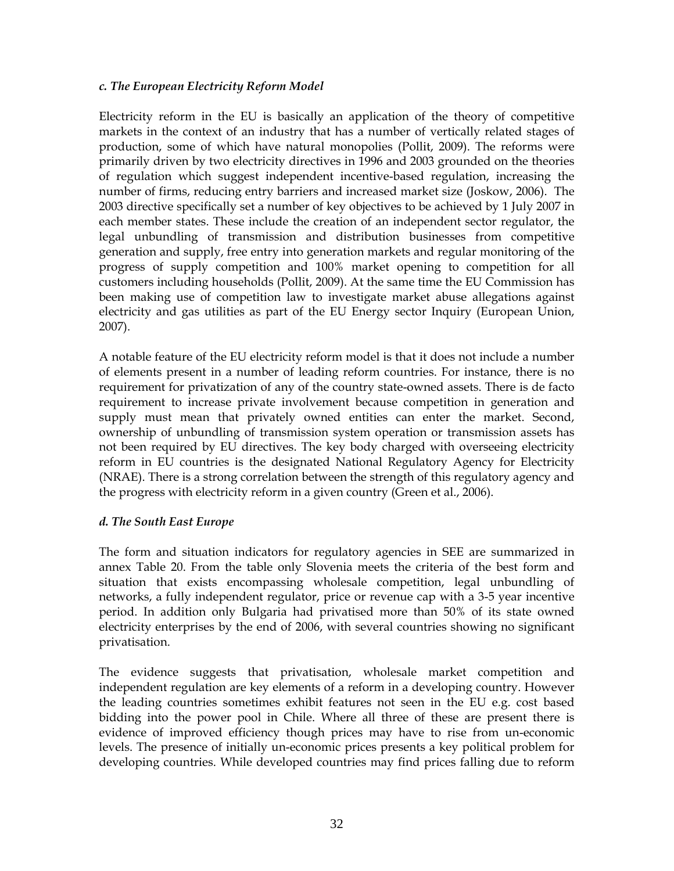#### *c. The European Electricity Reform Model*

Electricity reform in the EU is basically an application of the theory of competitive markets in the context of an industry that has a number of vertically related stages of production, some of which have natural monopolies (Pollit, 2009). The reforms were primarily driven by two electricity directives in 1996 and 2003 grounded on the theories of regulation which suggest independent incentive-based regulation, increasing the number of firms, reducing entry barriers and increased market size (Joskow, 2006). The 2003 directive specifically set a number of key objectives to be achieved by 1 July 2007 in each member states. These include the creation of an independent sector regulator, the legal unbundling of transmission and distribution businesses from competitive generation and supply, free entry into generation markets and regular monitoring of the progress of supply competition and 100% market opening to competition for all customers including households (Pollit, 2009). At the same time the EU Commission has been making use of competition law to investigate market abuse allegations against electricity and gas utilities as part of the EU Energy sector Inquiry (European Union, 2007).

A notable feature of the EU electricity reform model is that it does not include a number of elements present in a number of leading reform countries. For instance, there is no requirement for privatization of any of the country state-owned assets. There is de facto requirement to increase private involvement because competition in generation and supply must mean that privately owned entities can enter the market. Second, ownership of unbundling of transmission system operation or transmission assets has not been required by EU directives. The key body charged with overseeing electricity reform in EU countries is the designated National Regulatory Agency for Electricity (NRAE). There is a strong correlation between the strength of this regulatory agency and the progress with electricity reform in a given country (Green et al., 2006).

#### *d. The South East Europe*

The form and situation indicators for regulatory agencies in SEE are summarized in annex Table 20. From the table only Slovenia meets the criteria of the best form and situation that exists encompassing wholesale competition, legal unbundling of networks, a fully independent regulator, price or revenue cap with a 3-5 year incentive period. In addition only Bulgaria had privatised more than 50% of its state owned electricity enterprises by the end of 2006, with several countries showing no significant privatisation.

The evidence suggests that privatisation, wholesale market competition and independent regulation are key elements of a reform in a developing country. However the leading countries sometimes exhibit features not seen in the EU e.g. cost based bidding into the power pool in Chile. Where all three of these are present there is evidence of improved efficiency though prices may have to rise from un-economic levels. The presence of initially un-economic prices presents a key political problem for developing countries. While developed countries may find prices falling due to reform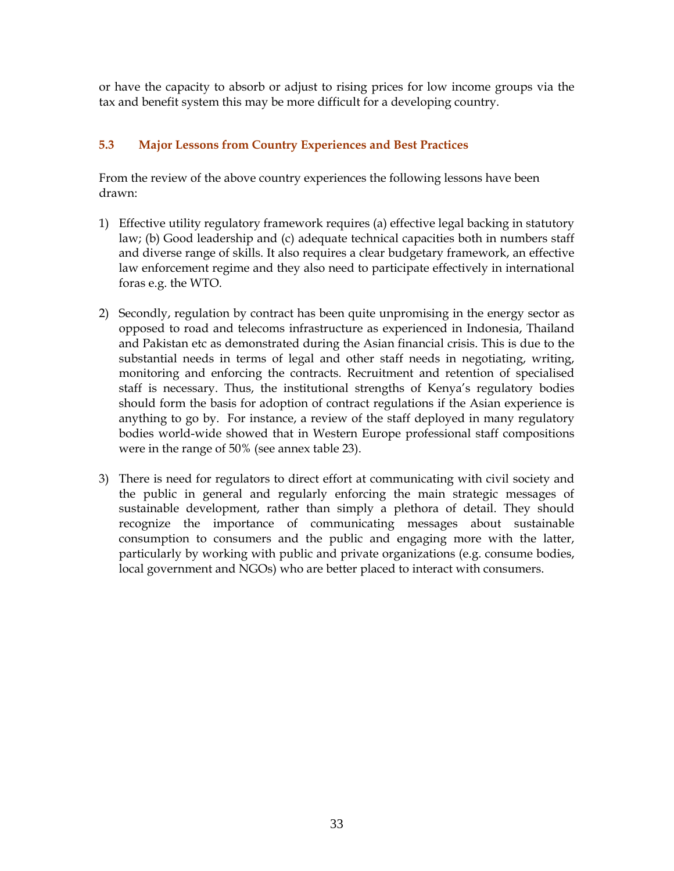or have the capacity to absorb or adjust to rising prices for low income groups via the tax and benefit system this may be more difficult for a developing country.

### **5.3 Major Lessons from Country Experiences and Best Practices**

From the review of the above country experiences the following lessons have been drawn:

- 1) Effective utility regulatory framework requires (a) effective legal backing in statutory law; (b) Good leadership and (c) adequate technical capacities both in numbers staff and diverse range of skills. It also requires a clear budgetary framework, an effective law enforcement regime and they also need to participate effectively in international foras e.g. the WTO.
- 2) Secondly, regulation by contract has been quite unpromising in the energy sector as opposed to road and telecoms infrastructure as experienced in Indonesia, Thailand and Pakistan etc as demonstrated during the Asian financial crisis. This is due to the substantial needs in terms of legal and other staff needs in negotiating, writing, monitoring and enforcing the contracts. Recruitment and retention of specialised staff is necessary. Thus, the institutional strengths of Kenya's regulatory bodies should form the basis for adoption of contract regulations if the Asian experience is anything to go by. For instance, a review of the staff deployed in many regulatory bodies world-wide showed that in Western Europe professional staff compositions were in the range of 50% (see annex table 23).
- 3) There is need for regulators to direct effort at communicating with civil society and the public in general and regularly enforcing the main strategic messages of sustainable development, rather than simply a plethora of detail. They should recognize the importance of communicating messages about sustainable consumption to consumers and the public and engaging more with the latter, particularly by working with public and private organizations (e.g. consume bodies, local government and NGOs) who are better placed to interact with consumers.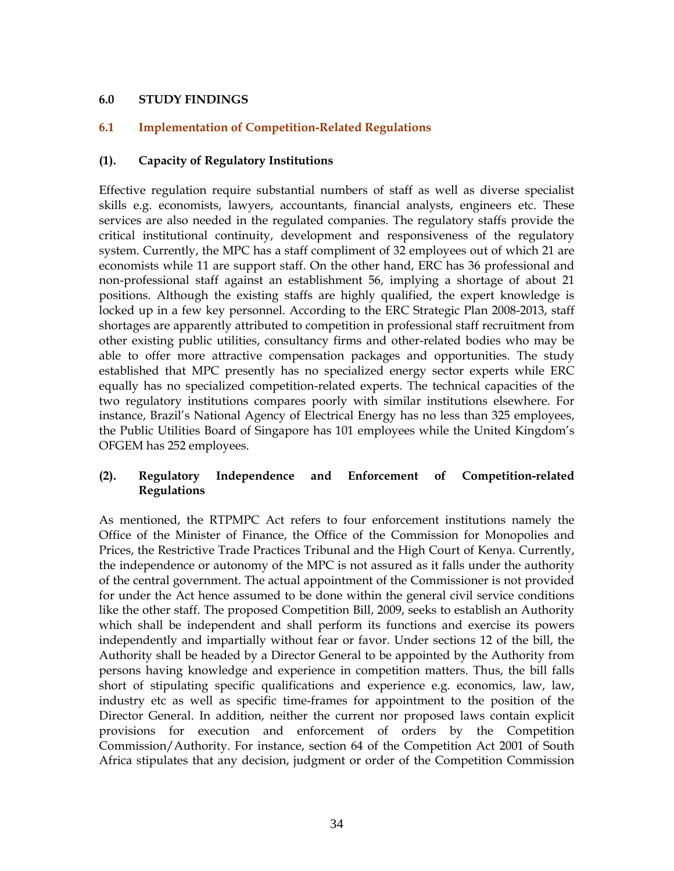#### **6.0 STUDY FINDINGS**

#### **6.1 Implementation of Competition-Related Regulations**

#### **(1). Capacity of Regulatory Institutions**

Effective regulation require substantial numbers of staff as well as diverse specialist skills e.g. economists, lawyers, accountants, financial analysts, engineers etc. These services are also needed in the regulated companies. The regulatory staffs provide the critical institutional continuity, development and responsiveness of the regulatory system. Currently, the MPC has a staff compliment of 32 employees out of which 21 are economists while 11 are support staff. On the other hand, ERC has 36 professional and non-professional staff against an establishment 56, implying a shortage of about 21 positions. Although the existing staffs are highly qualified, the expert knowledge is locked up in a few key personnel. According to the ERC Strategic Plan 2008-2013, staff shortages are apparently attributed to competition in professional staff recruitment from other existing public utilities, consultancy firms and other-related bodies who may be able to offer more attractive compensation packages and opportunities. The study established that MPC presently has no specialized energy sector experts while ERC equally has no specialized competition-related experts. The technical capacities of the two regulatory institutions compares poorly with similar institutions elsewhere. For instance, Brazil's National Agency of Electrical Energy has no less than 325 employees, the Public Utilities Board of Singapore has 101 employees while the United Kingdom's OFGEM has 252 employees.

#### **(2). Regulatory Independence and Enforcement of Competition-related Regulations**

As mentioned, the RTPMPC Act refers to four enforcement institutions namely the Office of the Minister of Finance, the Office of the Commission for Monopolies and Prices, the Restrictive Trade Practices Tribunal and the High Court of Kenya. Currently, the independence or autonomy of the MPC is not assured as it falls under the authority of the central government. The actual appointment of the Commissioner is not provided for under the Act hence assumed to be done within the general civil service conditions like the other staff. The proposed Competition Bill, 2009, seeks to establish an Authority which shall be independent and shall perform its functions and exercise its powers independently and impartially without fear or favor. Under sections 12 of the bill, the Authority shall be headed by a Director General to be appointed by the Authority from persons having knowledge and experience in competition matters. Thus, the bill falls short of stipulating specific qualifications and experience e.g. economics, law, law, industry etc as well as specific time-frames for appointment to the position of the Director General. In addition, neither the current nor proposed laws contain explicit provisions for execution and enforcement of orders by the Competition Commission/Authority. For instance, section 64 of the Competition Act 2001 of South Africa stipulates that any decision, judgment or order of the Competition Commission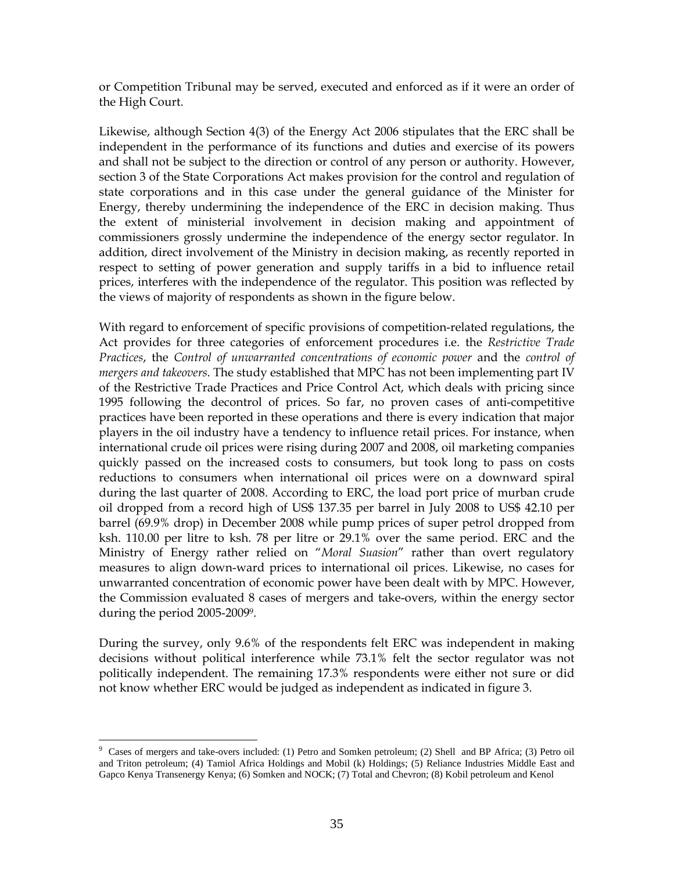or Competition Tribunal may be served, executed and enforced as if it were an order of the High Court.

Likewise, although Section 4(3) of the Energy Act 2006 stipulates that the ERC shall be independent in the performance of its functions and duties and exercise of its powers and shall not be subject to the direction or control of any person or authority. However, section 3 of the State Corporations Act makes provision for the control and regulation of state corporations and in this case under the general guidance of the Minister for Energy, thereby undermining the independence of the ERC in decision making. Thus the extent of ministerial involvement in decision making and appointment of commissioners grossly undermine the independence of the energy sector regulator. In addition, direct involvement of the Ministry in decision making, as recently reported in respect to setting of power generation and supply tariffs in a bid to influence retail prices, interferes with the independence of the regulator. This position was reflected by the views of majority of respondents as shown in the figure below.

With regard to enforcement of specific provisions of competition-related regulations, the Act provides for three categories of enforcement procedures i.e. the *Restrictive Trade Practices*, the *Control of unwarranted concentrations of economic power* and the *control of mergers and takeovers*. The study established that MPC has not been implementing part IV of the Restrictive Trade Practices and Price Control Act, which deals with pricing since 1995 following the decontrol of prices. So far, no proven cases of anti-competitive practices have been reported in these operations and there is every indication that major players in the oil industry have a tendency to influence retail prices. For instance, when international crude oil prices were rising during 2007 and 2008, oil marketing companies quickly passed on the increased costs to consumers, but took long to pass on costs reductions to consumers when international oil prices were on a downward spiral during the last quarter of 2008. According to ERC, the load port price of murban crude oil dropped from a record high of US\$ 137.35 per barrel in July 2008 to US\$ 42.10 per barrel (69.9% drop) in December 2008 while pump prices of super petrol dropped from ksh. 110.00 per litre to ksh. 78 per litre or 29.1% over the same period. ERC and the Ministry of Energy rather relied on "*Moral Suasion*" rather than overt regulatory measures to align down-ward prices to international oil prices. Likewise, no cases for unwarranted concentration of economic power have been dealt with by MPC. However, the Commission evaluated 8 cases of mergers and take-overs, within the energy sector during the period 2005-20099.

During the survey, only 9.6% of the respondents felt ERC was independent in making decisions without political interference while 73.1% felt the sector regulator was not politically independent. The remaining 17.3% respondents were either not sure or did not know whether ERC would be judged as independent as indicated in figure 3.

 $\overline{a}$ 

<sup>&</sup>lt;sup>9</sup> Cases of mergers and take-overs included: (1) Petro and Somken petroleum; (2) Shell and BP Africa; (3) Petro oil and Triton petroleum; (4) Tamiol Africa Holdings and Mobil (k) Holdings; (5) Reliance Industries Middle East and Gapco Kenya Transenergy Kenya; (6) Somken and NOCK; (7) Total and Chevron; (8) Kobil petroleum and Kenol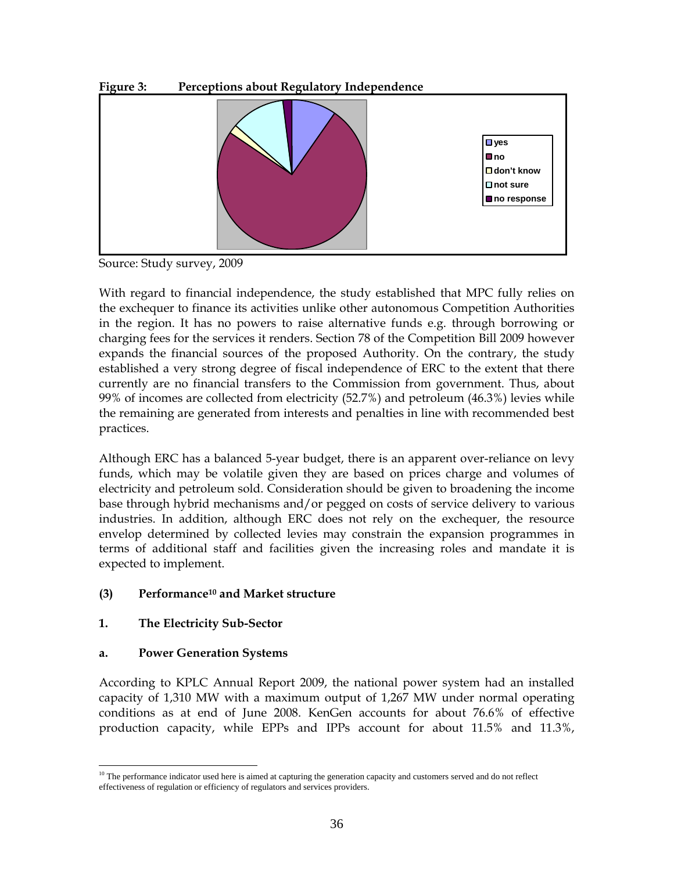#### **Figure 3: Perceptions about Regulatory Independence**



Source: Study survey, 2009

With regard to financial independence, the study established that MPC fully relies on the exchequer to finance its activities unlike other autonomous Competition Authorities in the region. It has no powers to raise alternative funds e.g. through borrowing or charging fees for the services it renders. Section 78 of the Competition Bill 2009 however expands the financial sources of the proposed Authority. On the contrary, the study established a very strong degree of fiscal independence of ERC to the extent that there currently are no financial transfers to the Commission from government. Thus, about 99% of incomes are collected from electricity (52.7%) and petroleum (46.3%) levies while the remaining are generated from interests and penalties in line with recommended best practices.

Although ERC has a balanced 5-year budget, there is an apparent over-reliance on levy funds, which may be volatile given they are based on prices charge and volumes of electricity and petroleum sold. Consideration should be given to broadening the income base through hybrid mechanisms and/or pegged on costs of service delivery to various industries. In addition, although ERC does not rely on the exchequer, the resource envelop determined by collected levies may constrain the expansion programmes in terms of additional staff and facilities given the increasing roles and mandate it is expected to implement.

### **(3) Performance10 and Market structure**

### **1. The Electricity Sub-Sector**

#### **a. Power Generation Systems**

According to KPLC Annual Report 2009, the national power system had an installed capacity of 1,310 MW with a maximum output of 1,267 MW under normal operating conditions as at end of June 2008. KenGen accounts for about 76.6% of effective production capacity, while EPPs and IPPs account for about 11.5% and 11.3%,

 $\overline{a}$  $10$  The performance indicator used here is aimed at capturing the generation capacity and customers served and do not reflect effectiveness of regulation or efficiency of regulators and services providers.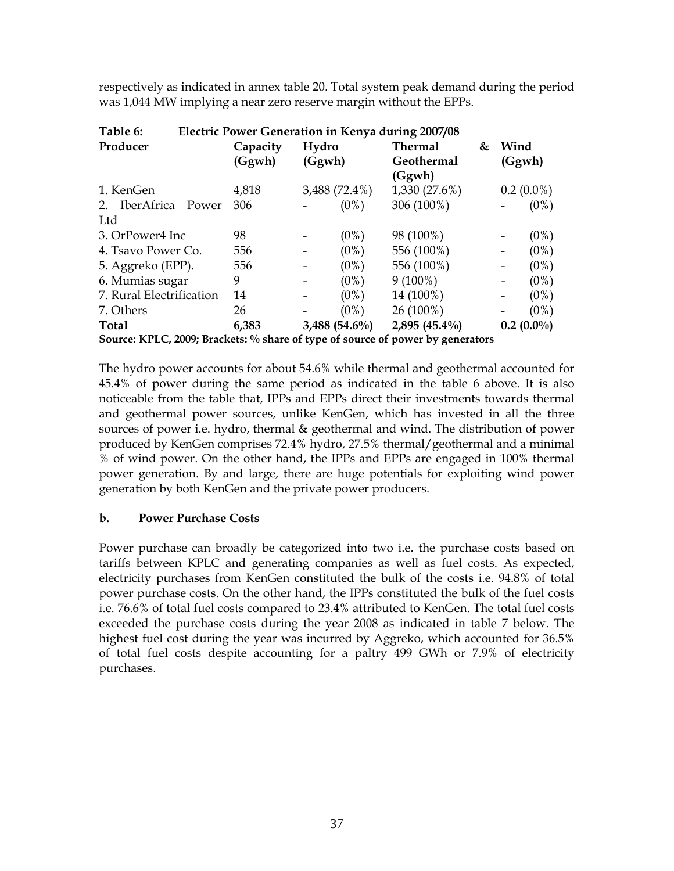respectively as indicated in annex table 20. Total system peak demand during the period was 1,044 MW implying a near zero reserve margin without the EPPs.

| Table 6:<br><b>Electric Power Generation in Kenya during 2007/08</b>           |          |        |                  |                 |   |        |              |
|--------------------------------------------------------------------------------|----------|--------|------------------|-----------------|---|--------|--------------|
| Producer                                                                       | Capacity | Hydro  |                  | <b>Thermal</b>  | & | Wind   |              |
|                                                                                | (Ggwh)   | (Ggwh) |                  | Geothermal      |   | (Ggwh) |              |
|                                                                                |          |        |                  | (Ggwh)          |   |        |              |
| 1. KenGen                                                                      | 4,818    |        | 3,488 (72.4%)    | 1,330(27.6%)    |   |        | $0.2(0.0\%)$ |
| IberAfrica Power<br>2.                                                         | 306      |        | (0%)             | 306 (100%)      |   |        | (0%)         |
| Ltd                                                                            |          |        |                  |                 |   |        |              |
| 3. OrPower4 Inc                                                                | 98       |        | $(0\%)$          | 98 (100%)       |   |        | (0%)         |
| 4. Tsavo Power Co.                                                             | 556      |        | $(0\%)$          | 556 (100%)      |   |        | $(0\%)$      |
| 5. Aggreko (EPP).                                                              | 556      |        | $(0\%)$          | 556 (100%)      |   |        | $(0\%)$      |
| 6. Mumias sugar                                                                | 9        |        | $(0\%)$          | $9(100\%)$      |   |        | (0%)         |
| 7. Rural Electrification                                                       | 14       |        | $(0\%)$          | 14 (100%)       |   |        | $(0\%)$      |
| 7. Others                                                                      | 26       |        | (0%)             | 26 (100%)       |   |        | $(0\%)$      |
| Total                                                                          | 6,383    |        | 3,488 $(54.6\%)$ | $2,895(45.4\%)$ |   |        | $0.2(0.0\%)$ |
| Source: KPLC, 2009; Brackets: % share of type of source of power by generators |          |        |                  |                 |   |        |              |

The hydro power accounts for about 54.6% while thermal and geothermal accounted for 45.4% of power during the same period as indicated in the table 6 above. It is also noticeable from the table that, IPPs and EPPs direct their investments towards thermal and geothermal power sources, unlike KenGen, which has invested in all the three sources of power i.e. hydro, thermal & geothermal and wind. The distribution of power produced by KenGen comprises 72.4% hydro, 27.5% thermal/geothermal and a minimal % of wind power. On the other hand, the IPPs and EPPs are engaged in 100% thermal power generation. By and large, there are huge potentials for exploiting wind power generation by both KenGen and the private power producers.

#### **b. Power Purchase Costs**

Power purchase can broadly be categorized into two i.e. the purchase costs based on tariffs between KPLC and generating companies as well as fuel costs. As expected, electricity purchases from KenGen constituted the bulk of the costs i.e. 94.8% of total power purchase costs. On the other hand, the IPPs constituted the bulk of the fuel costs i.e. 76.6% of total fuel costs compared to 23.4% attributed to KenGen. The total fuel costs exceeded the purchase costs during the year 2008 as indicated in table 7 below. The highest fuel cost during the year was incurred by Aggreko, which accounted for 36.5% of total fuel costs despite accounting for a paltry 499 GWh or 7.9% of electricity purchases.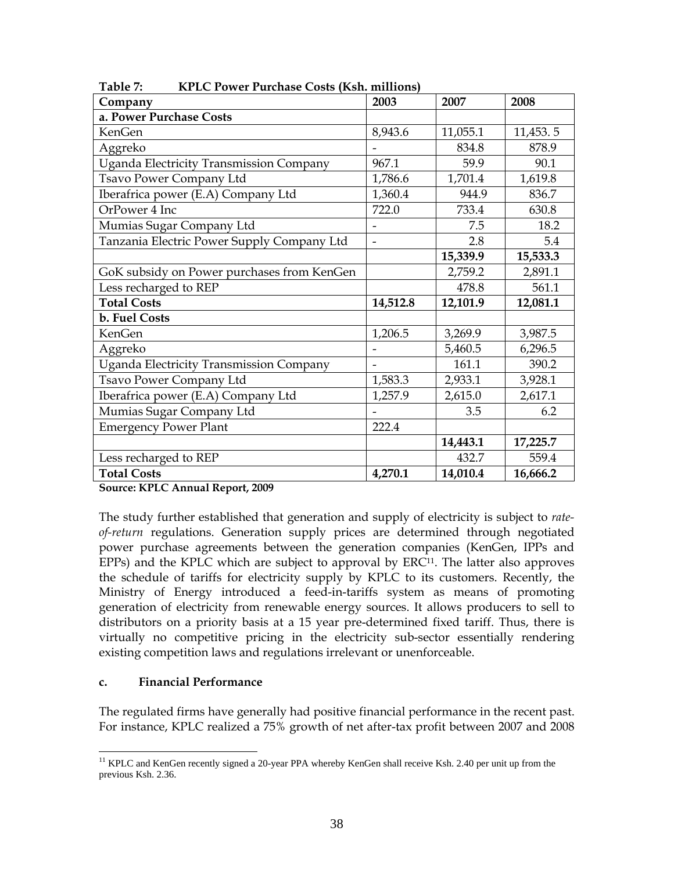| Company                                        | 2003     | 2007     | 2008     |
|------------------------------------------------|----------|----------|----------|
| a. Power Purchase Costs                        |          |          |          |
| KenGen                                         | 8,943.6  | 11,055.1 | 11,453.5 |
| Aggreko                                        |          | 834.8    | 878.9    |
| <b>Uganda Electricity Transmission Company</b> | 967.1    | 59.9     | 90.1     |
| Tsavo Power Company Ltd                        | 1,786.6  | 1,701.4  | 1,619.8  |
| Iberafrica power (E.A) Company Ltd             | 1,360.4  | 944.9    | 836.7    |
| OrPower 4 Inc                                  | 722.0    | 733.4    | 630.8    |
| Mumias Sugar Company Ltd                       |          | 7.5      | 18.2     |
| Tanzania Electric Power Supply Company Ltd     |          | 2.8      | 5.4      |
|                                                |          | 15,339.9 | 15,533.3 |
| GoK subsidy on Power purchases from KenGen     |          | 2,759.2  | 2,891.1  |
| Less recharged to REP                          |          | 478.8    | 561.1    |
| <b>Total Costs</b>                             | 14,512.8 | 12,101.9 | 12,081.1 |
| b. Fuel Costs                                  |          |          |          |
| KenGen                                         | 1,206.5  | 3,269.9  | 3,987.5  |
| Aggreko                                        |          | 5,460.5  | 6,296.5  |
| <b>Uganda Electricity Transmission Company</b> |          | 161.1    | 390.2    |
| Tsavo Power Company Ltd                        | 1,583.3  | 2,933.1  | 3,928.1  |
| Iberafrica power (E.A) Company Ltd             | 1,257.9  | 2,615.0  | 2,617.1  |
| Mumias Sugar Company Ltd                       |          | 3.5      | 6.2      |
| <b>Emergency Power Plant</b>                   | 222.4    |          |          |
|                                                |          | 14,443.1 | 17,225.7 |
| Less recharged to REP                          |          | 432.7    | 559.4    |
| <b>Total Costs</b>                             | 4,270.1  | 14,010.4 | 16,666.2 |

**Table 7: KPLC Power Purchase Costs (Ksh. millions)** 

**Source: KPLC Annual Report, 2009** 

The study further established that generation and supply of electricity is subject to *rateof-return* regulations. Generation supply prices are determined through negotiated power purchase agreements between the generation companies (KenGen, IPPs and EPPs) and the KPLC which are subject to approval by ERC<sup>11</sup>. The latter also approves the schedule of tariffs for electricity supply by KPLC to its customers. Recently, the Ministry of Energy introduced a feed-in-tariffs system as means of promoting generation of electricity from renewable energy sources. It allows producers to sell to distributors on a priority basis at a 15 year pre-determined fixed tariff. Thus, there is virtually no competitive pricing in the electricity sub-sector essentially rendering existing competition laws and regulations irrelevant or unenforceable.

# **c. Financial Performance**

The regulated firms have generally had positive financial performance in the recent past. For instance, KPLC realized a 75% growth of net after-tax profit between 2007 and 2008

 $\overline{a}$ <sup>11</sup> KPLC and KenGen recently signed a 20-year PPA whereby KenGen shall receive Ksh. 2.40 per unit up from the previous Ksh. 2.36.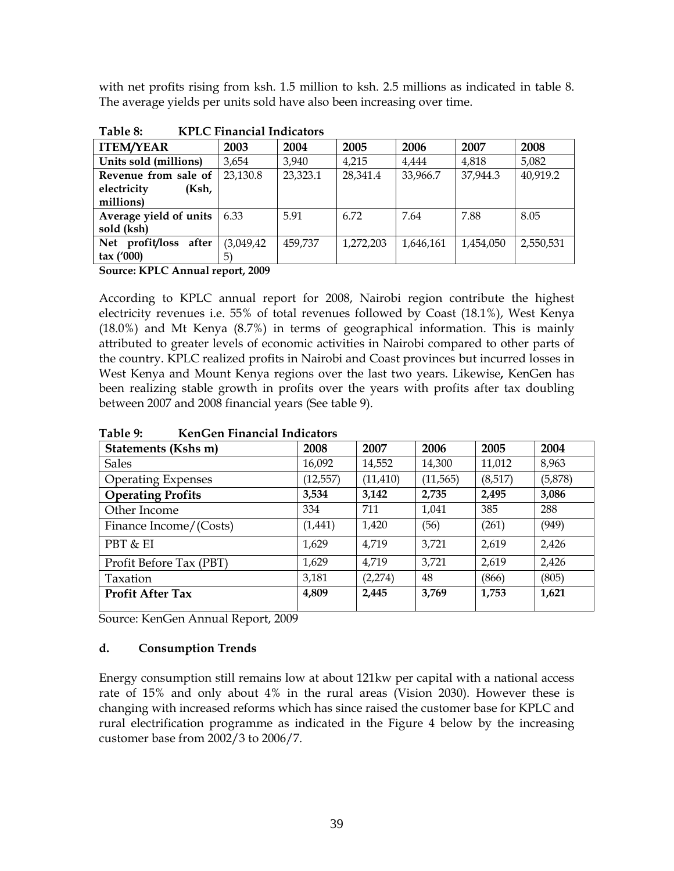with net profits rising from ksh. 1.5 million to ksh. 2.5 millions as indicated in table 8. The average yields per units sold have also been increasing over time.

| <b>ITEM/YEAR</b>                   | 2003       | 2004     | 2005      | 2006      | 2007      | 2008      |
|------------------------------------|------------|----------|-----------|-----------|-----------|-----------|
| Units sold (millions)              | 3,654      | 3,940    | 4,215     | 4,444     | 4,818     | 5,082     |
| Revenue from sale of               | 23,130.8   | 23,323.1 | 28,341.4  | 33,966.7  | 37,944.3  | 40,919.2  |
| electricity<br>(Ksh,               |            |          |           |           |           |           |
| millions)                          |            |          |           |           |           |           |
| Average yield of units             | 6.33       | 5.91     | 6.72      | 7.64      | 7.88      | 8.05      |
| sold (ksh)                         |            |          |           |           |           |           |
| profit/loss<br>after<br><b>Net</b> | (3,049,42) | 459,737  | 1,272,203 | 1,646,161 | 1,454,050 | 2,550,531 |
| $\text{tax}('000)$                 | 5)         |          |           |           |           |           |

**Table 8: KPLC Financial Indicators** 

**Source: KPLC Annual report, 2009** 

According to KPLC annual report for 2008, Nairobi region contribute the highest electricity revenues i.e. 55% of total revenues followed by Coast (18.1%), West Kenya (18.0%) and Mt Kenya (8.7%) in terms of geographical information. This is mainly attributed to greater levels of economic activities in Nairobi compared to other parts of the country. KPLC realized profits in Nairobi and Coast provinces but incurred losses in West Kenya and Mount Kenya regions over the last two years. Likewise**,** KenGen has been realizing stable growth in profits over the years with profits after tax doubling between 2007 and 2008 financial years (See table 9).

| <b>Statements (Kshs m)</b> | 2008      | 2007      | 2006      | 2005    | 2004    |
|----------------------------|-----------|-----------|-----------|---------|---------|
| <b>Sales</b>               | 16,092    | 14,552    | 14,300    | 11,012  | 8,963   |
| <b>Operating Expenses</b>  | (12, 557) | (11, 410) | (11, 565) | (8,517) | (5,878) |
| <b>Operating Profits</b>   | 3,534     | 3,142     | 2,735     | 2,495   | 3,086   |
| Other Income               | 334       | 711       | 1,041     | 385     | 288     |
| Finance Income/(Costs)     | (1, 441)  | 1,420     | (56)      | (261)   | (949)   |
| PBT & EI                   | 1,629     | 4,719     | 3,721     | 2,619   | 2,426   |
| Profit Before Tax (PBT)    | 1,629     | 4,719     | 3,721     | 2,619   | 2,426   |
| Taxation                   | 3,181     | (2,274)   | 48        | (866)   | (805)   |
| <b>Profit After Tax</b>    | 4,809     | 2,445     | 3,769     | 1,753   | 1,621   |
|                            |           |           |           |         |         |

**Table 9: KenGen Financial Indicators** 

Source: KenGen Annual Report, 2009

#### **d. Consumption Trends**

Energy consumption still remains low at about 121kw per capital with a national access rate of 15% and only about 4% in the rural areas (Vision 2030). However these is changing with increased reforms which has since raised the customer base for KPLC and rural electrification programme as indicated in the Figure 4 below by the increasing customer base from 2002/3 to 2006/7.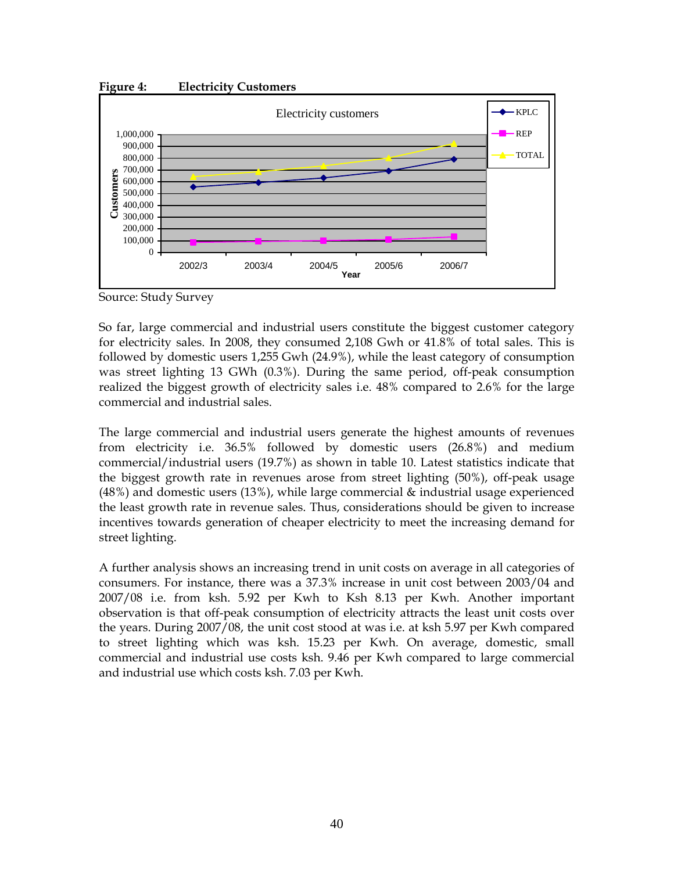**Figure 4: Electricity Customers** 



Source: Study Survey

So far, large commercial and industrial users constitute the biggest customer category for electricity sales. In 2008, they consumed 2,108 Gwh or 41.8% of total sales. This is followed by domestic users 1,255 Gwh (24.9%), while the least category of consumption was street lighting 13 GWh (0.3%). During the same period, off-peak consumption realized the biggest growth of electricity sales i.e. 48% compared to 2.6% for the large commercial and industrial sales.

The large commercial and industrial users generate the highest amounts of revenues from electricity i.e. 36.5% followed by domestic users (26.8%) and medium commercial/industrial users (19.7%) as shown in table 10. Latest statistics indicate that the biggest growth rate in revenues arose from street lighting (50%), off-peak usage (48%) and domestic users (13%), while large commercial & industrial usage experienced the least growth rate in revenue sales. Thus, considerations should be given to increase incentives towards generation of cheaper electricity to meet the increasing demand for street lighting.

A further analysis shows an increasing trend in unit costs on average in all categories of consumers. For instance, there was a 37.3% increase in unit cost between 2003/04 and 2007/08 i.e. from ksh. 5.92 per Kwh to Ksh 8.13 per Kwh. Another important observation is that off-peak consumption of electricity attracts the least unit costs over the years. During 2007/08, the unit cost stood at was i.e. at ksh 5.97 per Kwh compared to street lighting which was ksh. 15.23 per Kwh. On average, domestic, small commercial and industrial use costs ksh. 9.46 per Kwh compared to large commercial and industrial use which costs ksh. 7.03 per Kwh.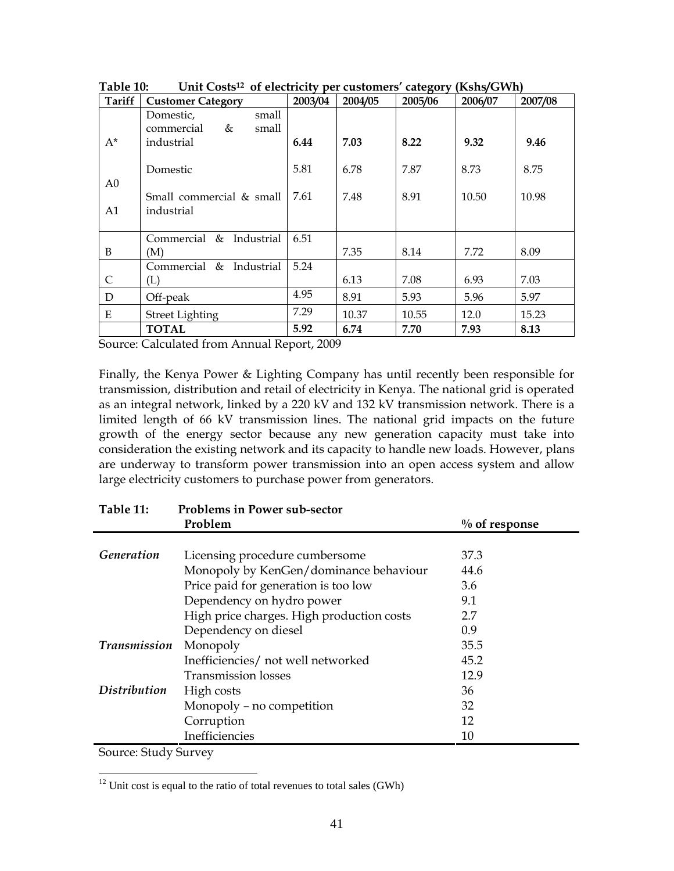| Tariff         | <b>Customer Category</b> | 2003/04 | 2004/05 | 2005/06 | 2006/07 | 2007/08 |
|----------------|--------------------------|---------|---------|---------|---------|---------|
|                | small<br>Domestic,       |         |         |         |         |         |
|                | commercial<br>&<br>small |         |         |         |         |         |
| $A^*$          | industrial               | 6.44    | 7.03    | 8.22    | 9.32    | 9.46    |
|                |                          |         |         |         |         |         |
|                | Domestic                 | 5.81    | 6.78    | 7.87    | 8.73    | 8.75    |
| A <sub>0</sub> |                          |         |         |         |         |         |
|                | Small commercial & small | 7.61    | 7.48    | 8.91    | 10.50   | 10.98   |
| A1             | industrial               |         |         |         |         |         |
|                |                          |         |         |         |         |         |
|                | Commercial & Industrial  | 6.51    |         |         |         |         |
| B              | (M)                      |         | 7.35    | 8.14    | 7.72    | 8.09    |
|                | Commercial & Industrial  | 5.24    |         |         |         |         |
| C              | (L)                      |         | 6.13    | 7.08    | 6.93    | 7.03    |
| D              | Off-peak                 | 4.95    | 8.91    | 5.93    | 5.96    | 5.97    |
| E              | <b>Street Lighting</b>   | 7.29    | 10.37   | 10.55   | 12.0    | 15.23   |
|                | <b>TOTAL</b>             | 5.92    | 6.74    | 7.70    | 7.93    | 8.13    |

**Table 10: Unit Costs12 of electricity per customers' category (Kshs/GWh)** 

Source: Calculated from Annual Report, 2009

Finally, the Kenya Power & Lighting Company has until recently been responsible for transmission, distribution and retail of electricity in Kenya. The national grid is operated as an integral network, linked by a 220 kV and 132 kV transmission network. There is a limited length of 66 kV transmission lines. The national grid impacts on the future growth of the energy sector because any new generation capacity must take into consideration the existing network and its capacity to handle new loads. However, plans are underway to transform power transmission into an open access system and allow large electricity customers to purchase power from generators.

| Table 11:           | <b>Problems in Power sub-sector</b>       |                  |  |  |  |
|---------------------|-------------------------------------------|------------------|--|--|--|
|                     | Problem                                   | $\%$ of response |  |  |  |
|                     |                                           |                  |  |  |  |
| Generation          | Licensing procedure cumbersome            | 37.3             |  |  |  |
|                     | Monopoly by KenGen/dominance behaviour    | 44.6             |  |  |  |
|                     | Price paid for generation is too low      | 3.6              |  |  |  |
|                     | Dependency on hydro power                 | 9.1              |  |  |  |
|                     | High price charges. High production costs | 2.7              |  |  |  |
|                     | Dependency on diesel                      | 0.9              |  |  |  |
| <b>Transmission</b> | Monopoly                                  | 35.5             |  |  |  |
|                     | Inefficiencies/ not well networked        | 45.2             |  |  |  |
|                     | <b>Transmission losses</b>                | 12.9             |  |  |  |
| <b>Distribution</b> | High costs                                | 36               |  |  |  |
|                     | Monopoly - no competition                 | 32               |  |  |  |
|                     | Corruption                                | 12               |  |  |  |
|                     | Inefficiencies                            | 10               |  |  |  |

Source: Study Survey

 $\overline{a}$ 

 $12$  Unit cost is equal to the ratio of total revenues to total sales (GWh)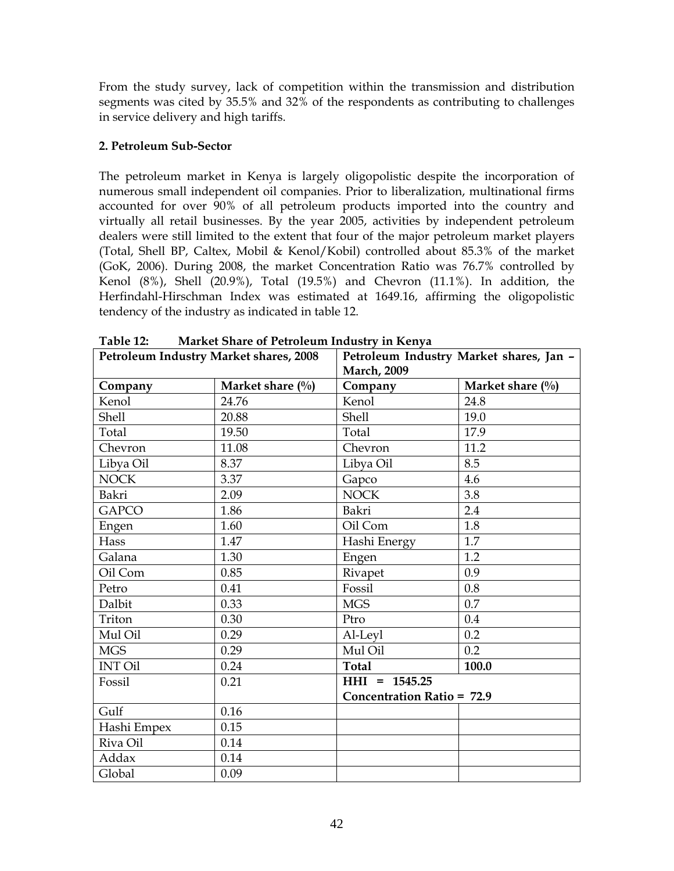From the study survey, lack of competition within the transmission and distribution segments was cited by 35.5% and 32% of the respondents as contributing to challenges in service delivery and high tariffs.

### **2. Petroleum Sub-Sector**

The petroleum market in Kenya is largely oligopolistic despite the incorporation of numerous small independent oil companies. Prior to liberalization, multinational firms accounted for over 90% of all petroleum products imported into the country and virtually all retail businesses. By the year 2005, activities by independent petroleum dealers were still limited to the extent that four of the major petroleum market players (Total, Shell BP, Caltex, Mobil & Kenol/Kobil) controlled about 85.3% of the market (GoK, 2006). During 2008, the market Concentration Ratio was 76.7% controlled by Kenol (8%), Shell (20.9%), Total (19.5%) and Chevron (11.1%). In addition, the Herfindahl-Hirschman Index was estimated at 1649.16, affirming the oligopolistic tendency of the industry as indicated in table 12.

| Petroleum Industry Market shares, 2008 |                     | Petroleum Industry Market shares, Jan - |                            |  |
|----------------------------------------|---------------------|-----------------------------------------|----------------------------|--|
|                                        |                     | <b>March</b> , 2009                     |                            |  |
| Company                                | Market share $(\%)$ | Company                                 | Market share $\frac{0}{0}$ |  |
| Kenol                                  | 24.76               | Kenol                                   | 24.8                       |  |
| Shell                                  | 20.88               | <b>Shell</b>                            | 19.0                       |  |
| Total                                  | 19.50               | Total                                   | 17.9                       |  |
| Chevron                                | 11.08               | Chevron                                 | 11.2                       |  |
| Libya Oil                              | 8.37                | Libya Oil                               | 8.5                        |  |
| <b>NOCK</b>                            | 3.37                | Gapco                                   | 4.6                        |  |
| Bakri                                  | 2.09                | <b>NOCK</b>                             | 3.8                        |  |
| <b>GAPCO</b>                           | 1.86                | Bakri                                   | 2.4                        |  |
| Engen                                  | 1.60                | Oil Com                                 | 1.8                        |  |
| Hass                                   | 1.47                | Hashi Energy                            | 1.7                        |  |
| Galana                                 | 1.30                | Engen                                   | 1.2                        |  |
| Oil Com                                | 0.85                | Rivapet                                 | 0.9                        |  |
| Petro                                  | 0.41                | Fossil                                  | 0.8                        |  |
| Dalbit                                 | 0.33                | <b>MGS</b>                              | $0.7\,$                    |  |
| Triton                                 | 0.30                | Ptro                                    | 0.4                        |  |
| Mul Oil                                | 0.29                | Al-Leyl                                 | 0.2                        |  |
| <b>MGS</b>                             | 0.29                | Mul Oil                                 | 0.2                        |  |
| <b>INT Oil</b>                         | 0.24                | <b>Total</b>                            | 100.0                      |  |
| Fossil                                 | 0.21                | $HHI = 1545.25$                         |                            |  |
|                                        |                     | <b>Concentration Ratio = 72.9</b>       |                            |  |
| Gulf                                   | 0.16                |                                         |                            |  |
| Hashi Empex                            | 0.15                |                                         |                            |  |
| Riva Oil                               | 0.14                |                                         |                            |  |
| Addax                                  | 0.14                |                                         |                            |  |
| Global                                 | 0.09                |                                         |                            |  |

**Table 12: Market Share of Petroleum Industry in Kenya**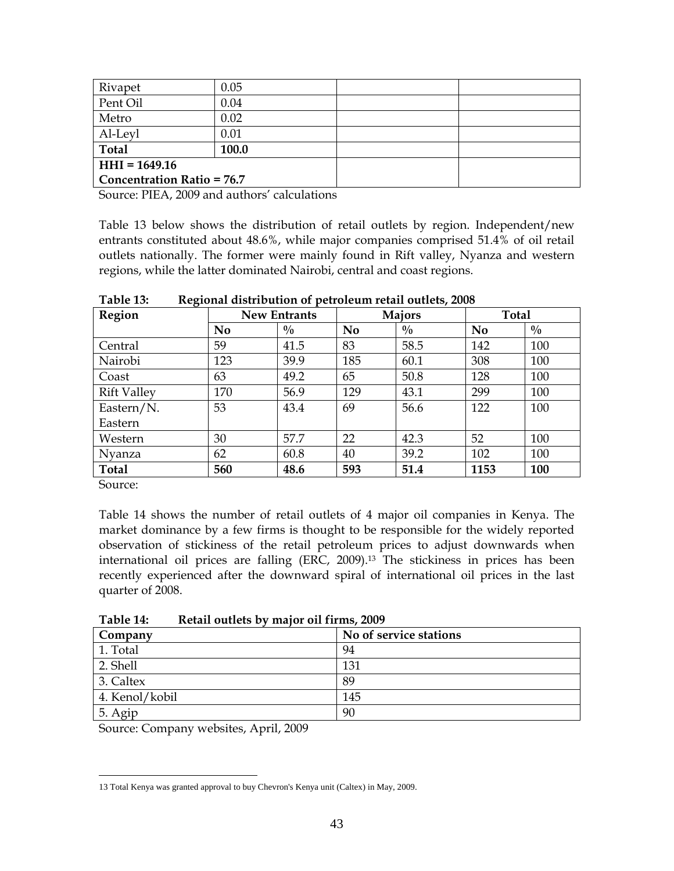| Rivapet                           | 0.05  |  |
|-----------------------------------|-------|--|
| Pent Oil                          | 0.04  |  |
| Metro                             | 0.02  |  |
| Al-Leyl                           | 0.01  |  |
| Total                             | 100.0 |  |
| $HHI = 1649.16$                   |       |  |
| <b>Concentration Ratio = 76.7</b> |       |  |

Source: PIEA, 2009 and authors' calculations

Table 13 below shows the distribution of retail outlets by region. Independent/new entrants constituted about 48.6%, while major companies comprised 51.4% of oil retail outlets nationally. The former were mainly found in Rift valley, Nyanza and western regions, while the latter dominated Nairobi, central and coast regions.

| Ξ.<br>Region       |                | <b>New Entrants</b> |                | Majors        | <b>Total</b>   |               |
|--------------------|----------------|---------------------|----------------|---------------|----------------|---------------|
|                    | N <sub>0</sub> | $\frac{0}{0}$       | N <sub>0</sub> | $\frac{0}{0}$ | N <sub>0</sub> | $\frac{0}{0}$ |
| Central            | 59             | 41.5                | 83             | 58.5          | 142            | 100           |
| Nairobi            | 123            | 39.9                | 185            | 60.1          | 308            | 100           |
| Coast              | 63             | 49.2                | 65             | 50.8          | 128            | 100           |
| <b>Rift Valley</b> | 170            | 56.9                | 129            | 43.1          | 299            | 100           |
| Eastern/N.         | 53             | 43.4                | 69             | 56.6          | 122            | 100           |
| Eastern            |                |                     |                |               |                |               |
| Western            | 30             | 57.7                | 22             | 42.3          | 52             | 100           |
| Nyanza             | 62             | 60.8                | 40             | 39.2          | 102            | 100           |
| <b>Total</b>       | 560            | 48.6                | 593            | 51.4          | 1153           | 100           |

**Table 13: Regional distribution of petroleum retail outlets, 2008** 

Source:

Table 14 shows the number of retail outlets of 4 major oil companies in Kenya. The market dominance by a few firms is thought to be responsible for the widely reported observation of stickiness of the retail petroleum prices to adjust downwards when international oil prices are falling (ERC, 2009).13 The stickiness in prices has been recently experienced after the downward spiral of international oil prices in the last quarter of 2008.

**Table 14: Retail outlets by major oil firms, 2009** 

| Company        | No of service stations |
|----------------|------------------------|
| 1. Total       | 94                     |
| 2. Shell       | 131                    |
| 3. Caltex      | 89                     |
| 4. Kenol/kobil | 145                    |
| 5. Agip        | 90                     |

Source: Company websites, April, 2009

 $\overline{a}$ 13 Total Kenya was granted approval to buy Chevron's Kenya unit (Caltex) in May, 2009.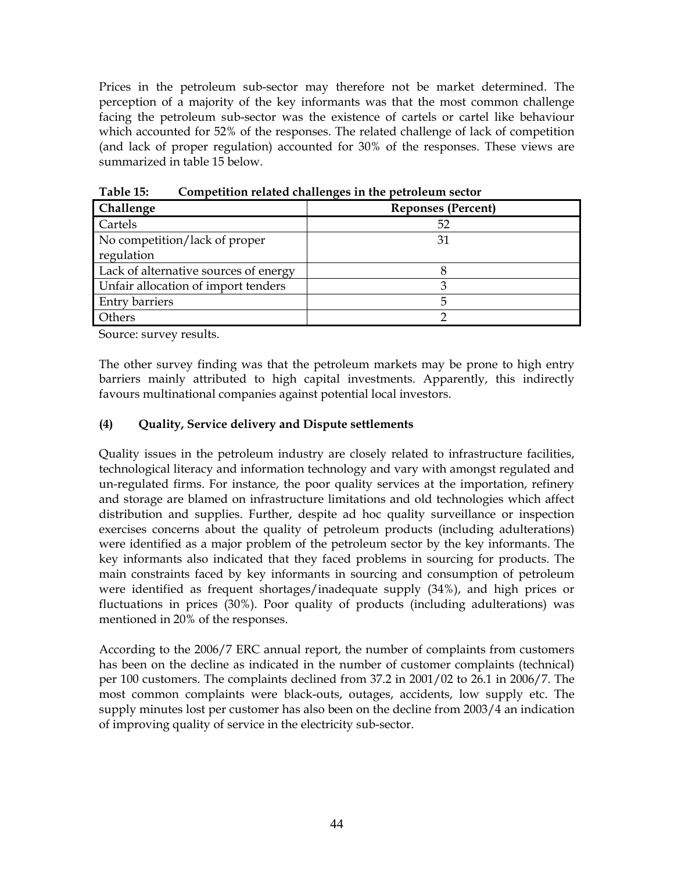Prices in the petroleum sub-sector may therefore not be market determined. The perception of a majority of the key informants was that the most common challenge facing the petroleum sub-sector was the existence of cartels or cartel like behaviour which accounted for 52% of the responses. The related challenge of lack of competition (and lack of proper regulation) accounted for 30% of the responses. These views are summarized in table 15 below.

| Challenge                             | <b>Reponses (Percent)</b> |
|---------------------------------------|---------------------------|
| Cartels                               | 52                        |
| No competition/lack of proper         | 31                        |
| regulation                            |                           |
| Lack of alternative sources of energy |                           |
| Unfair allocation of import tenders   |                           |
| <b>Entry barriers</b>                 | h                         |
| Others                                |                           |

**Table 15: Competition related challenges in the petroleum sector** 

Source: survey results.

The other survey finding was that the petroleum markets may be prone to high entry barriers mainly attributed to high capital investments. Apparently, this indirectly favours multinational companies against potential local investors.

### **(4) Quality, Service delivery and Dispute settlements**

Quality issues in the petroleum industry are closely related to infrastructure facilities, technological literacy and information technology and vary with amongst regulated and un-regulated firms. For instance, the poor quality services at the importation, refinery and storage are blamed on infrastructure limitations and old technologies which affect distribution and supplies. Further, despite ad hoc quality surveillance or inspection exercises concerns about the quality of petroleum products (including adulterations) were identified as a major problem of the petroleum sector by the key informants. The key informants also indicated that they faced problems in sourcing for products. The main constraints faced by key informants in sourcing and consumption of petroleum were identified as frequent shortages/inadequate supply (34%), and high prices or fluctuations in prices (30%). Poor quality of products (including adulterations) was mentioned in 20% of the responses.

According to the 2006/7 ERC annual report, the number of complaints from customers has been on the decline as indicated in the number of customer complaints (technical) per 100 customers. The complaints declined from 37.2 in 2001/02 to 26.1 in 2006/7. The most common complaints were black-outs, outages, accidents, low supply etc. The supply minutes lost per customer has also been on the decline from 2003/4 an indication of improving quality of service in the electricity sub-sector.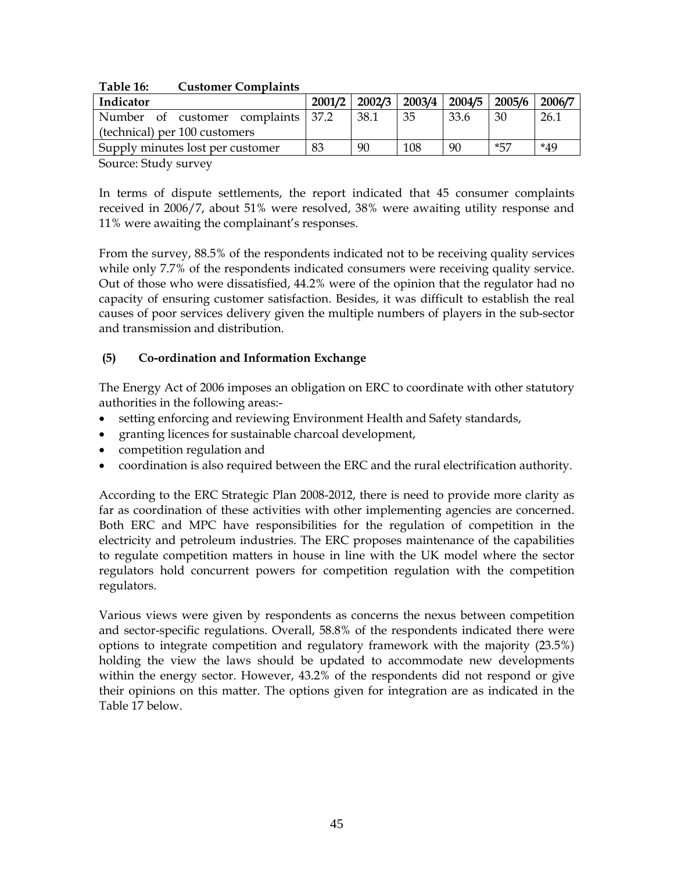| Indicator                          | 2001/2 | 2002/3 |     | $2003/4$   2004/5   2005/6 |       | 2006/7 |
|------------------------------------|--------|--------|-----|----------------------------|-------|--------|
| Number of customer complaints 37.2 |        | 38.1   | 35  | 33.6                       | 30    | 26.1   |
| (technical) per 100 customers      |        |        |     |                            |       |        |
| Supply minutes lost per customer   | 83     | 90     | 108 | 90                         | $*57$ | $*49$  |

#### **Table 16: Customer Complaints**

Source: Study survey

In terms of dispute settlements, the report indicated that 45 consumer complaints received in 2006/7, about 51% were resolved, 38% were awaiting utility response and 11% were awaiting the complainant's responses.

From the survey, 88.5% of the respondents indicated not to be receiving quality services while only 7.7% of the respondents indicated consumers were receiving quality service. Out of those who were dissatisfied, 44.2% were of the opinion that the regulator had no capacity of ensuring customer satisfaction. Besides, it was difficult to establish the real causes of poor services delivery given the multiple numbers of players in the sub-sector and transmission and distribution.

### **(5) Co-ordination and Information Exchange**

The Energy Act of 2006 imposes an obligation on ERC to coordinate with other statutory authorities in the following areas:-

- setting enforcing and reviewing Environment Health and Safety standards,
- granting licences for sustainable charcoal development,
- competition regulation and
- coordination is also required between the ERC and the rural electrification authority.

According to the ERC Strategic Plan 2008-2012, there is need to provide more clarity as far as coordination of these activities with other implementing agencies are concerned. Both ERC and MPC have responsibilities for the regulation of competition in the electricity and petroleum industries. The ERC proposes maintenance of the capabilities to regulate competition matters in house in line with the UK model where the sector regulators hold concurrent powers for competition regulation with the competition regulators.

Various views were given by respondents as concerns the nexus between competition and sector-specific regulations. Overall, 58.8% of the respondents indicated there were options to integrate competition and regulatory framework with the majority (23.5%) holding the view the laws should be updated to accommodate new developments within the energy sector. However, 43.2% of the respondents did not respond or give their opinions on this matter. The options given for integration are as indicated in the Table 17 below.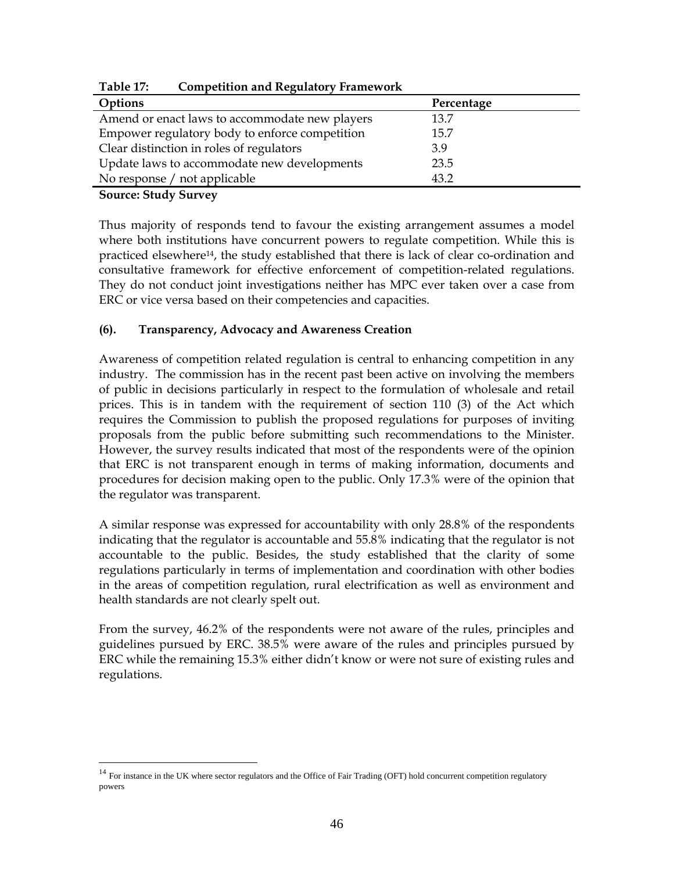| Options                                        | Percentage |
|------------------------------------------------|------------|
| Amend or enact laws to accommodate new players | 13.7       |
| Empower regulatory body to enforce competition | 15.7       |
| Clear distinction in roles of regulators       | 3.9        |
| Update laws to accommodate new developments    | 23.5       |
| No response / not applicable                   | 43.2       |

**Table 17: Competition and Regulatory Framework** 

**Source: Study Survey** 

 $\overline{a}$ 

Thus majority of responds tend to favour the existing arrangement assumes a model where both institutions have concurrent powers to regulate competition. While this is practiced elsewhere14, the study established that there is lack of clear co-ordination and consultative framework for effective enforcement of competition-related regulations. They do not conduct joint investigations neither has MPC ever taken over a case from ERC or vice versa based on their competencies and capacities.

### **(6). Transparency, Advocacy and Awareness Creation**

Awareness of competition related regulation is central to enhancing competition in any industry. The commission has in the recent past been active on involving the members of public in decisions particularly in respect to the formulation of wholesale and retail prices. This is in tandem with the requirement of section 110 (3) of the Act which requires the Commission to publish the proposed regulations for purposes of inviting proposals from the public before submitting such recommendations to the Minister. However, the survey results indicated that most of the respondents were of the opinion that ERC is not transparent enough in terms of making information, documents and procedures for decision making open to the public. Only 17.3% were of the opinion that the regulator was transparent.

A similar response was expressed for accountability with only 28.8% of the respondents indicating that the regulator is accountable and 55.8% indicating that the regulator is not accountable to the public. Besides, the study established that the clarity of some regulations particularly in terms of implementation and coordination with other bodies in the areas of competition regulation, rural electrification as well as environment and health standards are not clearly spelt out.

From the survey, 46.2% of the respondents were not aware of the rules, principles and guidelines pursued by ERC. 38.5% were aware of the rules and principles pursued by ERC while the remaining 15.3% either didn't know or were not sure of existing rules and regulations.

 $14$  For instance in the UK where sector regulators and the Office of Fair Trading (OFT) hold concurrent competition regulatory powers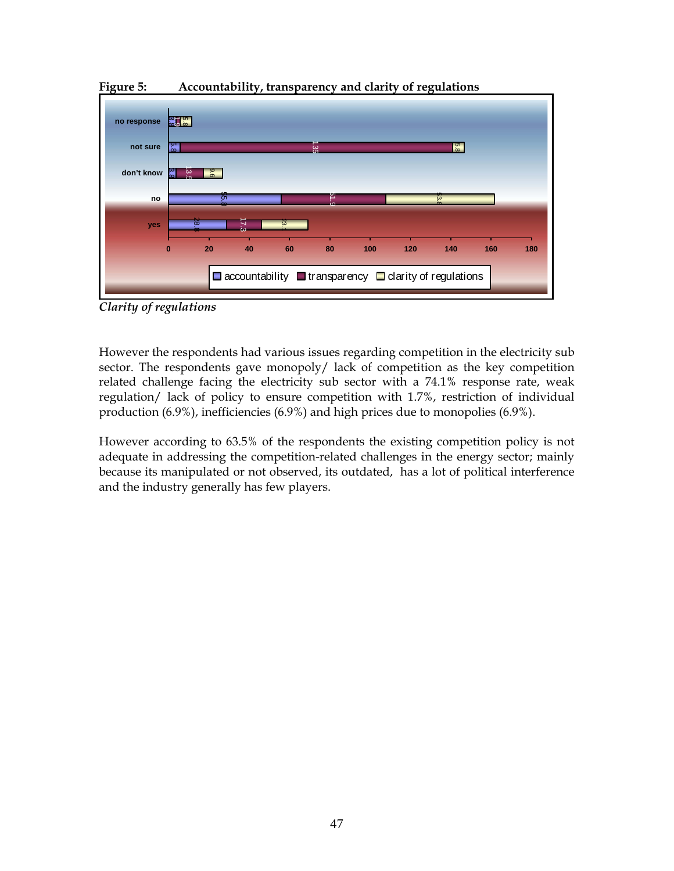

**Figure 5: Accountability, transparency and clarity of regulations** 

*Clarity of regulations* 

However the respondents had various issues regarding competition in the electricity sub sector. The respondents gave monopoly/ lack of competition as the key competition related challenge facing the electricity sub sector with a 74.1% response rate, weak regulation/ lack of policy to ensure competition with 1.7%, restriction of individual production (6.9%), inefficiencies (6.9%) and high prices due to monopolies (6.9%).

However according to 63.5% of the respondents the existing competition policy is not adequate in addressing the competition-related challenges in the energy sector; mainly because its manipulated or not observed, its outdated, has a lot of political interference and the industry generally has few players.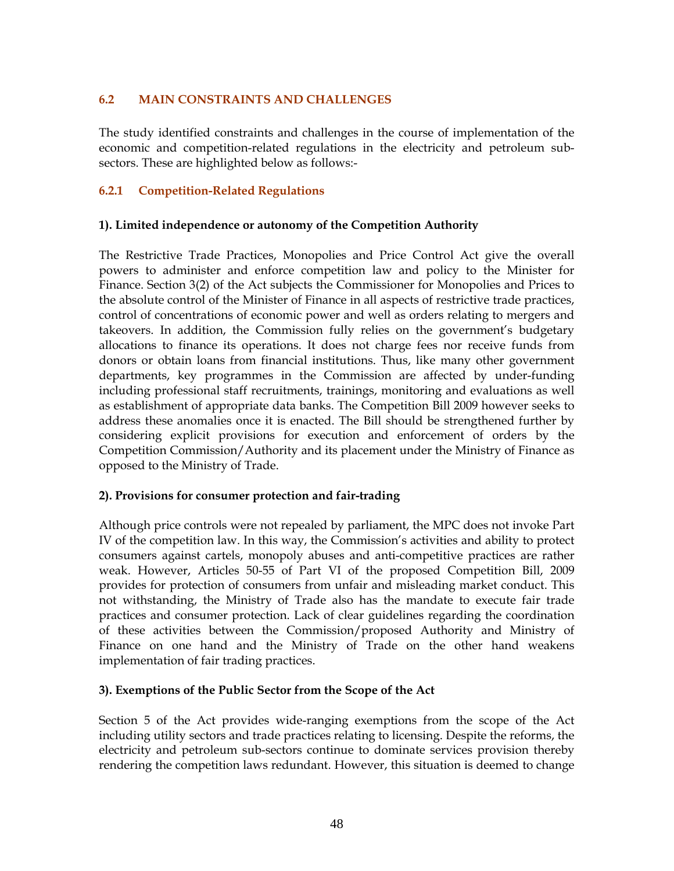### **6.2 MAIN CONSTRAINTS AND CHALLENGES**

The study identified constraints and challenges in the course of implementation of the economic and competition-related regulations in the electricity and petroleum subsectors. These are highlighted below as follows:-

### **6.2.1 Competition-Related Regulations**

### **1). Limited independence or autonomy of the Competition Authority**

The Restrictive Trade Practices, Monopolies and Price Control Act give the overall powers to administer and enforce competition law and policy to the Minister for Finance. Section 3(2) of the Act subjects the Commissioner for Monopolies and Prices to the absolute control of the Minister of Finance in all aspects of restrictive trade practices, control of concentrations of economic power and well as orders relating to mergers and takeovers. In addition, the Commission fully relies on the government's budgetary allocations to finance its operations. It does not charge fees nor receive funds from donors or obtain loans from financial institutions. Thus, like many other government departments, key programmes in the Commission are affected by under-funding including professional staff recruitments, trainings, monitoring and evaluations as well as establishment of appropriate data banks. The Competition Bill 2009 however seeks to address these anomalies once it is enacted. The Bill should be strengthened further by considering explicit provisions for execution and enforcement of orders by the Competition Commission/Authority and its placement under the Ministry of Finance as opposed to the Ministry of Trade.

### **2). Provisions for consumer protection and fair-trading**

Although price controls were not repealed by parliament, the MPC does not invoke Part IV of the competition law. In this way, the Commission's activities and ability to protect consumers against cartels, monopoly abuses and anti-competitive practices are rather weak. However, Articles 50-55 of Part VI of the proposed Competition Bill, 2009 provides for protection of consumers from unfair and misleading market conduct. This not withstanding, the Ministry of Trade also has the mandate to execute fair trade practices and consumer protection. Lack of clear guidelines regarding the coordination of these activities between the Commission/proposed Authority and Ministry of Finance on one hand and the Ministry of Trade on the other hand weakens implementation of fair trading practices.

#### **3). Exemptions of the Public Sector from the Scope of the Act**

Section 5 of the Act provides wide-ranging exemptions from the scope of the Act including utility sectors and trade practices relating to licensing. Despite the reforms, the electricity and petroleum sub-sectors continue to dominate services provision thereby rendering the competition laws redundant. However, this situation is deemed to change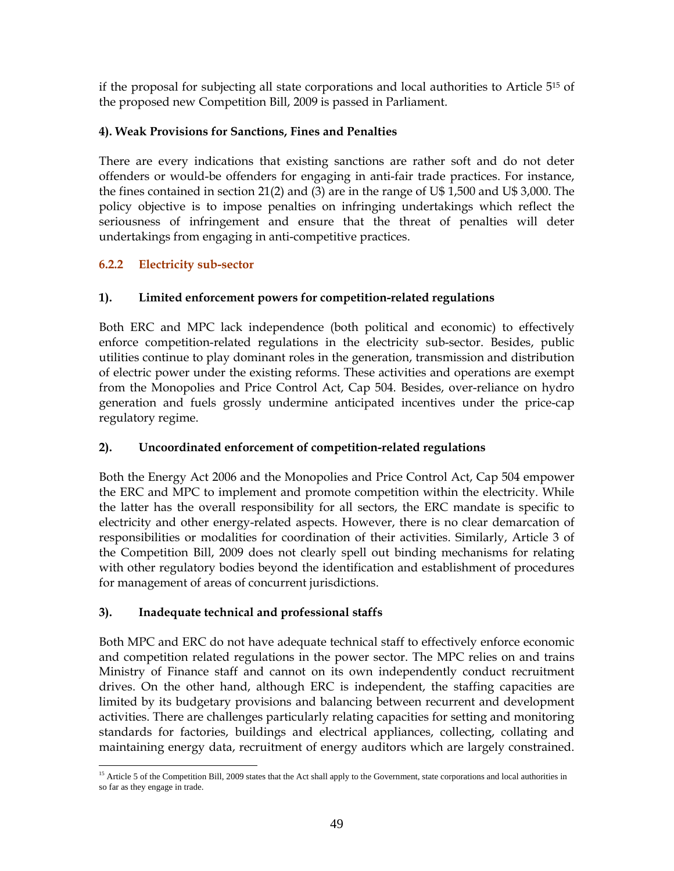if the proposal for subjecting all state corporations and local authorities to Article 515 of the proposed new Competition Bill, 2009 is passed in Parliament.

# **4). Weak Provisions for Sanctions, Fines and Penalties**

There are every indications that existing sanctions are rather soft and do not deter offenders or would-be offenders for engaging in anti-fair trade practices. For instance, the fines contained in section 21(2) and  $\overline{3}$  are in the range of U\$ 1,500 and U\$ 3,000. The policy objective is to impose penalties on infringing undertakings which reflect the seriousness of infringement and ensure that the threat of penalties will deter undertakings from engaging in anti-competitive practices.

## **6.2.2 Electricity sub-sector**

## **1). Limited enforcement powers for competition-related regulations**

Both ERC and MPC lack independence (both political and economic) to effectively enforce competition-related regulations in the electricity sub-sector. Besides, public utilities continue to play dominant roles in the generation, transmission and distribution of electric power under the existing reforms. These activities and operations are exempt from the Monopolies and Price Control Act, Cap 504. Besides, over-reliance on hydro generation and fuels grossly undermine anticipated incentives under the price-cap regulatory regime.

# **2). Uncoordinated enforcement of competition-related regulations**

Both the Energy Act 2006 and the Monopolies and Price Control Act, Cap 504 empower the ERC and MPC to implement and promote competition within the electricity. While the latter has the overall responsibility for all sectors, the ERC mandate is specific to electricity and other energy-related aspects. However, there is no clear demarcation of responsibilities or modalities for coordination of their activities. Similarly, Article 3 of the Competition Bill, 2009 does not clearly spell out binding mechanisms for relating with other regulatory bodies beyond the identification and establishment of procedures for management of areas of concurrent jurisdictions.

### **3). Inadequate technical and professional staffs**

Both MPC and ERC do not have adequate technical staff to effectively enforce economic and competition related regulations in the power sector. The MPC relies on and trains Ministry of Finance staff and cannot on its own independently conduct recruitment drives. On the other hand, although ERC is independent, the staffing capacities are limited by its budgetary provisions and balancing between recurrent and development activities. There are challenges particularly relating capacities for setting and monitoring standards for factories, buildings and electrical appliances, collecting, collating and maintaining energy data, recruitment of energy auditors which are largely constrained.

 $\overline{a}$ <sup>15</sup> Article 5 of the Competition Bill, 2009 states that the Act shall apply to the Government, state corporations and local authorities in so far as they engage in trade.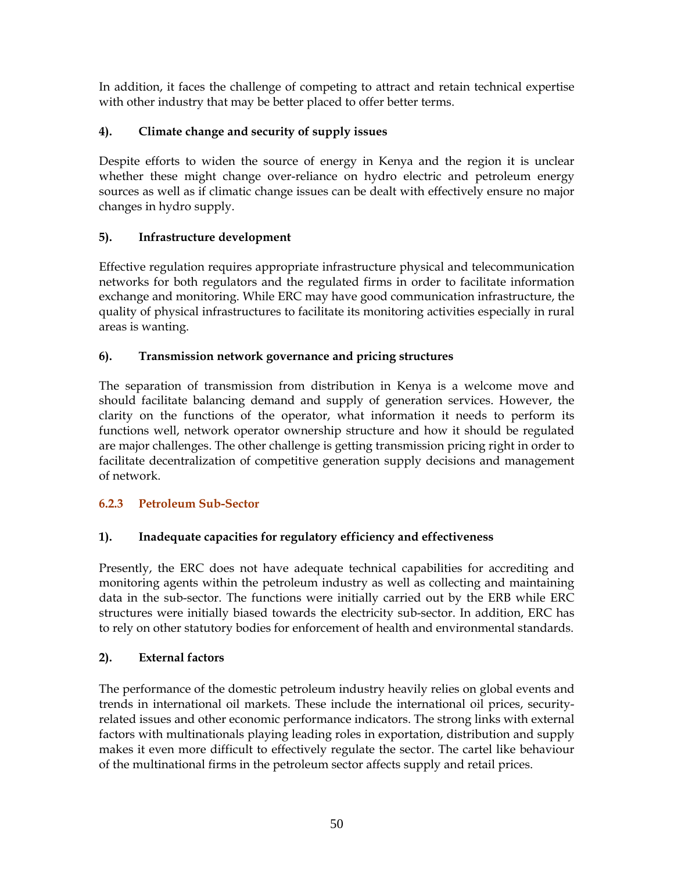In addition, it faces the challenge of competing to attract and retain technical expertise with other industry that may be better placed to offer better terms.

# **4). Climate change and security of supply issues**

Despite efforts to widen the source of energy in Kenya and the region it is unclear whether these might change over-reliance on hydro electric and petroleum energy sources as well as if climatic change issues can be dealt with effectively ensure no major changes in hydro supply.

# **5). Infrastructure development**

Effective regulation requires appropriate infrastructure physical and telecommunication networks for both regulators and the regulated firms in order to facilitate information exchange and monitoring. While ERC may have good communication infrastructure, the quality of physical infrastructures to facilitate its monitoring activities especially in rural areas is wanting.

# **6). Transmission network governance and pricing structures**

The separation of transmission from distribution in Kenya is a welcome move and should facilitate balancing demand and supply of generation services. However, the clarity on the functions of the operator, what information it needs to perform its functions well, network operator ownership structure and how it should be regulated are major challenges. The other challenge is getting transmission pricing right in order to facilitate decentralization of competitive generation supply decisions and management of network.

# **6.2.3 Petroleum Sub-Sector**

# **1). Inadequate capacities for regulatory efficiency and effectiveness**

Presently, the ERC does not have adequate technical capabilities for accrediting and monitoring agents within the petroleum industry as well as collecting and maintaining data in the sub-sector. The functions were initially carried out by the ERB while ERC structures were initially biased towards the electricity sub-sector. In addition, ERC has to rely on other statutory bodies for enforcement of health and environmental standards.

# **2). External factors**

The performance of the domestic petroleum industry heavily relies on global events and trends in international oil markets. These include the international oil prices, securityrelated issues and other economic performance indicators. The strong links with external factors with multinationals playing leading roles in exportation, distribution and supply makes it even more difficult to effectively regulate the sector. The cartel like behaviour of the multinational firms in the petroleum sector affects supply and retail prices.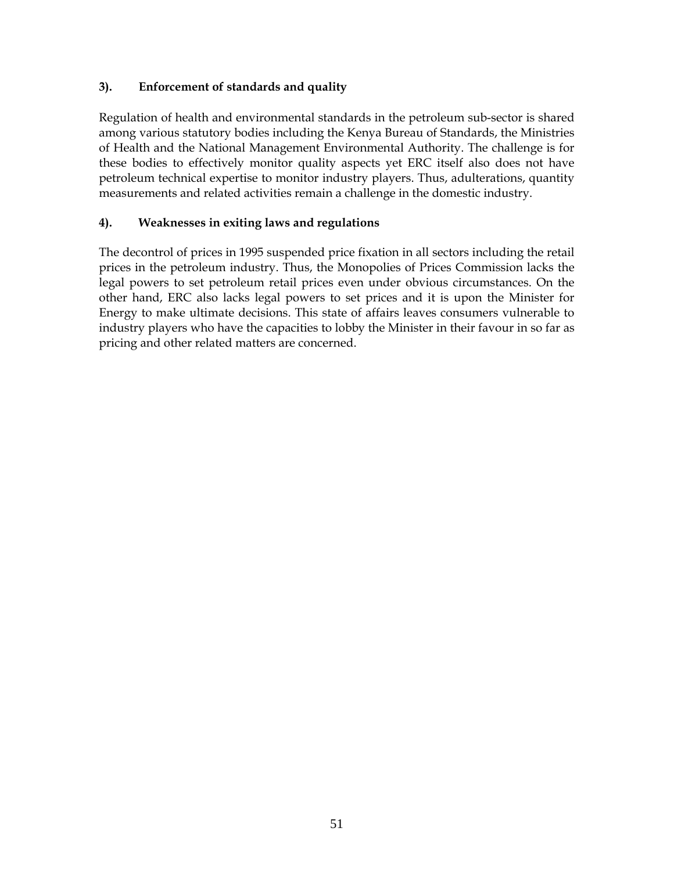### **3). Enforcement of standards and quality**

Regulation of health and environmental standards in the petroleum sub-sector is shared among various statutory bodies including the Kenya Bureau of Standards, the Ministries of Health and the National Management Environmental Authority. The challenge is for these bodies to effectively monitor quality aspects yet ERC itself also does not have petroleum technical expertise to monitor industry players. Thus, adulterations, quantity measurements and related activities remain a challenge in the domestic industry.

### **4). Weaknesses in exiting laws and regulations**

The decontrol of prices in 1995 suspended price fixation in all sectors including the retail prices in the petroleum industry. Thus, the Monopolies of Prices Commission lacks the legal powers to set petroleum retail prices even under obvious circumstances. On the other hand, ERC also lacks legal powers to set prices and it is upon the Minister for Energy to make ultimate decisions. This state of affairs leaves consumers vulnerable to industry players who have the capacities to lobby the Minister in their favour in so far as pricing and other related matters are concerned.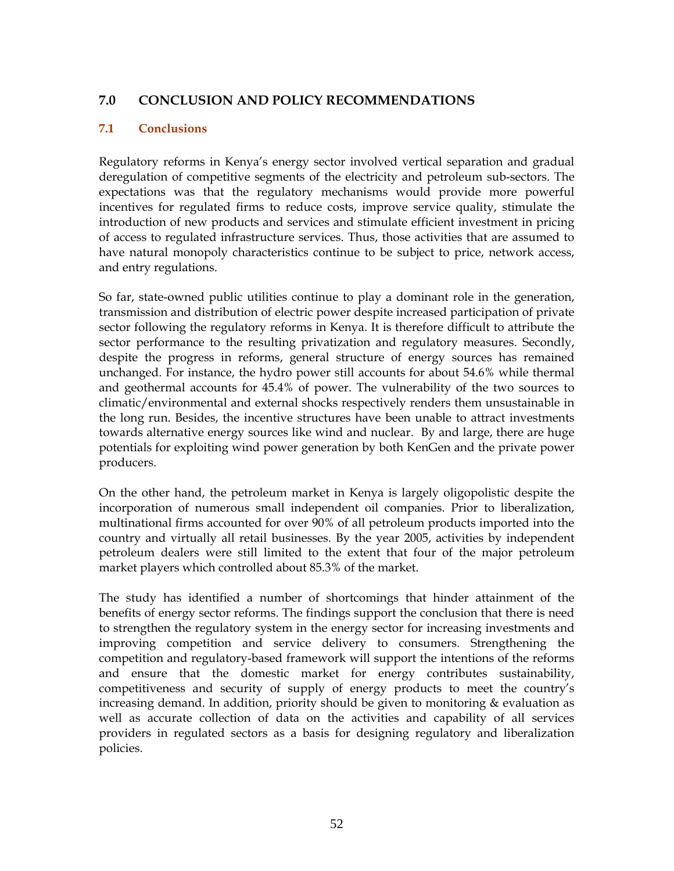# **7.0 CONCLUSION AND POLICY RECOMMENDATIONS**

### **7.1 Conclusions**

Regulatory reforms in Kenya's energy sector involved vertical separation and gradual deregulation of competitive segments of the electricity and petroleum sub-sectors. The expectations was that the regulatory mechanisms would provide more powerful incentives for regulated firms to reduce costs, improve service quality, stimulate the introduction of new products and services and stimulate efficient investment in pricing of access to regulated infrastructure services. Thus, those activities that are assumed to have natural monopoly characteristics continue to be subject to price, network access, and entry regulations.

So far, state-owned public utilities continue to play a dominant role in the generation, transmission and distribution of electric power despite increased participation of private sector following the regulatory reforms in Kenya. It is therefore difficult to attribute the sector performance to the resulting privatization and regulatory measures. Secondly, despite the progress in reforms, general structure of energy sources has remained unchanged. For instance, the hydro power still accounts for about 54.6% while thermal and geothermal accounts for 45.4% of power. The vulnerability of the two sources to climatic/environmental and external shocks respectively renders them unsustainable in the long run. Besides, the incentive structures have been unable to attract investments towards alternative energy sources like wind and nuclear. By and large, there are huge potentials for exploiting wind power generation by both KenGen and the private power producers.

On the other hand, the petroleum market in Kenya is largely oligopolistic despite the incorporation of numerous small independent oil companies. Prior to liberalization, multinational firms accounted for over 90% of all petroleum products imported into the country and virtually all retail businesses. By the year 2005, activities by independent petroleum dealers were still limited to the extent that four of the major petroleum market players which controlled about 85.3% of the market.

The study has identified a number of shortcomings that hinder attainment of the benefits of energy sector reforms. The findings support the conclusion that there is need to strengthen the regulatory system in the energy sector for increasing investments and improving competition and service delivery to consumers. Strengthening the competition and regulatory-based framework will support the intentions of the reforms and ensure that the domestic market for energy contributes sustainability, competitiveness and security of supply of energy products to meet the country's increasing demand. In addition, priority should be given to monitoring & evaluation as well as accurate collection of data on the activities and capability of all services providers in regulated sectors as a basis for designing regulatory and liberalization policies.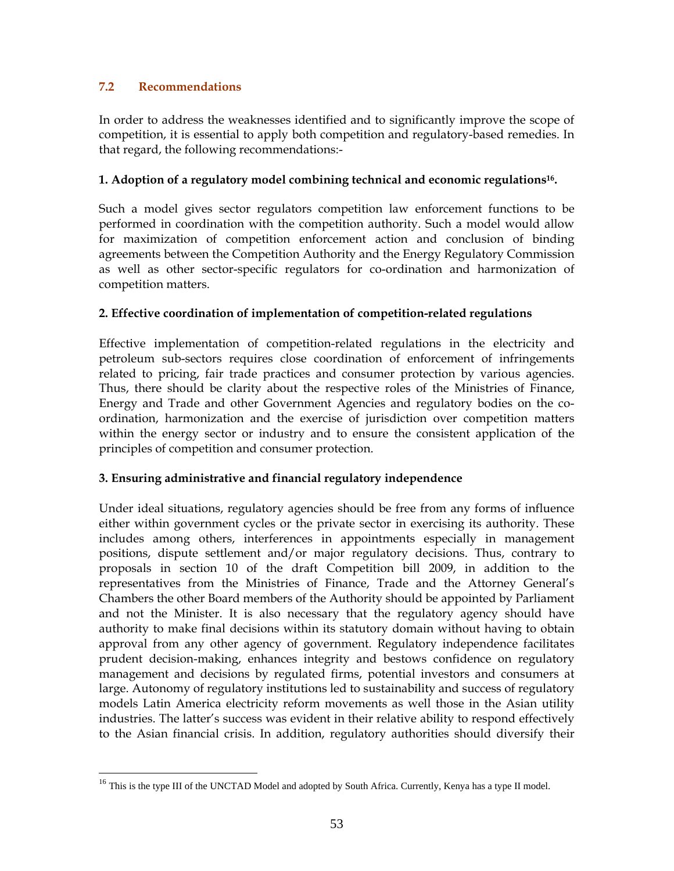### **7.2 Recommendations**

 $\overline{a}$ 

In order to address the weaknesses identified and to significantly improve the scope of competition, it is essential to apply both competition and regulatory-based remedies. In that regard, the following recommendations:-

### **1. Adoption of a regulatory model combining technical and economic regulations16.**

Such a model gives sector regulators competition law enforcement functions to be performed in coordination with the competition authority. Such a model would allow for maximization of competition enforcement action and conclusion of binding agreements between the Competition Authority and the Energy Regulatory Commission as well as other sector-specific regulators for co-ordination and harmonization of competition matters.

#### **2. Effective coordination of implementation of competition-related regulations**

Effective implementation of competition-related regulations in the electricity and petroleum sub-sectors requires close coordination of enforcement of infringements related to pricing, fair trade practices and consumer protection by various agencies. Thus, there should be clarity about the respective roles of the Ministries of Finance, Energy and Trade and other Government Agencies and regulatory bodies on the coordination, harmonization and the exercise of jurisdiction over competition matters within the energy sector or industry and to ensure the consistent application of the principles of competition and consumer protection.

### **3. Ensuring administrative and financial regulatory independence**

Under ideal situations, regulatory agencies should be free from any forms of influence either within government cycles or the private sector in exercising its authority. These includes among others, interferences in appointments especially in management positions, dispute settlement and/or major regulatory decisions. Thus, contrary to proposals in section 10 of the draft Competition bill 2009, in addition to the representatives from the Ministries of Finance, Trade and the Attorney General's Chambers the other Board members of the Authority should be appointed by Parliament and not the Minister. It is also necessary that the regulatory agency should have authority to make final decisions within its statutory domain without having to obtain approval from any other agency of government. Regulatory independence facilitates prudent decision-making, enhances integrity and bestows confidence on regulatory management and decisions by regulated firms, potential investors and consumers at large. Autonomy of regulatory institutions led to sustainability and success of regulatory models Latin America electricity reform movements as well those in the Asian utility industries. The latter's success was evident in their relative ability to respond effectively to the Asian financial crisis. In addition, regulatory authorities should diversify their

<sup>&</sup>lt;sup>16</sup> This is the type III of the UNCTAD Model and adopted by South Africa. Currently, Kenya has a type II model.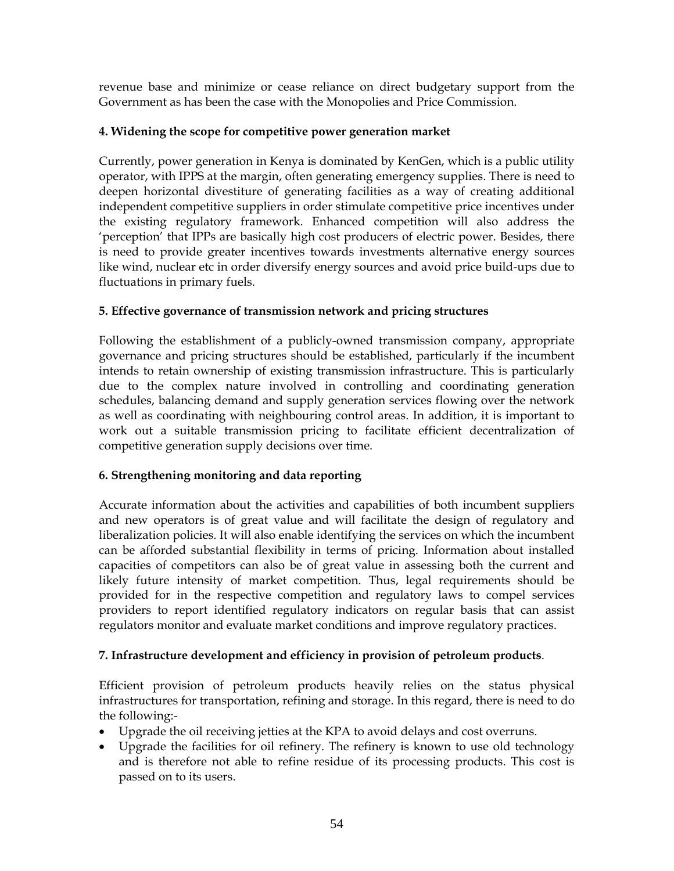revenue base and minimize or cease reliance on direct budgetary support from the Government as has been the case with the Monopolies and Price Commission.

### **4. Widening the scope for competitive power generation market**

Currently, power generation in Kenya is dominated by KenGen, which is a public utility operator, with IPPS at the margin, often generating emergency supplies. There is need to deepen horizontal divestiture of generating facilities as a way of creating additional independent competitive suppliers in order stimulate competitive price incentives under the existing regulatory framework. Enhanced competition will also address the 'perception' that IPPs are basically high cost producers of electric power. Besides, there is need to provide greater incentives towards investments alternative energy sources like wind, nuclear etc in order diversify energy sources and avoid price build-ups due to fluctuations in primary fuels.

## **5. Effective governance of transmission network and pricing structures**

Following the establishment of a publicly-owned transmission company, appropriate governance and pricing structures should be established, particularly if the incumbent intends to retain ownership of existing transmission infrastructure. This is particularly due to the complex nature involved in controlling and coordinating generation schedules, balancing demand and supply generation services flowing over the network as well as coordinating with neighbouring control areas. In addition, it is important to work out a suitable transmission pricing to facilitate efficient decentralization of competitive generation supply decisions over time.

# **6. Strengthening monitoring and data reporting**

Accurate information about the activities and capabilities of both incumbent suppliers and new operators is of great value and will facilitate the design of regulatory and liberalization policies. It will also enable identifying the services on which the incumbent can be afforded substantial flexibility in terms of pricing. Information about installed capacities of competitors can also be of great value in assessing both the current and likely future intensity of market competition. Thus, legal requirements should be provided for in the respective competition and regulatory laws to compel services providers to report identified regulatory indicators on regular basis that can assist regulators monitor and evaluate market conditions and improve regulatory practices.

### **7. Infrastructure development and efficiency in provision of petroleum products**.

Efficient provision of petroleum products heavily relies on the status physical infrastructures for transportation, refining and storage. In this regard, there is need to do the following:-

- Upgrade the oil receiving jetties at the KPA to avoid delays and cost overruns.
- Upgrade the facilities for oil refinery. The refinery is known to use old technology and is therefore not able to refine residue of its processing products. This cost is passed on to its users.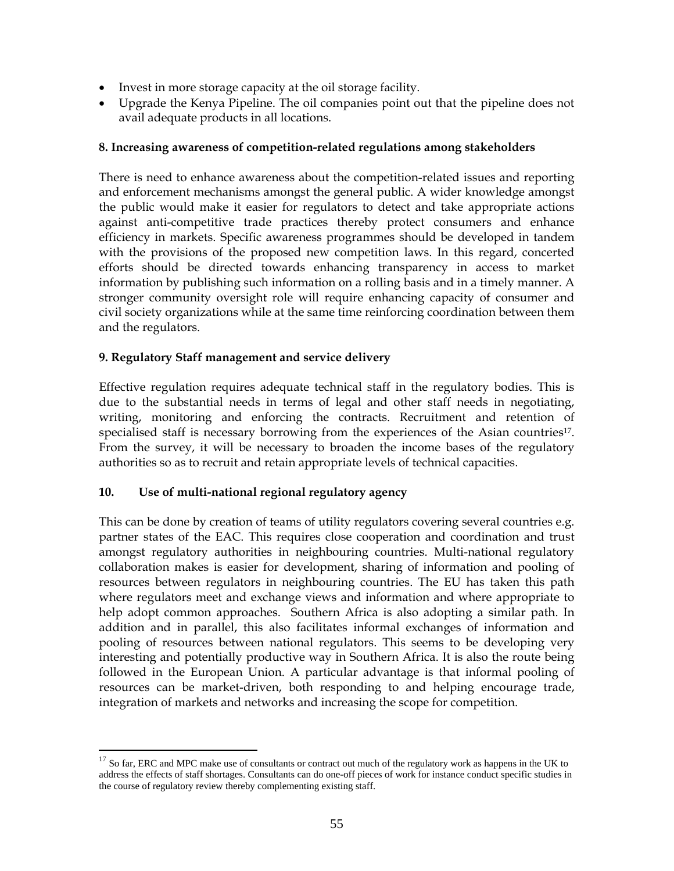- Invest in more storage capacity at the oil storage facility.
- Upgrade the Kenya Pipeline. The oil companies point out that the pipeline does not avail adequate products in all locations.

#### **8. Increasing awareness of competition-related regulations among stakeholders**

There is need to enhance awareness about the competition-related issues and reporting and enforcement mechanisms amongst the general public. A wider knowledge amongst the public would make it easier for regulators to detect and take appropriate actions against anti-competitive trade practices thereby protect consumers and enhance efficiency in markets. Specific awareness programmes should be developed in tandem with the provisions of the proposed new competition laws. In this regard, concerted efforts should be directed towards enhancing transparency in access to market information by publishing such information on a rolling basis and in a timely manner. A stronger community oversight role will require enhancing capacity of consumer and civil society organizations while at the same time reinforcing coordination between them and the regulators.

#### **9. Regulatory Staff management and service delivery**

Effective regulation requires adequate technical staff in the regulatory bodies. This is due to the substantial needs in terms of legal and other staff needs in negotiating, writing, monitoring and enforcing the contracts. Recruitment and retention of specialised staff is necessary borrowing from the experiences of the Asian countries<sup>17</sup>. From the survey, it will be necessary to broaden the income bases of the regulatory authorities so as to recruit and retain appropriate levels of technical capacities.

#### **10. Use of multi-national regional regulatory agency**

 $\overline{a}$ 

This can be done by creation of teams of utility regulators covering several countries e.g. partner states of the EAC. This requires close cooperation and coordination and trust amongst regulatory authorities in neighbouring countries. Multi-national regulatory collaboration makes is easier for development, sharing of information and pooling of resources between regulators in neighbouring countries. The EU has taken this path where regulators meet and exchange views and information and where appropriate to help adopt common approaches. Southern Africa is also adopting a similar path. In addition and in parallel, this also facilitates informal exchanges of information and pooling of resources between national regulators. This seems to be developing very interesting and potentially productive way in Southern Africa. It is also the route being followed in the European Union. A particular advantage is that informal pooling of resources can be market-driven, both responding to and helping encourage trade, integration of markets and networks and increasing the scope for competition.

<sup>&</sup>lt;sup>17</sup> So far, ERC and MPC make use of consultants or contract out much of the regulatory work as happens in the UK to address the effects of staff shortages. Consultants can do one-off pieces of work for instance conduct specific studies in the course of regulatory review thereby complementing existing staff.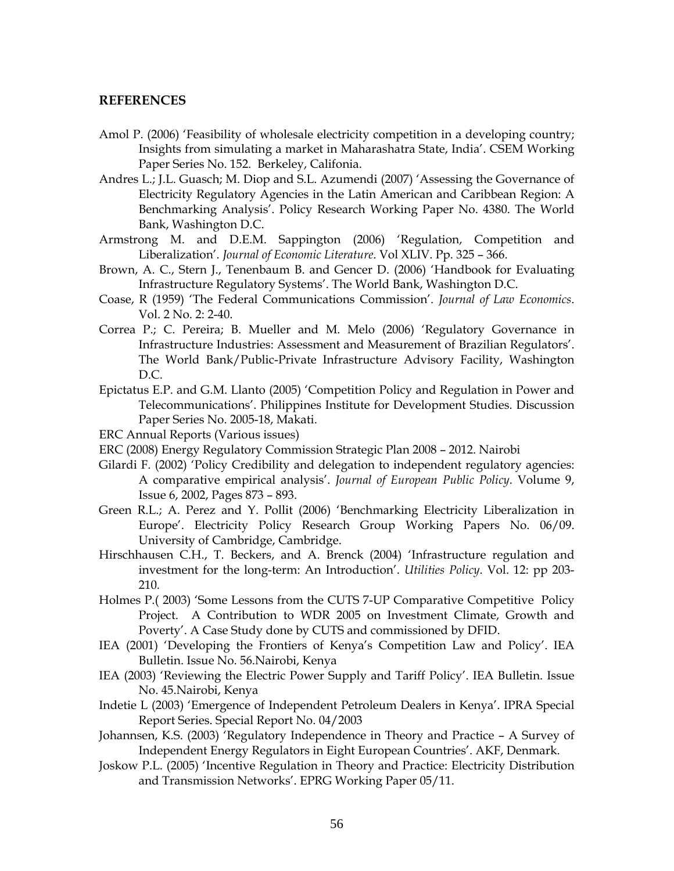#### **REFERENCES**

- Amol P. (2006) 'Feasibility of wholesale electricity competition in a developing country; Insights from simulating a market in Maharashatra State, India'. CSEM Working Paper Series No. 152. Berkeley, Califonia.
- Andres L.; J.L. Guasch; M. Diop and S.L. Azumendi (2007) 'Assessing the Governance of Electricity Regulatory Agencies in the Latin American and Caribbean Region: A Benchmarking Analysis'. Policy Research Working Paper No. 4380. The World Bank, Washington D.C.
- Armstrong M. and D.E.M. Sappington (2006) 'Regulation, Competition and Liberalization'. *Journal of Economic Literature*. Vol XLIV. Pp. 325 – 366.
- Brown, A. C., Stern J., Tenenbaum B. and Gencer D. (2006) 'Handbook for Evaluating Infrastructure Regulatory Systems'. The World Bank, Washington D.C.
- Coase, R (1959) 'The Federal Communications Commission'. *Journal of Law Economics*. Vol. 2 No. 2: 2-40.
- Correa P.; C. Pereira; B. Mueller and M. Melo (2006) 'Regulatory Governance in Infrastructure Industries: Assessment and Measurement of Brazilian Regulators'. The World Bank/Public-Private Infrastructure Advisory Facility, Washington D.C.
- Epictatus E.P. and G.M. Llanto (2005) 'Competition Policy and Regulation in Power and Telecommunications'. Philippines Institute for Development Studies. Discussion Paper Series No. 2005-18, Makati.

ERC Annual Reports (Various issues)

- ERC (2008) Energy Regulatory Commission Strategic Plan 2008 2012. Nairobi
- Gilardi F. (2002) 'Policy Credibility and delegation to independent regulatory agencies: A comparative empirical analysis'. *Journal of European Public Policy*. Volume 9, Issue 6, 2002, Pages 873 – 893.
- Green R.L.; A. Perez and Y. Pollit (2006) 'Benchmarking Electricity Liberalization in Europe'. Electricity Policy Research Group Working Papers No. 06/09. University of Cambridge, Cambridge.
- Hirschhausen C.H., T. Beckers, and A. Brenck (2004) 'Infrastructure regulation and investment for the long-term: An Introduction'. *Utilities Policy*. Vol. 12: pp 203- 210.
- Holmes P.( 2003) 'Some Lessons from the CUTS 7-UP Comparative Competitive Policy Project. A Contribution to WDR 2005 on Investment Climate, Growth and Poverty'. A Case Study done by CUTS and commissioned by DFID.
- IEA (2001) 'Developing the Frontiers of Kenya's Competition Law and Policy'. IEA Bulletin. Issue No. 56.Nairobi, Kenya
- IEA (2003) 'Reviewing the Electric Power Supply and Tariff Policy'. IEA Bulletin. Issue No. 45.Nairobi, Kenya
- Indetie L (2003) 'Emergence of Independent Petroleum Dealers in Kenya'. IPRA Special Report Series. Special Report No. 04/2003
- Johannsen, K.S. (2003) 'Regulatory Independence in Theory and Practice A Survey of Independent Energy Regulators in Eight European Countries'. AKF, Denmark.
- Joskow P.L. (2005) 'Incentive Regulation in Theory and Practice: Electricity Distribution and Transmission Networks'. EPRG Working Paper 05/11.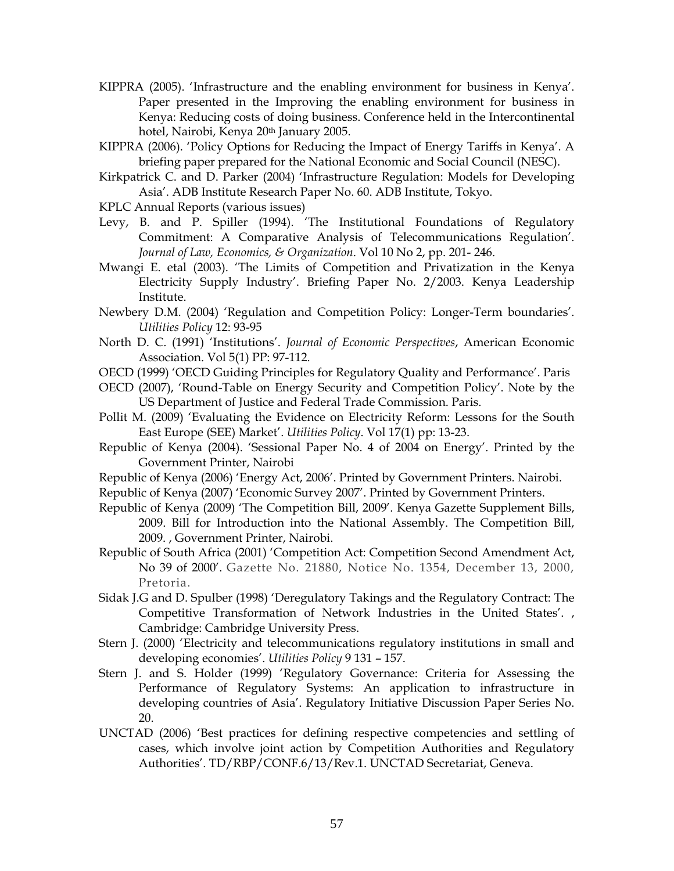- KIPPRA (2005). 'Infrastructure and the enabling environment for business in Kenya'. Paper presented in the Improving the enabling environment for business in Kenya: Reducing costs of doing business. Conference held in the Intercontinental hotel, Nairobi, Kenya 20<sup>th</sup> January 2005.
- KIPPRA (2006). 'Policy Options for Reducing the Impact of Energy Tariffs in Kenya'. A briefing paper prepared for the National Economic and Social Council (NESC).
- Kirkpatrick C. and D. Parker (2004) 'Infrastructure Regulation: Models for Developing Asia'. ADB Institute Research Paper No. 60. ADB Institute, Tokyo.
- KPLC Annual Reports (various issues)
- Levy, B. and P. Spiller (1994). 'The Institutional Foundations of Regulatory Commitment: A Comparative Analysis of Telecommunications Regulation'. *Journal of Law, Economics, & Organization*. Vol 10 No 2, pp. 201- 246.
- Mwangi E. etal (2003). 'The Limits of Competition and Privatization in the Kenya Electricity Supply Industry'. Briefing Paper No. 2/2003. Kenya Leadership Institute.
- Newbery D.M. (2004) 'Regulation and Competition Policy: Longer-Term boundaries'. *Utilities Policy* 12: 93-95
- North D. C. (1991) 'Institutions'. *Journal of Economic Perspectives*, American Economic Association. Vol 5(1) PP: 97-112.
- OECD (1999) 'OECD Guiding Principles for Regulatory Quality and Performance'. Paris
- OECD (2007), 'Round-Table on Energy Security and Competition Policy'. Note by the US Department of Justice and Federal Trade Commission. Paris.
- Pollit M. (2009) 'Evaluating the Evidence on Electricity Reform: Lessons for the South East Europe (SEE) Market'. *Utilities Policy*. Vol 17(1) pp: 13-23.
- Republic of Kenya (2004). 'Sessional Paper No. 4 of 2004 on Energy'. Printed by the Government Printer, Nairobi
- Republic of Kenya (2006) 'Energy Act, 2006'. Printed by Government Printers. Nairobi.
- Republic of Kenya (2007) 'Economic Survey 2007'. Printed by Government Printers.
- Republic of Kenya (2009) 'The Competition Bill, 2009'. Kenya Gazette Supplement Bills, 2009. Bill for Introduction into the National Assembly. The Competition Bill, 2009. , Government Printer, Nairobi.
- Republic of South Africa (2001) 'Competition Act: Competition Second Amendment Act, No 39 of 2000'. Gazette No. 21880, Notice No. 1354, December 13, 2000, Pretoria.
- Sidak J.G and D. Spulber (1998) 'Deregulatory Takings and the Regulatory Contract: The Competitive Transformation of Network Industries in the United States'. , Cambridge: Cambridge University Press.
- Stern J. (2000) 'Electricity and telecommunications regulatory institutions in small and developing economies'. *Utilities Policy* 9 131 – 157.
- Stern J. and S. Holder (1999) 'Regulatory Governance: Criteria for Assessing the Performance of Regulatory Systems: An application to infrastructure in developing countries of Asia'. Regulatory Initiative Discussion Paper Series No. 20.
- UNCTAD (2006) 'Best practices for defining respective competencies and settling of cases, which involve joint action by Competition Authorities and Regulatory Authorities'. TD/RBP/CONF.6/13/Rev.1. UNCTAD Secretariat, Geneva.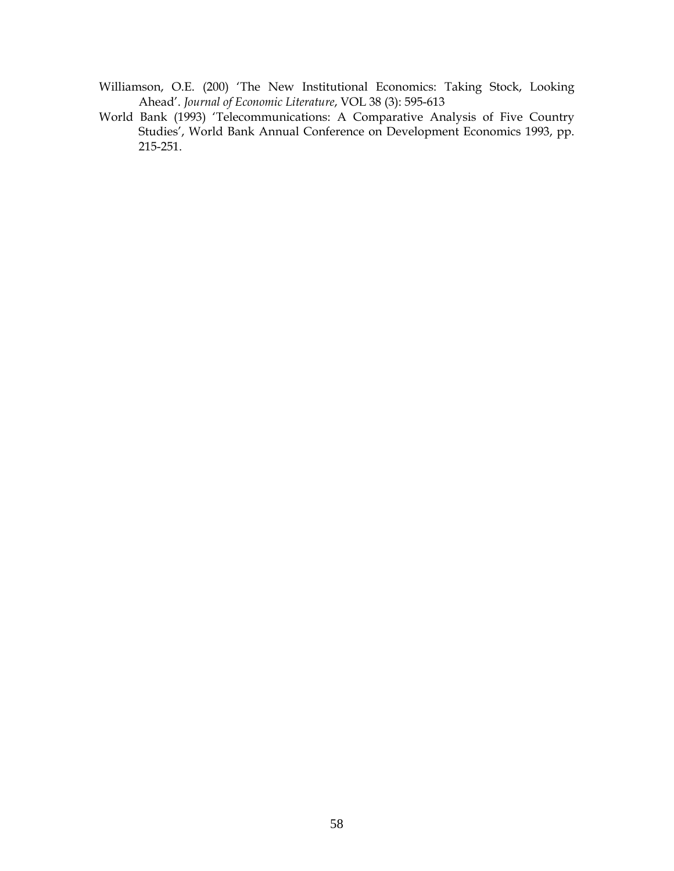- Williamson, O.E. (200) 'The New Institutional Economics: Taking Stock, Looking Ahead'. *Journal of Economic Literature*, VOL 38 (3): 595-613
- World Bank (1993) 'Telecommunications: A Comparative Analysis of Five Country Studies', World Bank Annual Conference on Development Economics 1993, pp. 215-251.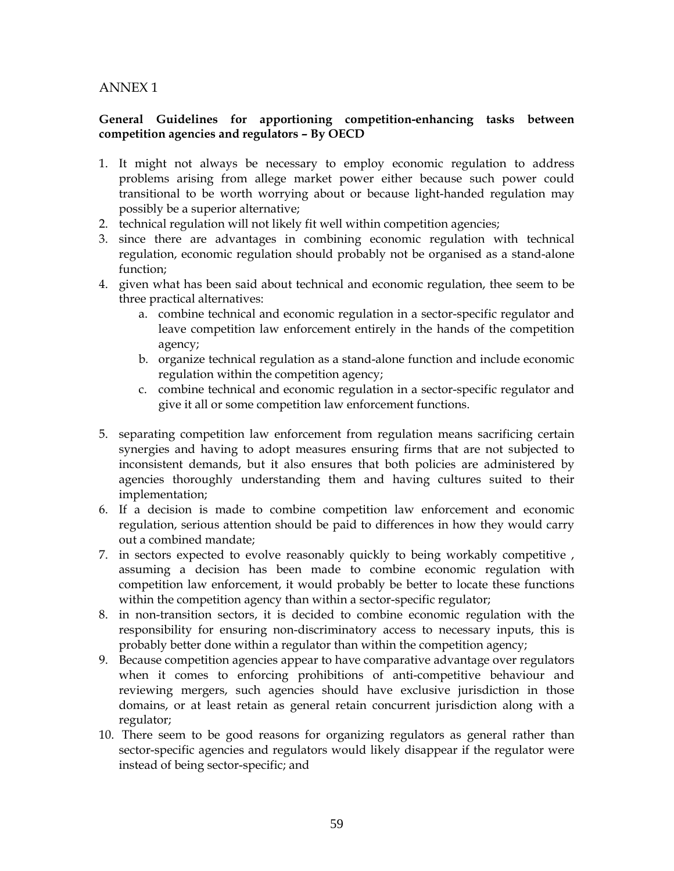### ANNEX 1

#### **General Guidelines for apportioning competition-enhancing tasks between competition agencies and regulators – By OECD**

- 1. It might not always be necessary to employ economic regulation to address problems arising from allege market power either because such power could transitional to be worth worrying about or because light-handed regulation may possibly be a superior alternative;
- 2. technical regulation will not likely fit well within competition agencies;
- 3. since there are advantages in combining economic regulation with technical regulation, economic regulation should probably not be organised as a stand-alone function;
- 4. given what has been said about technical and economic regulation, thee seem to be three practical alternatives:
	- a. combine technical and economic regulation in a sector-specific regulator and leave competition law enforcement entirely in the hands of the competition agency;
	- b. organize technical regulation as a stand-alone function and include economic regulation within the competition agency;
	- c. combine technical and economic regulation in a sector-specific regulator and give it all or some competition law enforcement functions.
- 5. separating competition law enforcement from regulation means sacrificing certain synergies and having to adopt measures ensuring firms that are not subjected to inconsistent demands, but it also ensures that both policies are administered by agencies thoroughly understanding them and having cultures suited to their implementation;
- 6. If a decision is made to combine competition law enforcement and economic regulation, serious attention should be paid to differences in how they would carry out a combined mandate;
- 7. in sectors expected to evolve reasonably quickly to being workably competitive , assuming a decision has been made to combine economic regulation with competition law enforcement, it would probably be better to locate these functions within the competition agency than within a sector-specific regulator;
- 8. in non-transition sectors, it is decided to combine economic regulation with the responsibility for ensuring non-discriminatory access to necessary inputs, this is probably better done within a regulator than within the competition agency;
- 9. Because competition agencies appear to have comparative advantage over regulators when it comes to enforcing prohibitions of anti-competitive behaviour and reviewing mergers, such agencies should have exclusive jurisdiction in those domains, or at least retain as general retain concurrent jurisdiction along with a regulator;
- 10. There seem to be good reasons for organizing regulators as general rather than sector-specific agencies and regulators would likely disappear if the regulator were instead of being sector-specific; and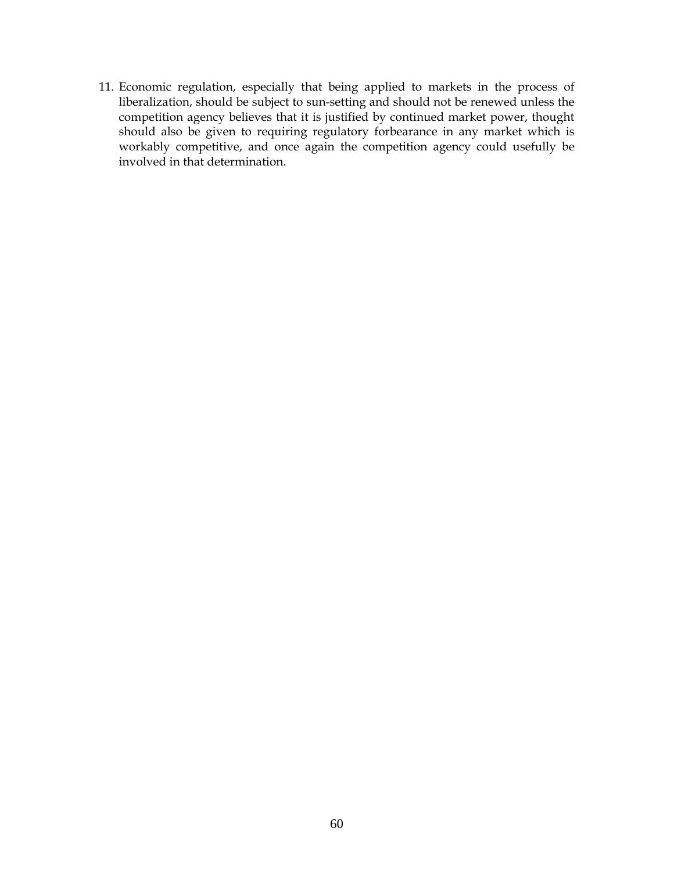11. Economic regulation, especially that being applied to markets in the process of liberalization, should be subject to sun-setting and should not be renewed unless the competition agency believes that it is justified by continued market power, thought should also be given to requiring regulatory forbearance in any market which is workably competitive, and once again the competition agency could usefully be involved in that determination.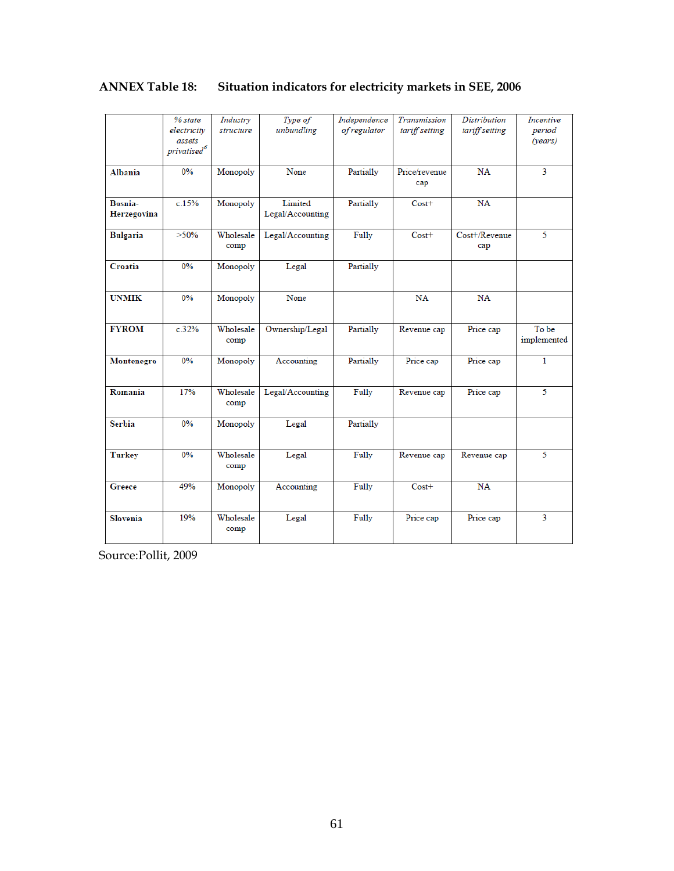# **ANNEX Table 18: Situation indicators for electricity markets in SEE, 2006**

|                        | % state<br>electricity<br>assets<br>privatised <sup>6</sup> | Industry<br>structure | Type of<br>unbundling       | Independence<br>of regulator | Transmission<br>tariff setting | <b>Distribution</b><br>tariff setting | Incentive<br>period<br>(years) |
|------------------------|-------------------------------------------------------------|-----------------------|-----------------------------|------------------------------|--------------------------------|---------------------------------------|--------------------------------|
| <b>Albania</b>         | 0%                                                          | Monopoly              | None                        | Partially                    | Price/revenue<br>cap           | <b>NA</b>                             | $\overline{3}$                 |
| Bosnia-<br>Herzegovina | c.15%                                                       | Monopoly              | Limited<br>Legal/Accounting | Partially                    | $Cost+$                        | <b>NA</b>                             |                                |
| <b>Bulgaria</b>        | >50%                                                        | Wholesale<br>comp     | Legal/Accounting            | Fully                        | $Cost+$                        | Cost+/Revenue<br>cap                  | 5                              |
| Croatia                | 0%                                                          | Monopoly              | Legal                       | Partially                    |                                |                                       |                                |
| <b>UNMIK</b>           | 0%                                                          | Monopoly              | None                        |                              | <b>NA</b>                      | NA                                    |                                |
| <b>FYROM</b>           | c.32%                                                       | Wholesale<br>comp     | Ownership/Legal             | Partially                    | Revenue cap                    | Price cap                             | To be<br>implemented           |
| Montenegro             | 0%                                                          | Monopoly              | Accounting                  | Partially                    | Price cap                      | Price cap                             | 1                              |
| Romania                | 17%                                                         | Wholesale<br>comp     | Legal/Accounting            | Fully                        | Revenue cap                    | Price cap                             | 5                              |
| <b>Serbia</b>          | 0%                                                          | Monopoly              | Legal                       | Partially                    |                                |                                       |                                |
| <b>Turkey</b>          | 0%                                                          | Wholesale<br>comp     | Legal                       | Fully                        | Revenue cap                    | Revenue cap                           | 5                              |
| Greece                 | 49%                                                         | Monopoly              | Accounting                  | Fully                        | $Cost+$                        | <b>NA</b>                             |                                |
| <b>Slovenia</b>        | 19%                                                         | Wholesale<br>comp     | Legal                       | Fully                        | Price cap                      | Price cap                             | $\overline{3}$                 |

Source: Pollit, 2009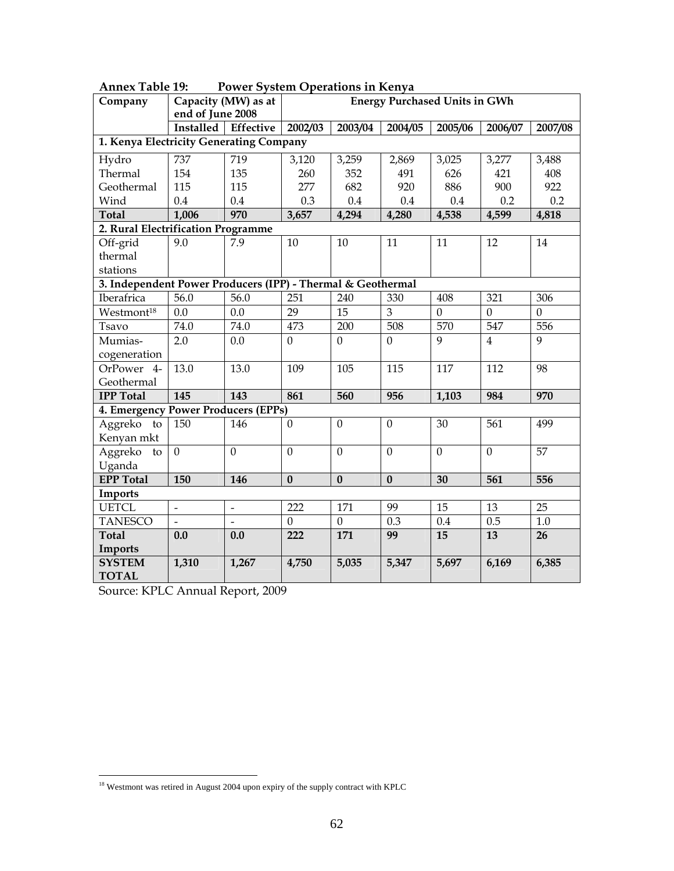| Company                                                     |                  | $1000$ $1000$<br>Capacity (MW) as at |                  |                | <b>Energy Purchased Units in GWh</b> |                |                |          |
|-------------------------------------------------------------|------------------|--------------------------------------|------------------|----------------|--------------------------------------|----------------|----------------|----------|
|                                                             | end of June 2008 |                                      |                  |                |                                      |                |                |          |
|                                                             |                  | Installed   Effective                | 2002/03          | 2003/04        | 2004/05                              | 2005/06        | 2006/07        | 2007/08  |
| 1. Kenya Electricity Generating Company                     |                  |                                      |                  |                |                                      |                |                |          |
| Hydro                                                       | 737              | 719                                  | 3,120            | 3,259          | 2,869                                | 3,025          | 3,277          | 3,488    |
| Thermal                                                     | 154              | 135                                  | 260              | 352            | 491                                  | 626            | 421            | 408      |
| Geothermal                                                  | 115              | 115                                  | 277              | 682            | 920                                  | 886            | 900            | 922      |
| Wind                                                        | 0.4              | 0.4                                  | 0.3              | 0.4            | 0.4                                  | 0.4            | 0.2            | 0.2      |
| <b>Total</b>                                                | 1,006            | 970                                  | 3,657            | 4,294          | 4,280                                | 4,538          | 4,599          | 4,818    |
| 2. Rural Electrification Programme                          |                  |                                      |                  |                |                                      |                |                |          |
| Off-grid                                                    | 9.0              | 7.9                                  | 10               | 10             | 11                                   | 11             | 12             | 14       |
| thermal                                                     |                  |                                      |                  |                |                                      |                |                |          |
| stations                                                    |                  |                                      |                  |                |                                      |                |                |          |
| 3. Independent Power Producers (IPP) - Thermal & Geothermal |                  |                                      |                  |                |                                      |                |                |          |
| Iberafrica                                                  | 56.0             | 56.0                                 | 251              | 240            | 330                                  | 408            | 321            | 306      |
| Westmont <sup>18</sup>                                      | 0.0              | 0.0                                  | 29               | 15             | $\overline{3}$                       | $\overline{0}$ | $\mathbf{0}$   | $\theta$ |
| Tsavo                                                       | 74.0             | 74.0                                 | 473              | 200            | 508                                  | 570            | 547            | 556      |
| Mumias-                                                     | 2.0              | 0.0                                  | $\boldsymbol{0}$ | $\overline{0}$ | $\boldsymbol{0}$                     | 9              | $\overline{4}$ | 9        |
| cogeneration                                                |                  |                                      |                  |                |                                      |                |                |          |
| OrPower 4-                                                  | 13.0             | 13.0                                 | 109              | 105            | 115                                  | 117            | 112            | 98       |
| Geothermal                                                  |                  |                                      |                  |                |                                      |                |                |          |
| <b>IPP Total</b>                                            | 145              | 143                                  | 861              | 560            | 956                                  | 1,103          | 984            | 970      |
| 4. Emergency Power Producers (EPPs)                         |                  |                                      |                  |                |                                      |                |                |          |
| Aggreko to                                                  | 150              | 146                                  | $\Omega$         | $\theta$       | $\mathbf{0}$                         | 30             | 561            | 499      |
| Kenyan mkt                                                  |                  |                                      |                  |                |                                      |                |                |          |
| Aggreko<br>to                                               | $\overline{0}$   | $\theta$                             | $\overline{0}$   | $\overline{0}$ | $\overline{0}$                       | $\overline{0}$ | $\mathbf{0}$   | 57       |
| Uganda                                                      |                  |                                      |                  |                |                                      |                |                |          |
| <b>EPP Total</b>                                            | 150              | 146                                  | $\bf{0}$         | $\bf{0}$       | $\bf{0}$                             | 30             | 561            | 556      |
| Imports                                                     |                  |                                      |                  |                |                                      |                |                |          |
| <b>UETCL</b>                                                | $\blacksquare$   | $\overline{\phantom{a}}$             | 222              | 171            | 99                                   | 15             | 13             | 25       |
| <b>TANESCO</b>                                              |                  |                                      | $\boldsymbol{0}$ | $\overline{0}$ | 0.3                                  | 0.4            | 0.5            | 1.0      |
| <b>Total</b>                                                | 0.0              | 0.0                                  | 222              | 171            | 99                                   | 15             | 13             | 26       |
| Imports                                                     |                  |                                      |                  |                |                                      |                |                |          |
| <b>SYSTEM</b>                                               | 1,310            | 1,267                                | 4,750            | 5,035          | 5,347                                | 5,697          | 6,169          | 6,385    |
| <b>TOTAL</b>                                                |                  |                                      |                  |                |                                      |                |                |          |

| <b>Annex Table 19:</b> | <b>Power System Operations in Kenya</b> |
|------------------------|-----------------------------------------|
|------------------------|-----------------------------------------|

Source: KPLC Annual Report, 2009

 $\overline{a}$ 

<sup>&</sup>lt;sup>18</sup> Westmont was retired in August 2004 upon expiry of the supply contract with KPLC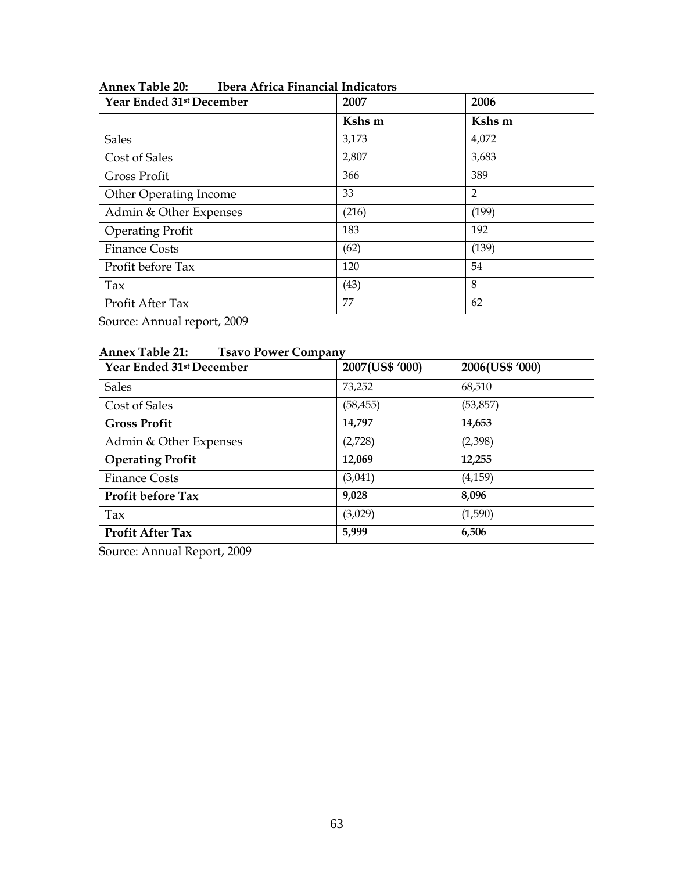| Year Ended 31st December | 2007   | 2006           |
|--------------------------|--------|----------------|
|                          | Kshs m | Kshs m         |
| <b>Sales</b>             | 3,173  | 4,072          |
| Cost of Sales            | 2,807  | 3,683          |
| Gross Profit             | 366    | 389            |
| Other Operating Income   | 33     | $\overline{2}$ |
| Admin & Other Expenses   | (216)  | (199)          |
| <b>Operating Profit</b>  | 183    | 192            |
| <b>Finance Costs</b>     | (62)   | (139)          |
| Profit before Tax        | 120    | 54             |
| Tax                      | (43)   | 8              |
| Profit After Tax         | 77     | 62             |

### **Annex Table 20: Ibera Africa Financial Indicators**

Source: Annual report, 2009

# **Annex Table 21: Tsavo Power Company**

| Year Ended 31 <sup>st</sup> December | 2007(US\$ '000) | 2006(US\$ '000) |
|--------------------------------------|-----------------|-----------------|
| <b>Sales</b>                         | 73,252          | 68,510          |
| Cost of Sales                        | (58, 455)       | (53, 857)       |
| <b>Gross Profit</b>                  | 14,797          | 14,653          |
| Admin & Other Expenses               | (2,728)         | (2,398)         |
| <b>Operating Profit</b>              | 12,069          | 12,255          |
| <b>Finance Costs</b>                 | (3,041)         | (4, 159)        |
| Profit before Tax                    | 9,028           | 8,096           |
| Tax                                  | (3,029)         | (1,590)         |
| <b>Profit After Tax</b>              | 5,999           | 6,506           |

Source: Annual Report, 2009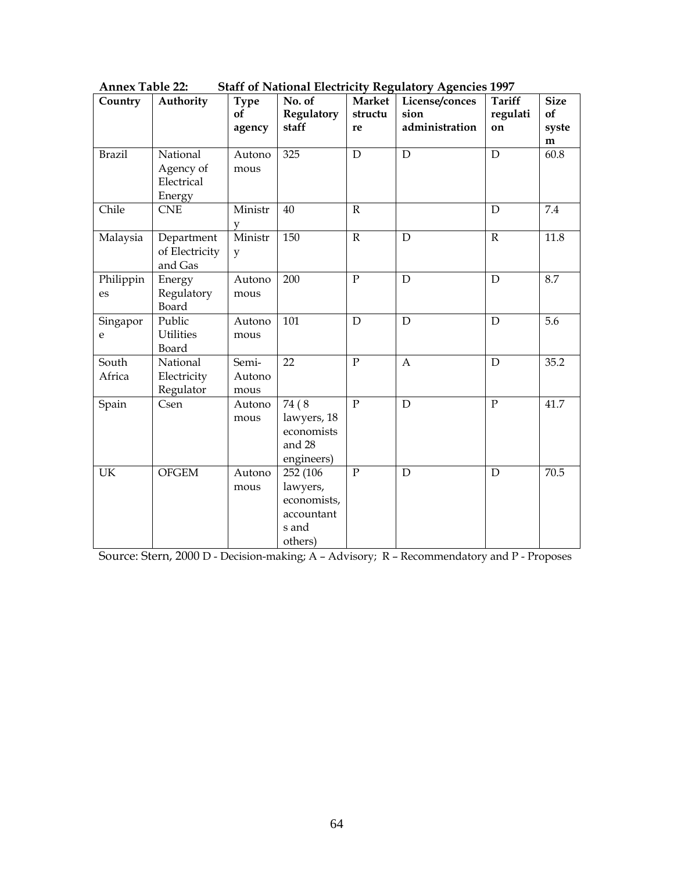| Country         | Authority                                     | <b>Type</b><br>of<br>agency | No. of<br>Regulatory<br>staff                                          | <b>Market</b><br>structu<br>re | License/conces<br>sion<br>administration | <b>Tariff</b><br>regulati<br>on | <b>Size</b><br>of<br>syste<br>m |
|-----------------|-----------------------------------------------|-----------------------------|------------------------------------------------------------------------|--------------------------------|------------------------------------------|---------------------------------|---------------------------------|
| <b>Brazil</b>   | National<br>Agency of<br>Electrical<br>Energy | Autono<br>mous              | 325                                                                    | $\mathbf D$                    | $\mathbf D$                              | $\mathbf D$                     | 60.8                            |
| Chile           | <b>CNE</b>                                    | Ministr<br>v                | 40                                                                     | $\mathbb{R}$                   |                                          | $\mathbf D$                     | 7.4                             |
| Malaysia        | Department<br>of Electricity<br>and Gas       | Ministr<br>y                | 150                                                                    | $\mathbb R$                    | D                                        | $\mathbb{R}$                    | 11.8                            |
| Philippin<br>es | Energy<br>Regulatory<br>Board                 | Autono<br>mous              | 200                                                                    | $\mathbf{P}$                   | $\mathbf D$                              | $\mathbf D$                     | 8.7                             |
| Singapor<br>e   | Public<br><b>Utilities</b><br>Board           | Autono<br>mous              | 101                                                                    | D                              | $\mathbf D$                              | $\mathbf D$                     | 5.6                             |
| South<br>Africa | National<br>Electricity<br>Regulator          | Semi-<br>Autono<br>mous     | 22                                                                     | $\mathbf P$                    | A                                        | $\mathbf D$                     | 35.2                            |
| Spain           | Csen                                          | Autono<br>mous              | 74 (8)<br>lawyers, 18<br>economists<br>and 28<br>engineers)            | $\mathbf{P}$                   | $\mathbf D$                              | $\mathbf{P}$                    | 41.7                            |
| UK              | <b>OFGEM</b>                                  | Autono<br>mous              | 252 (106)<br>lawyers,<br>economists,<br>accountant<br>s and<br>others) | $\mathbf P$                    | $\mathbf D$                              | $\mathbf D$                     | 70.5                            |

| <b>Staff of National Electricity Regulatory Agencies 1997</b><br><b>Annex Table 22:</b> |
|-----------------------------------------------------------------------------------------|
|-----------------------------------------------------------------------------------------|

Source: Stern, 2000 D - Decision-making; A – Advisory; R – Recommendatory and P - Proposes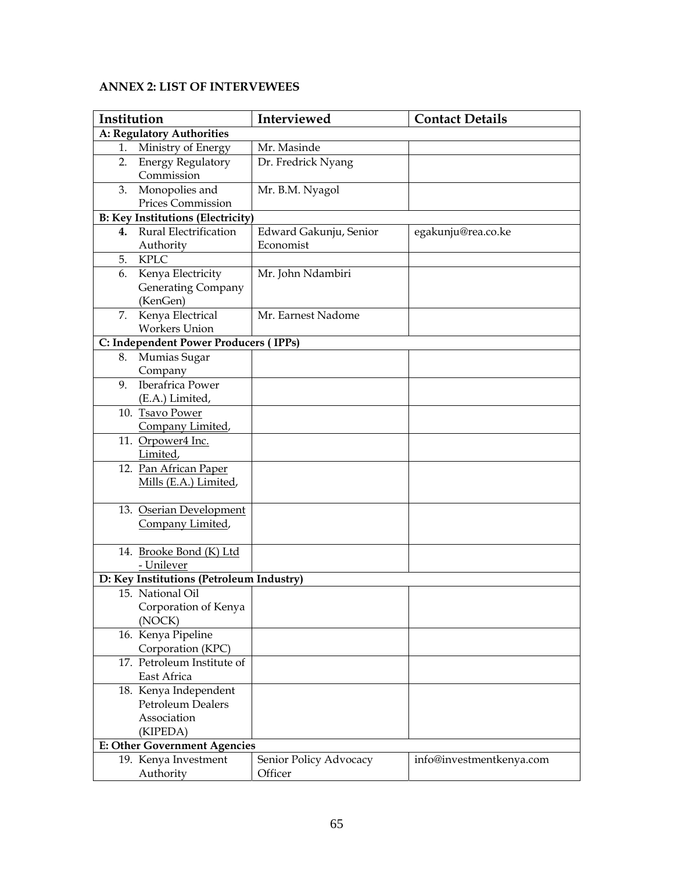## **ANNEX 2: LIST OF INTERVEWEES**

| Institution                         |                                          | Interviewed            | <b>Contact Details</b>   |  |  |  |
|-------------------------------------|------------------------------------------|------------------------|--------------------------|--|--|--|
| A: Regulatory Authorities           |                                          |                        |                          |  |  |  |
| 1.                                  | Ministry of Energy                       | Mr. Masinde            |                          |  |  |  |
| 2.                                  | <b>Energy Regulatory</b>                 | Dr. Fredrick Nyang     |                          |  |  |  |
|                                     | Commission                               |                        |                          |  |  |  |
|                                     | 3. Monopolies and                        | Mr. B.M. Nyagol        |                          |  |  |  |
|                                     | Prices Commission                        |                        |                          |  |  |  |
|                                     | <b>B: Key Institutions (Electricity)</b> |                        |                          |  |  |  |
|                                     | 4. Rural Electrification                 | Edward Gakunju, Senior | egakunju@rea.co.ke       |  |  |  |
|                                     | Authority                                | Economist              |                          |  |  |  |
|                                     | 5. KPLC                                  |                        |                          |  |  |  |
| 6.                                  | Kenya Electricity                        | Mr. John Ndambiri      |                          |  |  |  |
|                                     | <b>Generating Company</b>                |                        |                          |  |  |  |
|                                     | (KenGen)                                 |                        |                          |  |  |  |
|                                     | 7. Kenya Electrical                      | Mr. Earnest Nadome     |                          |  |  |  |
|                                     | <b>Workers Union</b>                     |                        |                          |  |  |  |
|                                     | C: Independent Power Producers (IPPs)    |                        |                          |  |  |  |
|                                     | 8. Mumias Sugar                          |                        |                          |  |  |  |
|                                     | Company                                  |                        |                          |  |  |  |
| 9.                                  | Iberafrica Power                         |                        |                          |  |  |  |
|                                     | (E.A.) Limited,                          |                        |                          |  |  |  |
|                                     | 10. Tsavo Power                          |                        |                          |  |  |  |
|                                     | Company Limited,                         |                        |                          |  |  |  |
|                                     | 11. Orpower4 Inc.                        |                        |                          |  |  |  |
|                                     | Limited,                                 |                        |                          |  |  |  |
|                                     | 12. Pan African Paper                    |                        |                          |  |  |  |
|                                     | Mills (E.A.) Limited,                    |                        |                          |  |  |  |
|                                     |                                          |                        |                          |  |  |  |
|                                     | 13. Oserian Development                  |                        |                          |  |  |  |
|                                     | Company Limited,                         |                        |                          |  |  |  |
|                                     | 14. Brooke Bond (K) Ltd                  |                        |                          |  |  |  |
|                                     | - Unilever                               |                        |                          |  |  |  |
|                                     | D: Key Institutions (Petroleum Industry) |                        |                          |  |  |  |
|                                     | 15. National Oil                         |                        |                          |  |  |  |
|                                     | Corporation of Kenya                     |                        |                          |  |  |  |
|                                     | (NOCK)                                   |                        |                          |  |  |  |
|                                     | 16. Kenya Pipeline                       |                        |                          |  |  |  |
|                                     | Corporation (KPC)                        |                        |                          |  |  |  |
|                                     | 17. Petroleum Institute of               |                        |                          |  |  |  |
|                                     | East Africa                              |                        |                          |  |  |  |
|                                     | 18. Kenya Independent                    |                        |                          |  |  |  |
|                                     | <b>Petroleum Dealers</b>                 |                        |                          |  |  |  |
|                                     | Association                              |                        |                          |  |  |  |
|                                     | (KIPEDA)                                 |                        |                          |  |  |  |
| <b>E: Other Government Agencies</b> |                                          |                        |                          |  |  |  |
|                                     | 19. Kenya Investment                     | Senior Policy Advocacy | info@investmentkenya.com |  |  |  |
|                                     | Authority                                | Officer                |                          |  |  |  |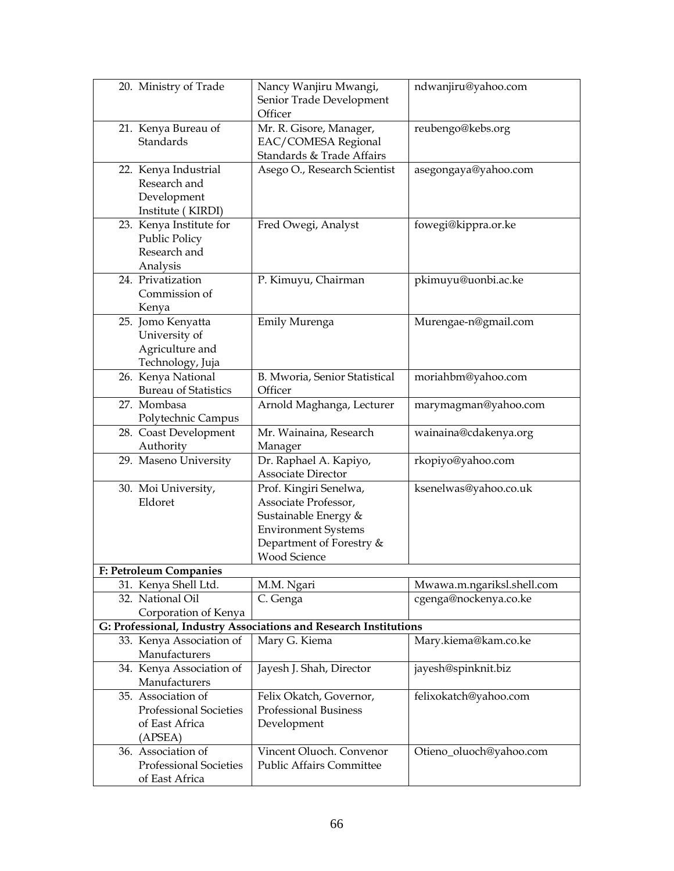|                                                                  | 20. Ministry of Trade                                                            | Nancy Wanjiru Mwangi,<br>Senior Trade Development<br>Officer                                                                                     | ndwanjiru@yahoo.com        |  |  |  |
|------------------------------------------------------------------|----------------------------------------------------------------------------------|--------------------------------------------------------------------------------------------------------------------------------------------------|----------------------------|--|--|--|
|                                                                  | 21. Kenya Bureau of<br><b>Standards</b>                                          | Mr. R. Gisore, Manager,<br>EAC/COMESA Regional<br>Standards & Trade Affairs                                                                      | reubengo@kebs.org          |  |  |  |
|                                                                  | 22. Kenya Industrial<br>Research and<br>Development<br>Institute (KIRDI)         | Asego O., Research Scientist                                                                                                                     | asegongaya@yahoo.com       |  |  |  |
|                                                                  | 23. Kenya Institute for<br><b>Public Policy</b><br>Research and<br>Analysis      | Fred Owegi, Analyst                                                                                                                              | fowegi@kippra.or.ke        |  |  |  |
|                                                                  | 24. Privatization<br>Commission of<br>Kenya                                      | P. Kimuyu, Chairman                                                                                                                              | pkimuyu@uonbi.ac.ke        |  |  |  |
|                                                                  | 25. Jomo Kenyatta<br>University of<br>Agriculture and<br>Technology, Juja        | Emily Murenga                                                                                                                                    | Murengae-n@gmail.com       |  |  |  |
|                                                                  | 26. Kenya National<br><b>Bureau of Statistics</b>                                | B. Mworia, Senior Statistical<br>Officer                                                                                                         | moriahbm@yahoo.com         |  |  |  |
|                                                                  | 27. Mombasa<br>Polytechnic Campus                                                | Arnold Maghanga, Lecturer                                                                                                                        | marymagman@yahoo.com       |  |  |  |
|                                                                  | 28. Coast Development<br>Authority                                               | Mr. Wainaina, Research<br>Manager                                                                                                                | wainaina@cdakenya.org      |  |  |  |
|                                                                  | 29. Maseno University                                                            | Dr. Raphael A. Kapiyo,<br>Associate Director                                                                                                     | rkopiyo@yahoo.com          |  |  |  |
|                                                                  | 30. Moi University,<br>Eldoret                                                   | Prof. Kingiri Senelwa,<br>Associate Professor,<br>Sustainable Energy &<br><b>Environment Systems</b><br>Department of Forestry &<br>Wood Science | ksenelwas@yahoo.co.uk      |  |  |  |
|                                                                  | F: Petroleum Companies                                                           |                                                                                                                                                  |                            |  |  |  |
|                                                                  | 31. Kenya Shell Ltd.                                                             | M.M. Ngari                                                                                                                                       | Mwawa.m.ngariksl.shell.com |  |  |  |
|                                                                  | 32. National Oil<br>Corporation of Kenya                                         | C. Genga                                                                                                                                         | cgenga@nockenya.co.ke      |  |  |  |
| G: Professional, Industry Associations and Research Institutions |                                                                                  |                                                                                                                                                  |                            |  |  |  |
|                                                                  | 33. Kenya Association of<br>Manufacturers                                        | Mary G. Kiema                                                                                                                                    | Mary.kiema@kam.co.ke       |  |  |  |
|                                                                  | 34. Kenya Association of<br>Manufacturers                                        | Jayesh J. Shah, Director                                                                                                                         | jayesh@spinknit.biz        |  |  |  |
|                                                                  | 35. Association of<br><b>Professional Societies</b><br>of East Africa<br>(APSEA) | Felix Okatch, Governor,<br><b>Professional Business</b><br>Development                                                                           | felixokatch@yahoo.com      |  |  |  |
|                                                                  | 36. Association of<br>Professional Societies<br>of East Africa                   | Vincent Oluoch. Convenor<br><b>Public Affairs Committee</b>                                                                                      | Otieno_oluoch@yahoo.com    |  |  |  |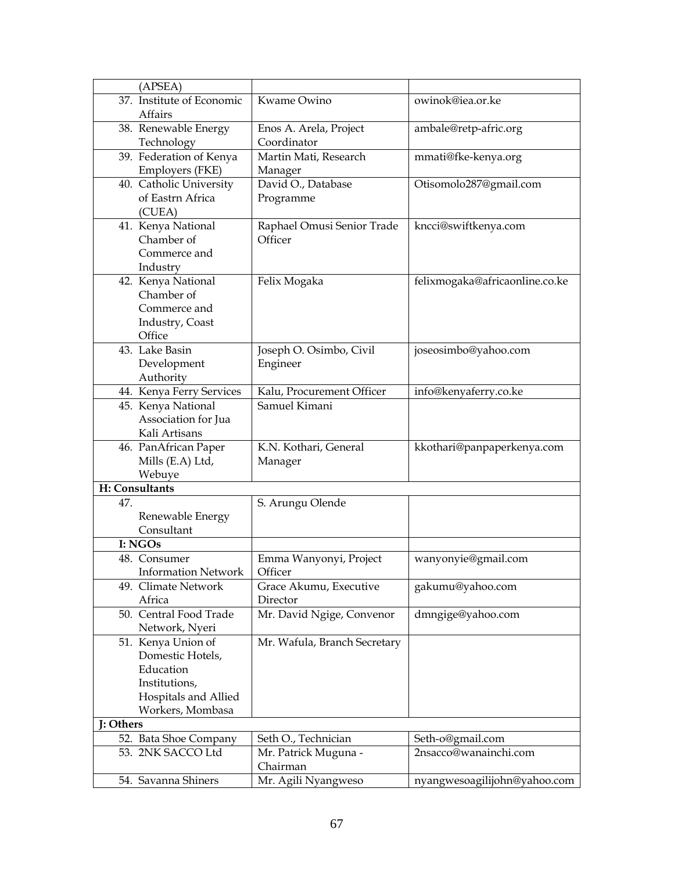| (APSEA)                    |                              |                                |  |  |  |
|----------------------------|------------------------------|--------------------------------|--|--|--|
| 37. Institute of Economic  | Kwame Owino                  | owinok@iea.or.ke               |  |  |  |
| <b>Affairs</b>             |                              |                                |  |  |  |
| 38. Renewable Energy       | Enos A. Arela, Project       | ambale@retp-afric.org          |  |  |  |
| Technology                 | Coordinator                  |                                |  |  |  |
| 39. Federation of Kenya    | Martin Mati, Research        | mmati@fke-kenya.org            |  |  |  |
| Employers (FKE)            | Manager                      |                                |  |  |  |
| 40. Catholic University    | David O., Database           | Otisomolo287@gmail.com         |  |  |  |
| of Eastrn Africa           | Programme                    |                                |  |  |  |
| (CUEA)                     |                              |                                |  |  |  |
| 41. Kenya National         | Raphael Omusi Senior Trade   | kncci@swiftkenya.com           |  |  |  |
| Chamber of                 | Officer                      |                                |  |  |  |
| Commerce and               |                              |                                |  |  |  |
| Industry                   |                              |                                |  |  |  |
| 42. Kenya National         | Felix Mogaka                 | felixmogaka@africaonline.co.ke |  |  |  |
| Chamber of                 |                              |                                |  |  |  |
| Commerce and               |                              |                                |  |  |  |
| Industry, Coast            |                              |                                |  |  |  |
| Office                     |                              |                                |  |  |  |
| 43. Lake Basin             | Joseph O. Osimbo, Civil      | joseosimbo@yahoo.com           |  |  |  |
| Development                | Engineer                     |                                |  |  |  |
| Authority                  |                              |                                |  |  |  |
| 44. Kenya Ferry Services   | Kalu, Procurement Officer    | info@kenyaferry.co.ke          |  |  |  |
| 45. Kenya National         | Samuel Kimani                |                                |  |  |  |
| Association for Jua        |                              |                                |  |  |  |
| Kali Artisans              |                              |                                |  |  |  |
| 46. PanAfrican Paper       | K.N. Kothari, General        | kkothari@panpaperkenya.com     |  |  |  |
| Mills (E.A) Ltd,           | Manager                      |                                |  |  |  |
| Webuye                     |                              |                                |  |  |  |
| H: Consultants             |                              |                                |  |  |  |
| 47.                        | S. Arungu Olende             |                                |  |  |  |
| Renewable Energy           |                              |                                |  |  |  |
| Consultant                 |                              |                                |  |  |  |
| I: NGOs                    |                              |                                |  |  |  |
| 48. Consumer               | Emma Wanyonyi, Project       | wanyonyie@gmail.com            |  |  |  |
| <b>Information Network</b> | Officer                      |                                |  |  |  |
| 49. Climate Network        | Grace Akumu, Executive       | gakumu@yahoo.com               |  |  |  |
| Africa                     | Director                     |                                |  |  |  |
| 50. Central Food Trade     | Mr. David Ngige, Convenor    | dmngige@yahoo.com              |  |  |  |
| Network, Nyeri             |                              |                                |  |  |  |
| 51. Kenya Union of         | Mr. Wafula, Branch Secretary |                                |  |  |  |
| Domestic Hotels,           |                              |                                |  |  |  |
| Education                  |                              |                                |  |  |  |
| Institutions,              |                              |                                |  |  |  |
| Hospitals and Allied       |                              |                                |  |  |  |
| Workers, Mombasa           |                              |                                |  |  |  |
| <b>J: Others</b>           |                              |                                |  |  |  |
| 52. Bata Shoe Company      | Seth O., Technician          | Seth-o@gmail.com               |  |  |  |
| 53. 2NK SACCO Ltd          | Mr. Patrick Muguna -         | 2nsacco@wanainchi.com          |  |  |  |
|                            | Chairman                     |                                |  |  |  |
| 54. Savanna Shiners        | Mr. Agili Nyangweso          | nyangwesoagilijohn@yahoo.com   |  |  |  |